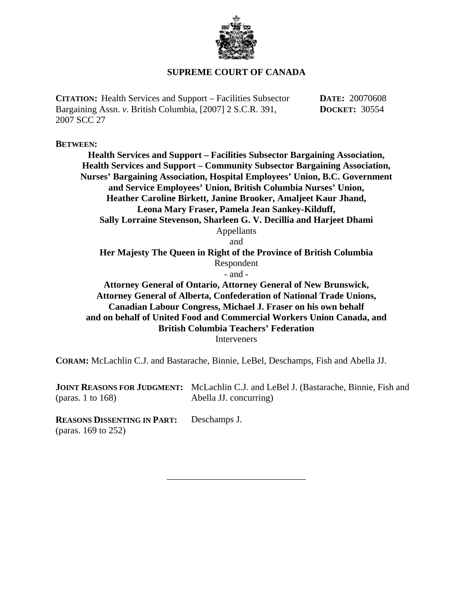

# **SUPREME COURT OF CANADA**

**CITATION:** Health Services and Support – Facilities Subsector Bargaining Assn. *v*. British Columbia, [2007] 2 S.C.R. 391, 2007 SCC 27

**DATE:** 20070608 **DOCKET:** 30554

**BETWEEN:**

**Health Services and Support – Facilities Subsector Bargaining Association, Health Services and Support – Community Subsector Bargaining Association, Nurses' Bargaining Association, Hospital Employees' Union, B.C. Government and Service Employees' Union, British Columbia Nurses' Union, Heather Caroline Birkett, Janine Brooker, Amaljeet Kaur Jhand, Leona Mary Fraser, Pamela Jean Sankey-Kilduff, Sally Lorraine Stevenson, Sharleen G. V. Decillia and Harjeet Dhami** Appellants and **Her Majesty The Queen in Right of the Province of British Columbia** Respondent - and - **Attorney General of Ontario, Attorney General of New Brunswick, Attorney General of Alberta, Confederation of National Trade Unions, Canadian Labour Congress, Michael J. Fraser on his own behalf and on behalf of United Food and Commercial Workers Union Canada, and British Columbia Teachers' Federation**

**Interveners** 

**CORAM:** McLachlin C.J. and Bastarache, Binnie, LeBel, Deschamps, Fish and Abella JJ.

JOINT REASONS FOR JUDGMENT: McLachlin C.J. and LeBel J. (Bastarache, Binnie, Fish and (paras. 1 to 168) Abella JJ. concurring)

\_\_\_\_\_\_\_\_\_\_\_\_\_\_\_\_\_\_\_\_\_\_\_\_\_\_\_\_\_\_

**REASONS DISSENTING IN PART:** (paras. 169 to 252) Deschamps J.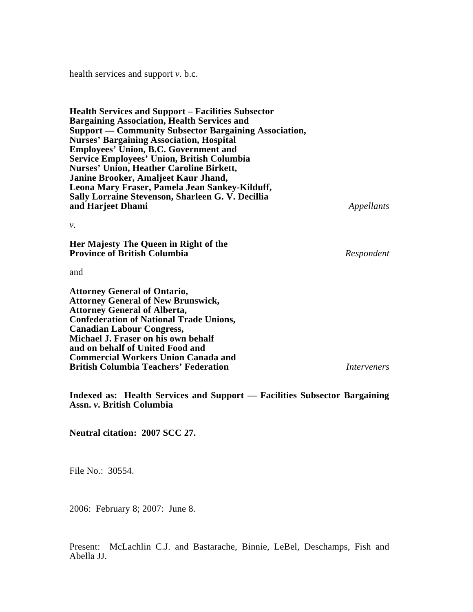health services and support *v*. b.c.

**Health Services and Support – Facilities Subsector Bargaining Association, Health Services and Support — Community Subsector Bargaining Association, Nurses' Bargaining Association, Hospital Employees' Union, B.C. Government and Service Employees' Union, British Columbia Nurses' Union, Heather Caroline Birkett, Janine Brooker, Amaljeet Kaur Jhand, Leona Mary Fraser, Pamela Jean Sankey-Kilduff, Sally Lorraine Stevenson, Sharleen G. V. Decillia and Harjeet Dhami** *Appellants v.*

**Her Majesty The Queen in Right of the Province of British Columbia** *Respondent*

and

**Attorney General of Ontario, Attorney General of New Brunswick, Attorney General of Alberta, Confederation of National Trade Unions, Canadian Labour Congress, Michael J. Fraser on his own behalf and on behalf of United Food and Commercial Workers Union Canada and British Columbia Teachers' Federation** *Interveners*

**Indexed as: Health Services and Support — Facilities Subsector Bargaining Assn.** *v***. British Columbia**

**Neutral citation: 2007 SCC 27.**

File No.: 30554.

2006: February 8; 2007: June 8.

Present: McLachlin C.J. and Bastarache, Binnie, LeBel, Deschamps, Fish and Abella JJ.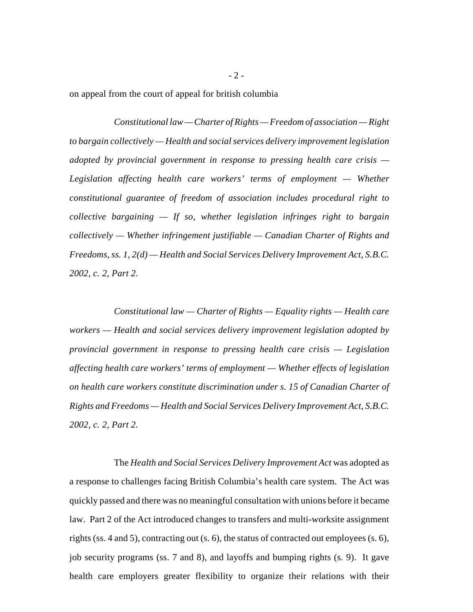on appeal from the court of appeal for british columbia

*Constitutional law — Charter of Rights — Freedom of association — Right to bargain collectively — Health and social services delivery improvement legislation adopted by provincial government in response to pressing health care crisis — Legislation affecting health care workers' terms of employment — Whether constitutional guarantee of freedom of association includes procedural right to collective bargaining — If so, whether legislation infringes right to bargain collectively — Whether infringement justifiable — Canadian Charter of Rights and Freedoms, ss. 1, 2(d) — Health and Social Services Delivery Improvement Act, S.B.C. 2002, c. 2, Part 2.*

*Constitutional law — Charter of Rights — Equality rights — Health care workers — Health and social services delivery improvement legislation adopted by provincial government in response to pressing health care crisis — Legislation affecting health care workers' terms of employment — Whether effects of legislation on health care workers constitute discrimination under s. 15 of Canadian Charter of Rights and Freedoms — Health and Social Services Delivery Improvement Act, S.B.C. 2002, c. 2, Part 2.*

The *Health and Social Services Delivery Improvement Act* was adopted as a response to challenges facing British Columbia's health care system. The Act was quickly passed and there was no meaningful consultation with unions before it became law. Part 2 of the Act introduced changes to transfers and multi-worksite assignment rights (ss. 4 and 5), contracting out (s. 6), the status of contracted out employees (s. 6), job security programs (ss. 7 and 8), and layoffs and bumping rights (s. 9). It gave health care employers greater flexibility to organize their relations with their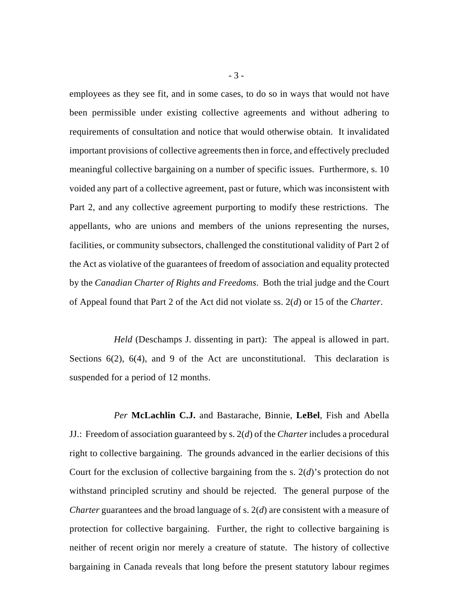employees as they see fit, and in some cases, to do so in ways that would not have been permissible under existing collective agreements and without adhering to requirements of consultation and notice that would otherwise obtain. It invalidated important provisions of collective agreements then in force, and effectively precluded meaningful collective bargaining on a number of specific issues. Furthermore, s. 10 voided any part of a collective agreement, past or future, which was inconsistent with Part 2, and any collective agreement purporting to modify these restrictions. The appellants, who are unions and members of the unions representing the nurses, facilities, or community subsectors, challenged the constitutional validity of Part 2 of the Act as violative of the guarantees of freedom of association and equality protected by the *Canadian Charter of Rights and Freedoms*. Both the trial judge and the Court of Appeal found that Part 2 of the Act did not violate ss. 2(*d*) or 15 of the *Charter*.

*Held* (Deschamps J. dissenting in part): The appeal is allowed in part. Sections  $6(2)$ ,  $6(4)$ , and 9 of the Act are unconstitutional. This declaration is suspended for a period of 12 months.

*Per* **McLachlin C.J.** and Bastarache, Binnie, **LeBel**, Fish and Abella JJ.: Freedom of association guaranteed by s. 2(*d*) of the *Charter* includes a procedural right to collective bargaining. The grounds advanced in the earlier decisions of this Court for the exclusion of collective bargaining from the s. 2(*d*)'s protection do not withstand principled scrutiny and should be rejected. The general purpose of the *Charter* guarantees and the broad language of s. 2(*d*) are consistent with a measure of protection for collective bargaining. Further, the right to collective bargaining is neither of recent origin nor merely a creature of statute. The history of collective bargaining in Canada reveals that long before the present statutory labour regimes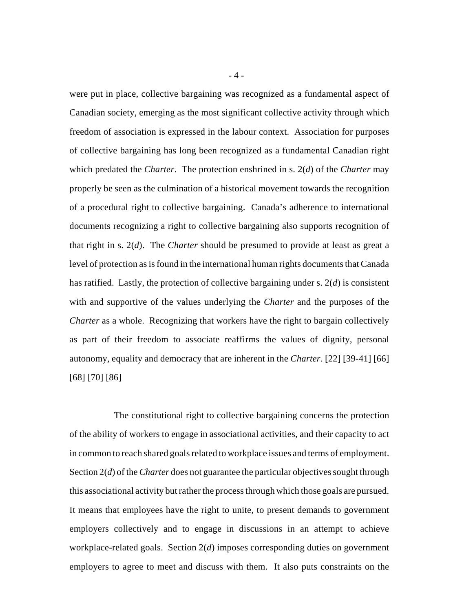were put in place, collective bargaining was recognized as a fundamental aspect of Canadian society, emerging as the most significant collective activity through which freedom of association is expressed in the labour context. Association for purposes of collective bargaining has long been recognized as a fundamental Canadian right which predated the *Charter*. The protection enshrined in s. 2(*d*) of the *Charter* may properly be seen as the culmination of a historical movement towards the recognition of a procedural right to collective bargaining. Canada's adherence to international documents recognizing a right to collective bargaining also supports recognition of that right in s. 2(*d*). The *Charter* should be presumed to provide at least as great a level of protection as is found in the international human rights documents that Canada has ratified. Lastly, the protection of collective bargaining under s. 2(*d*) is consistent with and supportive of the values underlying the *Charter* and the purposes of the *Charter* as a whole. Recognizing that workers have the right to bargain collectively as part of their freedom to associate reaffirms the values of dignity, personal autonomy, equality and democracy that are inherent in the *Charter*. [22] [39-41] [66] [68] [70] [86]

The constitutional right to collective bargaining concerns the protection of the ability of workers to engage in associational activities, and their capacity to act in common to reach shared goals related to workplace issues and terms of employment. Section 2(*d*) of the *Charter* does not guarantee the particular objectives sought through this associational activity but rather the process through which those goals are pursued. It means that employees have the right to unite, to present demands to government employers collectively and to engage in discussions in an attempt to achieve workplace-related goals. Section 2(*d*) imposes corresponding duties on government employers to agree to meet and discuss with them. It also puts constraints on the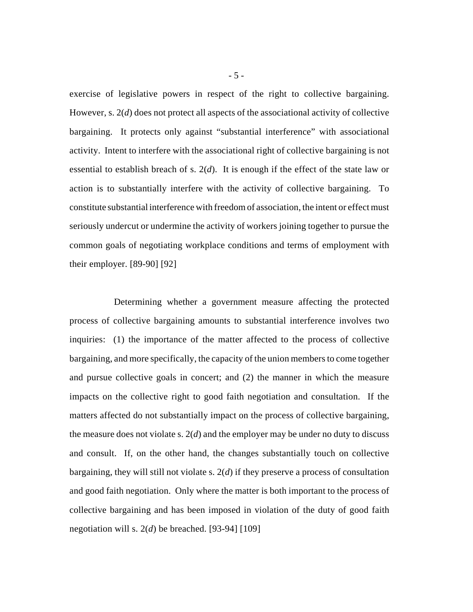exercise of legislative powers in respect of the right to collective bargaining. However, s. 2(*d*) does not protect all aspects of the associational activity of collective bargaining. It protects only against "substantial interference" with associational activity. Intent to interfere with the associational right of collective bargaining is not essential to establish breach of s. 2(*d*). It is enough if the effect of the state law or action is to substantially interfere with the activity of collective bargaining. To constitute substantial interference with freedom of association, the intent or effect must seriously undercut or undermine the activity of workers joining together to pursue the common goals of negotiating workplace conditions and terms of employment with their employer. [89-90] [92]

Determining whether a government measure affecting the protected process of collective bargaining amounts to substantial interference involves two inquiries: (1) the importance of the matter affected to the process of collective bargaining, and more specifically, the capacity of the union members to come together and pursue collective goals in concert; and (2) the manner in which the measure impacts on the collective right to good faith negotiation and consultation. If the matters affected do not substantially impact on the process of collective bargaining, the measure does not violate s.  $2(d)$  and the employer may be under no duty to discuss and consult. If, on the other hand, the changes substantially touch on collective bargaining, they will still not violate s. 2(*d*) if they preserve a process of consultation and good faith negotiation. Only where the matter is both important to the process of collective bargaining and has been imposed in violation of the duty of good faith negotiation will s. 2(*d*) be breached. [93-94] [109]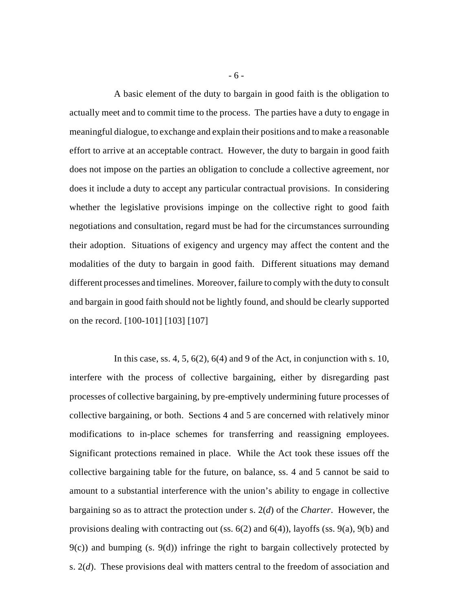A basic element of the duty to bargain in good faith is the obligation to actually meet and to commit time to the process. The parties have a duty to engage in meaningful dialogue, to exchange and explain their positions and to make a reasonable effort to arrive at an acceptable contract. However, the duty to bargain in good faith does not impose on the parties an obligation to conclude a collective agreement, nor does it include a duty to accept any particular contractual provisions. In considering whether the legislative provisions impinge on the collective right to good faith negotiations and consultation, regard must be had for the circumstances surrounding their adoption. Situations of exigency and urgency may affect the content and the modalities of the duty to bargain in good faith. Different situations may demand different processes and timelines. Moreover, failure to comply with the duty to consult and bargain in good faith should not be lightly found, and should be clearly supported on the record. [100-101] [103] [107]

In this case, ss. 4, 5,  $6(2)$ ,  $6(4)$  and 9 of the Act, in conjunction with s. 10, interfere with the process of collective bargaining, either by disregarding past processes of collective bargaining, by pre-emptively undermining future processes of collective bargaining, or both. Sections 4 and 5 are concerned with relatively minor modifications to in-place schemes for transferring and reassigning employees. Significant protections remained in place. While the Act took these issues off the collective bargaining table for the future, on balance, ss. 4 and 5 cannot be said to amount to a substantial interference with the union's ability to engage in collective bargaining so as to attract the protection under s. 2(*d*) of the *Charter*. However, the provisions dealing with contracting out (ss.  $6(2)$  and  $6(4)$ ), layoffs (ss.  $9(a)$ ,  $9(b)$  and  $9(c)$ ) and bumping (s.  $9(d)$ ) infringe the right to bargain collectively protected by s. 2(*d*). These provisions deal with matters central to the freedom of association and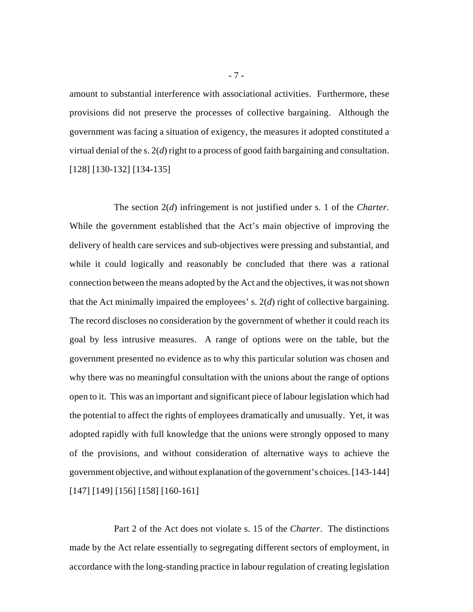amount to substantial interference with associational activities. Furthermore, these provisions did not preserve the processes of collective bargaining. Although the government was facing a situation of exigency, the measures it adopted constituted a virtual denial of the s. 2(*d*) right to a process of good faith bargaining and consultation. [128] [130-132] [134-135]

The section 2(*d*) infringement is not justified under s. 1 of the *Charter*. While the government established that the Act's main objective of improving the delivery of health care services and sub-objectives were pressing and substantial, and while it could logically and reasonably be concluded that there was a rational connection between the means adopted by the Act and the objectives, it was not shown that the Act minimally impaired the employees' s. 2(*d*) right of collective bargaining. The record discloses no consideration by the government of whether it could reach its goal by less intrusive measures. A range of options were on the table, but the government presented no evidence as to why this particular solution was chosen and why there was no meaningful consultation with the unions about the range of options open to it. This was an important and significant piece of labour legislation which had the potential to affect the rights of employees dramatically and unusually. Yet, it was adopted rapidly with full knowledge that the unions were strongly opposed to many of the provisions, and without consideration of alternative ways to achieve the government objective, and without explanation of the government's choices. [143-144] [147] [149] [156] [158] [160-161]

Part 2 of the Act does not violate s. 15 of the *Charter*. The distinctions made by the Act relate essentially to segregating different sectors of employment, in accordance with the long-standing practice in labour regulation of creating legislation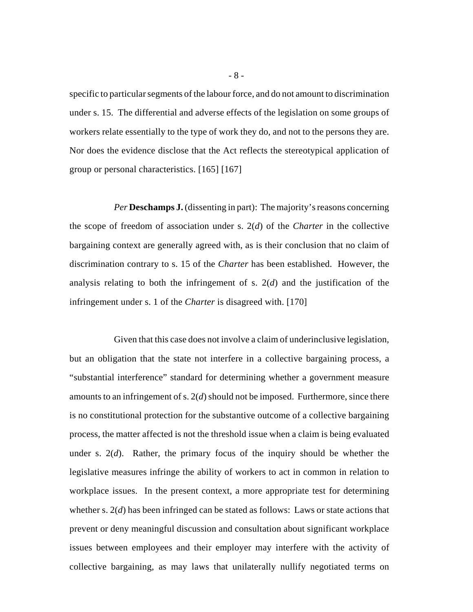specific to particular segments of the labour force, and do not amount to discrimination under s. 15. The differential and adverse effects of the legislation on some groups of workers relate essentially to the type of work they do, and not to the persons they are. Nor does the evidence disclose that the Act reflects the stereotypical application of group or personal characteristics. [165] [167]

*Per* **Deschamps J.** (dissenting in part): The majority's reasons concerning the scope of freedom of association under s. 2(*d*) of the *Charter* in the collective bargaining context are generally agreed with, as is their conclusion that no claim of discrimination contrary to s. 15 of the *Charter* has been established. However, the analysis relating to both the infringement of s. 2(*d*) and the justification of the infringement under s. 1 of the *Charter* is disagreed with. [170]

Given that this case does not involve a claim of underinclusive legislation, but an obligation that the state not interfere in a collective bargaining process, a "substantial interference" standard for determining whether a government measure amounts to an infringement of s. 2(*d*) should not be imposed. Furthermore, since there is no constitutional protection for the substantive outcome of a collective bargaining process, the matter affected is not the threshold issue when a claim is being evaluated under s.  $2(d)$ . Rather, the primary focus of the inquiry should be whether the legislative measures infringe the ability of workers to act in common in relation to workplace issues. In the present context, a more appropriate test for determining whether s. 2(*d*) has been infringed can be stated as follows: Laws or state actions that prevent or deny meaningful discussion and consultation about significant workplace issues between employees and their employer may interfere with the activity of collective bargaining, as may laws that unilaterally nullify negotiated terms on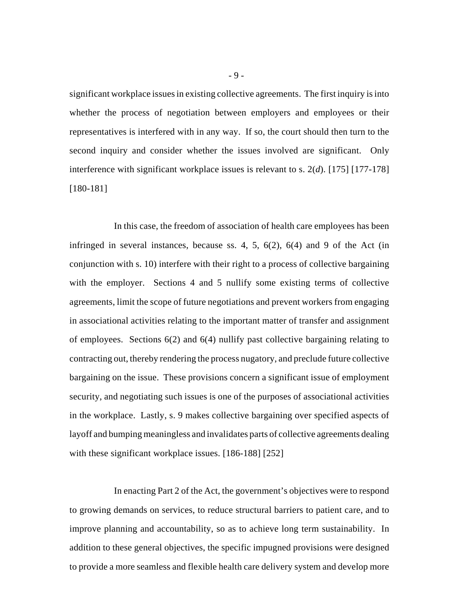significant workplace issues in existing collective agreements. The first inquiry is into whether the process of negotiation between employers and employees or their representatives is interfered with in any way. If so, the court should then turn to the second inquiry and consider whether the issues involved are significant. Only interference with significant workplace issues is relevant to s. 2(*d*). [175] [177-178] [180-181]

In this case, the freedom of association of health care employees has been infringed in several instances, because ss. 4, 5, 6(2), 6(4) and 9 of the Act (in conjunction with s. 10) interfere with their right to a process of collective bargaining with the employer. Sections 4 and 5 nullify some existing terms of collective agreements, limit the scope of future negotiations and prevent workers from engaging in associational activities relating to the important matter of transfer and assignment of employees. Sections 6(2) and 6(4) nullify past collective bargaining relating to contracting out, thereby rendering the process nugatory, and preclude future collective bargaining on the issue. These provisions concern a significant issue of employment security, and negotiating such issues is one of the purposes of associational activities in the workplace. Lastly, s. 9 makes collective bargaining over specified aspects of layoff and bumping meaningless and invalidates parts of collective agreements dealing with these significant workplace issues. [186-188] [252]

In enacting Part 2 of the Act, the government's objectives were to respond to growing demands on services, to reduce structural barriers to patient care, and to improve planning and accountability, so as to achieve long term sustainability. In addition to these general objectives, the specific impugned provisions were designed to provide a more seamless and flexible health care delivery system and develop more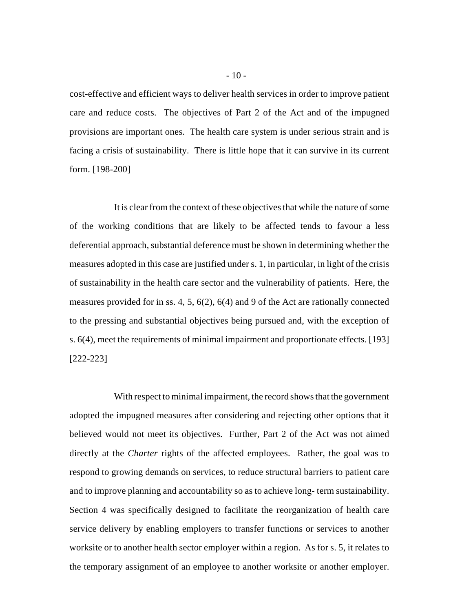cost-effective and efficient ways to deliver health services in order to improve patient care and reduce costs. The objectives of Part 2 of the Act and of the impugned provisions are important ones. The health care system is under serious strain and is facing a crisis of sustainability. There is little hope that it can survive in its current form. [198-200]

It is clear from the context of these objectives that while the nature of some of the working conditions that are likely to be affected tends to favour a less deferential approach, substantial deference must be shown in determining whether the measures adopted in this case are justified under s. 1, in particular, in light of the crisis of sustainability in the health care sector and the vulnerability of patients. Here, the measures provided for in ss. 4, 5, 6(2), 6(4) and 9 of the Act are rationally connected to the pressing and substantial objectives being pursued and, with the exception of s. 6(4), meet the requirements of minimal impairment and proportionate effects. [193] [222-223]

With respect to minimal impairment, the record shows that the government adopted the impugned measures after considering and rejecting other options that it believed would not meet its objectives. Further, Part 2 of the Act was not aimed directly at the *Charter* rights of the affected employees. Rather, the goal was to respond to growing demands on services, to reduce structural barriers to patient care and to improve planning and accountability so as to achieve long- term sustainability. Section 4 was specifically designed to facilitate the reorganization of health care service delivery by enabling employers to transfer functions or services to another worksite or to another health sector employer within a region. As for s. 5, it relates to the temporary assignment of an employee to another worksite or another employer.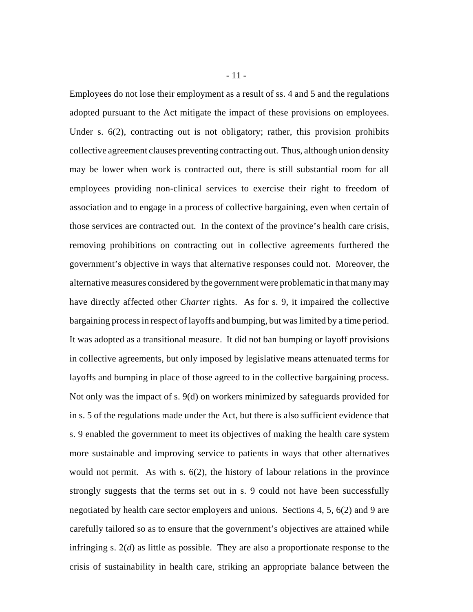Employees do not lose their employment as a result of ss. 4 and 5 and the regulations adopted pursuant to the Act mitigate the impact of these provisions on employees. Under s. 6(2), contracting out is not obligatory; rather, this provision prohibits collective agreement clauses preventing contracting out. Thus, although union density may be lower when work is contracted out, there is still substantial room for all employees providing non-clinical services to exercise their right to freedom of association and to engage in a process of collective bargaining, even when certain of those services are contracted out. In the context of the province's health care crisis, removing prohibitions on contracting out in collective agreements furthered the government's objective in ways that alternative responses could not. Moreover, the alternative measures considered by the government were problematic in that many may have directly affected other *Charter* rights. As for s. 9, it impaired the collective bargaining process in respect of layoffs and bumping, but was limited by a time period. It was adopted as a transitional measure. It did not ban bumping or layoff provisions in collective agreements, but only imposed by legislative means attenuated terms for layoffs and bumping in place of those agreed to in the collective bargaining process. Not only was the impact of s. 9(d) on workers minimized by safeguards provided for in s. 5 of the regulations made under the Act, but there is also sufficient evidence that s. 9 enabled the government to meet its objectives of making the health care system more sustainable and improving service to patients in ways that other alternatives would not permit. As with s. 6(2), the history of labour relations in the province strongly suggests that the terms set out in s. 9 could not have been successfully negotiated by health care sector employers and unions. Sections 4, 5, 6(2) and 9 are carefully tailored so as to ensure that the government's objectives are attained while infringing s. 2(*d*) as little as possible. They are also a proportionate response to the crisis of sustainability in health care, striking an appropriate balance between the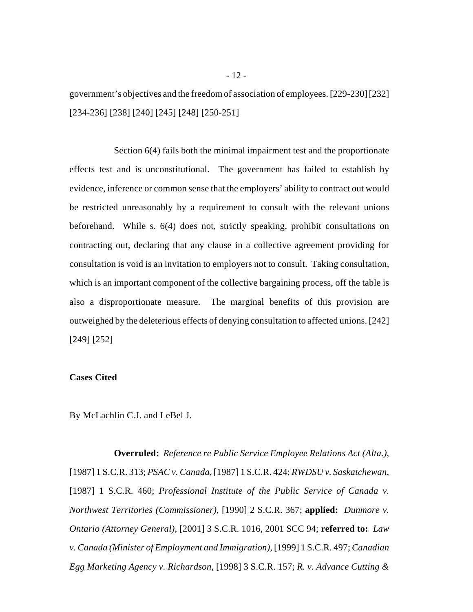government's objectives and the freedom of association of employees. [229-230] [232] [234-236] [238] [240] [245] [248] [250-251]

Section 6(4) fails both the minimal impairment test and the proportionate effects test and is unconstitutional. The government has failed to establish by evidence, inference or common sense that the employers' ability to contract out would be restricted unreasonably by a requirement to consult with the relevant unions beforehand. While s. 6(4) does not, strictly speaking, prohibit consultations on contracting out, declaring that any clause in a collective agreement providing for consultation is void is an invitation to employers not to consult. Taking consultation, which is an important component of the collective bargaining process, off the table is also a disproportionate measure. The marginal benefits of this provision are outweighed by the deleterious effects of denying consultation to affected unions. [242] [249] [252]

### **Cases Cited**

By McLachlin C.J. and LeBel J.

**Overruled:** *Reference re Public Service Employee Relations Act (Alta.)*, [1987] 1 S.C.R. 313; *PSAC v. Canada*, [1987] 1 S.C.R. 424; *RWDSU v. Saskatchewan*, [1987] 1 S.C.R. 460; *Professional Institute of the Public Service of Canada v. Northwest Territories (Commissioner)*, [1990] 2 S.C.R. 367; **applied:** *Dunmore v. Ontario (Attorney General)*, [2001] 3 S.C.R. 1016, 2001 SCC 94; **referred to:** *Law v. Canada (Minister of Employment and Immigration)*, [1999] 1 S.C.R. 497; *Canadian Egg Marketing Agency v. Richardson*, [1998] 3 S.C.R. 157; *R. v. Advance Cutting &*

- 12 -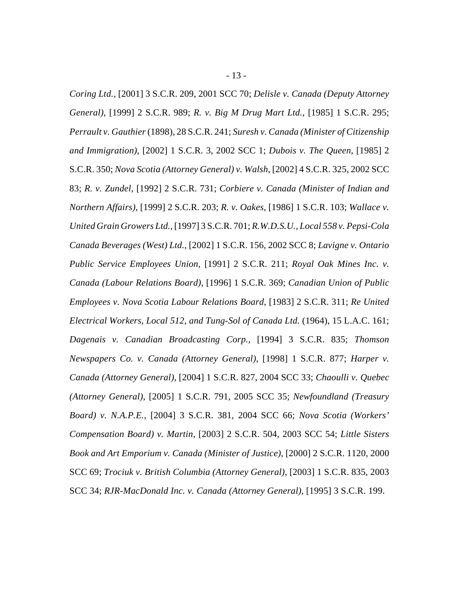*Coring Ltd.*, [2001] 3 S.C.R. 209, 2001 SCC 70; *Delisle v. Canada (Deputy Attorney General)*, [1999] 2 S.C.R. 989; *R. v. Big M Drug Mart Ltd.*, [1985] 1 S.C.R. 295; *Perrault v. Gauthier* (1898), 28 S.C.R. 241; *Suresh v. Canada (Minister of Citizenship and Immigration)*, [2002] 1 S.C.R. 3, 2002 SCC 1; *Dubois v. The Queen*, [1985] 2 S.C.R. 350; *Nova Scotia (Attorney General) v. Walsh*, [2002] 4 S.C.R. 325, 2002 SCC 83; *R. v. Zundel*, [1992] 2 S.C.R. 731; *Corbiere v. Canada (Minister of Indian and Northern Affairs)*, [1999] 2 S.C.R. 203; *R. v. Oakes*, [1986] 1 S.C.R. 103; *Wallace v. United Grain Growers Ltd.*, [1997] 3 S.C.R. 701; *R.W.D.S.U., Local 558 v. Pepsi-Cola Canada Beverages (West) Ltd.*, [2002] 1 S.C.R. 156, 2002 SCC 8; *Lavigne v. Ontario Public Service Employees Union*, [1991] 2 S.C.R. 211; *Royal Oak Mines Inc. v. Canada (Labour Relations Board)*, [1996] 1 S.C.R. 369; *Canadian Union of Public Employees v. Nova Scotia Labour Relations Board*, [1983] 2 S.C.R. 311; *Re United Electrical Workers, Local 512, and Tung-Sol of Canada Ltd.* (1964), 15 L.A.C. 161; *Dagenais v. Canadian Broadcasting Corp.*, [1994] 3 S.C.R. 835; *Thomson Newspapers Co. v. Canada (Attorney General)*, [1998] 1 S.C.R. 877; *Harper v. Canada (Attorney General)*, [2004] 1 S.C.R. 827, 2004 SCC 33; *Chaoulli v. Quebec (Attorney General)*, [2005] 1 S.C.R. 791, 2005 SCC 35; *Newfoundland (Treasury Board) v. N.A.P.E.*, [2004] 3 S.C.R. 381, 2004 SCC 66; *Nova Scotia (Workers' Compensation Board) v. Martin*, [2003] 2 S.C.R. 504, 2003 SCC 54; *Little Sisters Book and Art Emporium v. Canada (Minister of Justice)*, [2000] 2 S.C.R. 1120, 2000 SCC 69; *Trociuk v. British Columbia (Attorney General),* [2003] 1 S.C.R. 835, 2003 SCC 34; *RJR-MacDonald Inc. v. Canada (Attorney General)*, [1995] 3 S.C.R. 199.

- 13 -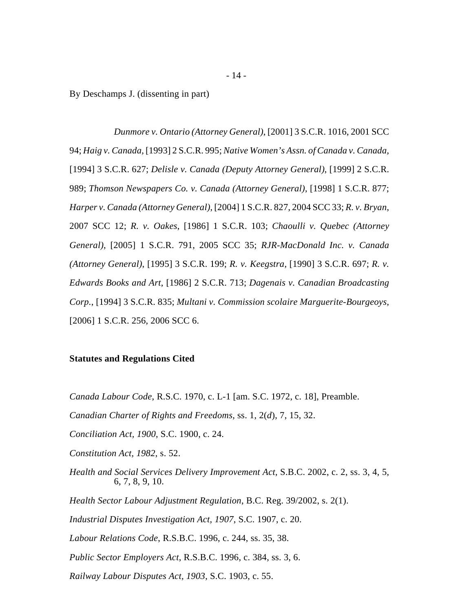By Deschamps J. (dissenting in part)

*Dunmore v. Ontario (Attorney General)*, [2001] 3 S.C.R. 1016, 2001 SCC 94; *Haig v. Canada*, [1993] 2 S.C.R. 995; *Native Women's Assn. of Canada v. Canada*, [1994] 3 S.C.R. 627; *Delisle v. Canada (Deputy Attorney General)*, [1999] 2 S.C.R. 989; *Thomson Newspapers Co. v. Canada (Attorney General)*, [1998] 1 S.C.R. 877; *Harper v. Canada (Attorney General)*, [2004] 1 S.C.R. 827, 2004 SCC 33; *R. v. Bryan*, 2007 SCC 12; *R. v. Oakes*, [1986] 1 S.C.R. 103; *Chaoulli v. Quebec (Attorney General)*, [2005] 1 S.C.R. 791, 2005 SCC 35; *RJR-MacDonald Inc. v. Canada (Attorney General)*, [1995] 3 S.C.R. 199; *R. v. Keegstra*, [1990] 3 S.C.R. 697; *R. v. Edwards Books and Art*, [1986] 2 S.C.R. 713; *Dagenais v. Canadian Broadcasting Corp.*, [1994] 3 S.C.R. 835; *Multani v. Commission scolaire Marguerite-Bourgeoys*, [2006] 1 S.C.R. 256, 2006 SCC 6.

#### **Statutes and Regulations Cited**

*Canada Labour Code*, R.S.C. 1970, c. L-1 [am. S.C. 1972, c. 18], Preamble.

*Canadian Charter of Rights and Freedoms*, ss. 1, 2(*d*), 7, 15, 32.

*Conciliation Act, 1900*, S.C. 1900, c. 24.

*Constitution Act, 1982*, s. 52.

*Health and Social Services Delivery Improvement Act*, S.B.C. 2002, c. 2, ss. 3, 4, 5, 6, 7, 8, 9, 10.

*Health Sector Labour Adjustment Regulation*, B.C. Reg. 39/2002, s. 2(1).

*Industrial Disputes Investigation Act, 1907*, S.C. 1907, c. 20.

*Labour Relations Code*, R.S.B.C. 1996, c. 244, ss. 35, 38.

*Public Sector Employers Act*, R.S.B.C. 1996, c. 384, ss. 3, 6.

*Railway Labour Disputes Act, 1903*, S.C. 1903, c. 55.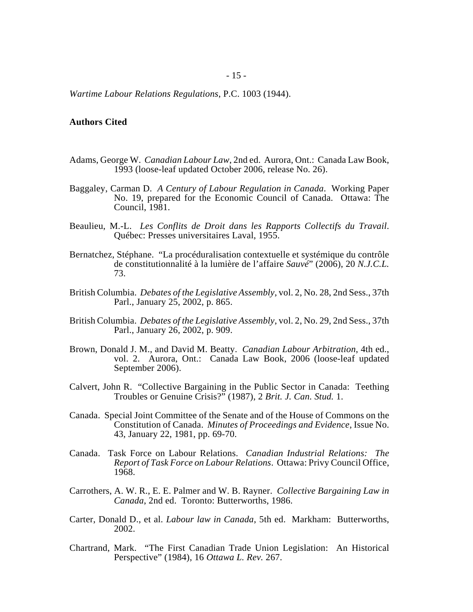*Wartime Labour Relations Regulations*, P.C. 1003 (1944).

#### **Authors Cited**

- Adams, George W. *Canadian Labour Law*, 2nd ed. Aurora, Ont.: Canada Law Book, 1993 (loose-leaf updated October 2006, release No. 26).
- Baggaley, Carman D. *A Century of Labour Regulation in Canada*. Working Paper No. 19, prepared for the Economic Council of Canada. Ottawa: The Council, 1981.
- Beaulieu, M.-L. *Les Conflits de Droit dans les Rapports Collectifs du Travail*. Québec: Presses universitaires Laval, 1955.
- Bernatchez, Stéphane. "La procéduralisation contextuelle et systémique du contrôle de constitutionnalité à la lumière de l'affaire *Sauvé*" (2006), 20 *N.J.C.L.* 73.
- British Columbia. *Debates of the Legislative Assembly*, vol. 2, No. 28, 2nd Sess., 37th Parl., January 25, 2002, p. 865.
- British Columbia. *Debates of the Legislative Assembly*, vol. 2, No. 29, 2nd Sess., 37th Parl., January 26, 2002, p. 909.
- Brown, Donald J. M., and David M. Beatty. *Canadian Labour Arbitration*, 4th ed., vol. 2. Aurora, Ont.: Canada Law Book, 2006 (loose-leaf updated September 2006).
- Calvert, John R. "Collective Bargaining in the Public Sector in Canada: Teething Troubles or Genuine Crisis?" (1987), 2 *Brit. J. Can. Stud.* 1.
- Canada. Special Joint Committee of the Senate and of the House of Commons on the Constitution of Canada. *Minutes of Proceedings and Evidence*, Issue No. 43, January 22, 1981, pp. 69-70.
- Canada. Task Force on Labour Relations. *Canadian Industrial Relations: The Report of Task Force on Labour Relations*. Ottawa: Privy Council Office, 1968.
- Carrothers, A. W. R., E. E. Palmer and W. B. Rayner. *Collective Bargaining Law in Canada*, 2nd ed. Toronto: Butterworths, 1986.
- Carter, Donald D., et al. *Labour law in Canada*, 5th ed. Markham: Butterworths, 2002.
- Chartrand, Mark. "The First Canadian Trade Union Legislation: An Historical Perspective" (1984), 16 *Ottawa L. Rev.* 267.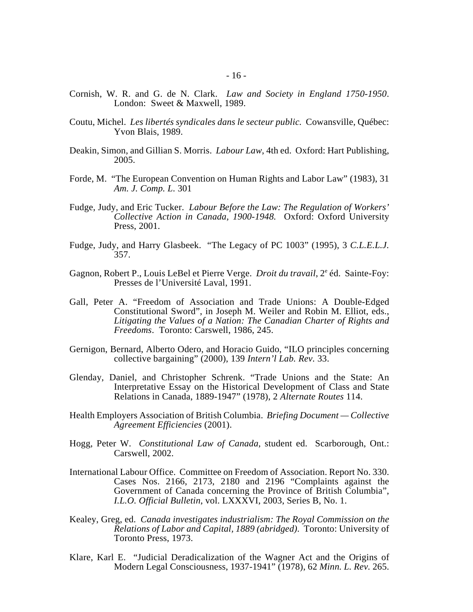- Cornish, W. R. and G. de N. Clark. *Law and Society in England 1750-1950*. London: Sweet & Maxwell, 1989.
- Coutu, Michel. *Les libertés syndicales dans le secteur public.* Cowansville, Québec: Yvon Blais, 1989.
- Deakin, Simon, and Gillian S. Morris. *Labour Law*, 4th ed. Oxford: Hart Publishing, 2005.
- Forde, M. "The European Convention on Human Rights and Labor Law" (1983), 31 *Am. J. Comp. L*. 301
- Fudge, Judy, and Eric Tucker. *Labour Before the Law: The Regulation of Workers' Collective Action in Canada, 1900-1948.* Oxford: Oxford University Press, 2001.
- Fudge, Judy, and Harry Glasbeek. "The Legacy of PC 1003" (1995), 3 *C.L.E.L.J.* 357.
- Gagnon, Robert P., Louis LeBel et Pierre Verge. *Droit du travail*, 2<sup>e</sup> éd. Sainte-Foy: Presses de l'Université Laval, 1991.
- Gall, Peter A. "Freedom of Association and Trade Unions: A Double-Edged Constitutional Sword", in Joseph M. Weiler and Robin M. Elliot, eds., *Litigating the Values of a Nation: The Canadian Charter of Rights and Freedoms*. Toronto: Carswell, 1986, 245.
- Gernigon, Bernard, Alberto Odero, and Horacio Guido, "ILO principles concerning collective bargaining" (2000), 139 *Intern'l Lab. Rev.* 33.
- Glenday, Daniel, and Christopher Schrenk. "Trade Unions and the State: An Interpretative Essay on the Historical Development of Class and State Relations in Canada, 1889-1947" (1978), 2 *Alternate Routes* 114.
- Health Employers Association of British Columbia. *Briefing Document Collective Agreement Efficiencies* (2001).
- Hogg, Peter W. *Constitutional Law of Canada*, student ed. Scarborough, Ont.: Carswell, 2002.
- International Labour Office. Committee on Freedom of Association. Report No. 330. Cases Nos. 2166, 2173, 2180 and 2196 "Complaints against the Government of Canada concerning the Province of British Columbia", *I.L.O. Official Bulletin*, vol. LXXXVI, 2003, Series B, No. 1.
- Kealey, Greg, ed. *Canada investigates industrialism: The Royal Commission on the Relations of Labor and Capital, 1889 (abridged)*. Toronto: University of Toronto Press, 1973.
- Klare, Karl E. "Judicial Deradicalization of the Wagner Act and the Origins of Modern Legal Consciousness, 1937-1941" (1978), 62 *Minn. L. Rev.* 265.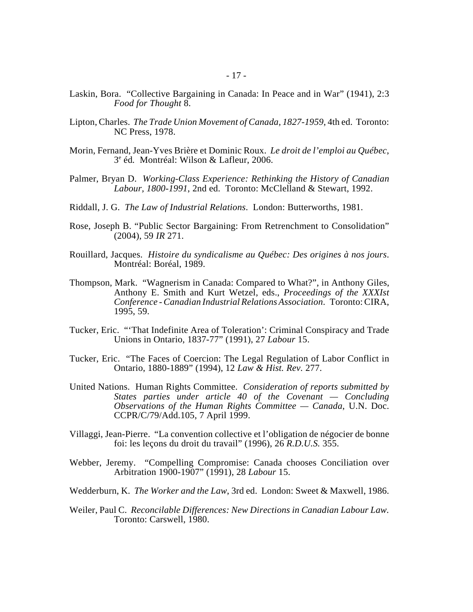- Laskin, Bora. "Collective Bargaining in Canada: In Peace and in War" (1941), 2:3 *Food for Thought* 8.
- Lipton, Charles. *The Trade Union Movement of Canada, 1827-1959*, 4th ed. Toronto: NC Press, 1978.
- Morin, Fernand, Jean-Yves Brière et Dominic Roux. *Le droit de l'emploi au Québec*, 3e éd*.* Montréal: Wilson & Lafleur, 2006.
- Palmer, Bryan D. *Working-Class Experience: Rethinking the History of Canadian Labour, 1800-1991*, 2nd ed. Toronto: McClelland & Stewart, 1992.
- Riddall, J. G. *The Law of Industrial Relations*. London: Butterworths, 1981.
- Rose, Joseph B. "Public Sector Bargaining: From Retrenchment to Consolidation" (2004), 59 *IR* 271.
- Rouillard, Jacques. *Histoire du syndicalisme au Québec: Des origines à nos jours*. Montréal: Boréal, 1989.
- Thompson, Mark. "Wagnerism in Canada: Compared to What?", in Anthony Giles, Anthony E. Smith and Kurt Wetzel, eds., *Proceedings of the XXXIst Conference - Canadian Industrial Relations Association*. Toronto: CIRA, 1995, 59.
- Tucker, Eric. "'That Indefinite Area of Toleration': Criminal Conspiracy and Trade Unions in Ontario, 1837-77" (1991), 27 *Labour* 15.
- Tucker, Eric. "The Faces of Coercion: The Legal Regulation of Labor Conflict in Ontario, 1880-1889" (1994), 12 *Law & Hist. Rev.* 277.
- United Nations. Human Rights Committee. *Consideration of reports submitted by States parties under article 40 of the Covenant — Concluding Observations of the Human Rights Committee — Canada*, U.N. Doc. CCPR/C/79/Add.105, 7 April 1999.
- Villaggi, Jean-Pierre. "La convention collective et l'obligation de négocier de bonne foi: les leçons du droit du travail" (1996), 26 *R.D.U.S.* 355.
- Webber, Jeremy. "Compelling Compromise: Canada chooses Conciliation over Arbitration 1900-1907" (1991), 28 *Labour* 15.
- Wedderburn, K. *The Worker and the Law*, 3rd ed. London: Sweet & Maxwell, 1986.
- Weiler, Paul C. *Reconcilable Differences: New Directions in Canadian Labour Law.* Toronto: Carswell, 1980.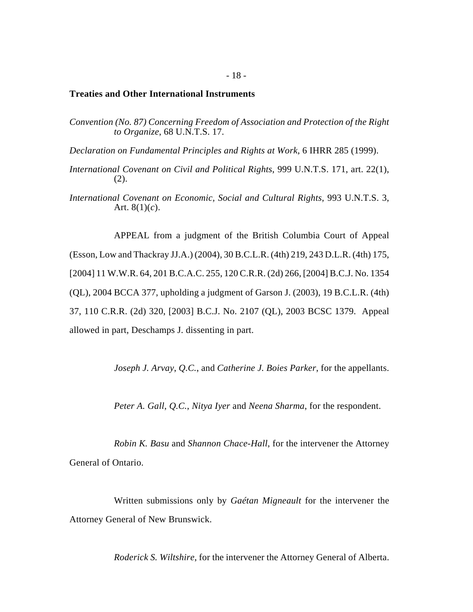#### **Treaties and Other International Instruments**

*Convention (No. 87) Concerning Freedom of Association and Protection of the Right to Organize*, 68 U.N.T.S. 17.

*Declaration on Fundamental Principles and Rights at Work*, 6 IHRR 285 (1999).

- *International Covenant on Civil and Political Rights*, 999 U.N.T.S. 171, art. 22(1),  $(2).$
- *International Covenant on Economic, Social and Cultural Rights*, 993 U.N.T.S. 3, Art.  $8(1)(c)$ .

APPEAL from a judgment of the British Columbia Court of Appeal (Esson, Low and Thackray JJ.A.) (2004), 30 B.C.L.R. (4th) 219, 243 D.L.R. (4th) 175, [2004] 11 W.W.R. 64, 201 B.C.A.C. 255, 120 C.R.R. (2d) 266, [2004] B.C.J. No. 1354 (QL), 2004 BCCA 377, upholding a judgment of Garson J. (2003), 19 B.C.L.R. (4th) 37, 110 C.R.R. (2d) 320, [2003] B.C.J. No. 2107 (QL), 2003 BCSC 1379. Appeal allowed in part, Deschamps J. dissenting in part.

*Joseph J. Arvay*, *Q.C.*, and *Catherine J. Boies Parker*, for the appellants.

*Peter A. Gall*, *Q.C.*, *Nitya Iyer* and *Neena Sharma*, for the respondent.

*Robin K. Basu* and *Shannon Chace-Hall*, for the intervener the Attorney General of Ontario.

Written submissions only by *Gaétan Migneault* for the intervener the Attorney General of New Brunswick.

*Roderick S. Wiltshire*, for the intervener the Attorney General of Alberta.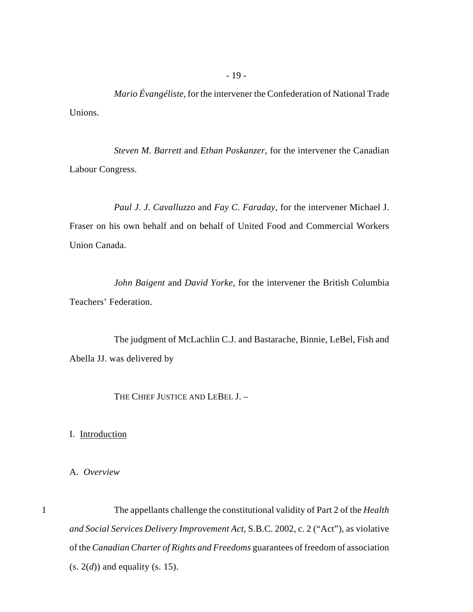*Mario Évangéliste*, for the intervener the Confederation of National Trade Unions.

*Steven M. Barrett* and *Ethan Poskanzer*, for the intervener the Canadian Labour Congress.

*Paul J. J. Cavalluzzo* and *Fay C. Faraday*, for the intervener Michael J. Fraser on his own behalf and on behalf of United Food and Commercial Workers Union Canada.

*John Baigent* and *David Yorke*, for the intervener the British Columbia Teachers' Federation.

The judgment of McLachlin C.J. and Bastarache, Binnie, LeBel, Fish and Abella JJ. was delivered by

THE CHIEF JUSTICE AND LEBEL J. –

I. Introduction

A. *Overview*

1 The appellants challenge the constitutional validity of Part 2 of the *Health and Social Services Delivery Improvement Act*, S.B.C. 2002, c. 2 ("Act"), as violative of the *Canadian Charter of Rights and Freedoms* guarantees of freedom of association  $(s. 2(d))$  and equality  $(s. 15)$ .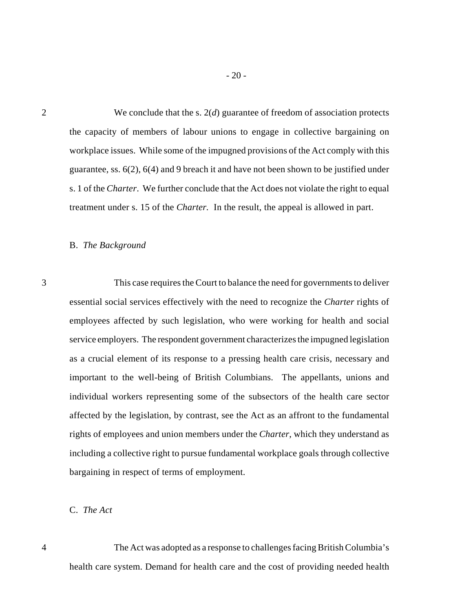2 We conclude that the s. 2(*d*) guarantee of freedom of association protects the capacity of members of labour unions to engage in collective bargaining on workplace issues. While some of the impugned provisions of the Act comply with this guarantee, ss. 6(2), 6(4) and 9 breach it and have not been shown to be justified under s. 1 of the *Charter*. We further conclude that the Act does not violate the right to equal treatment under s. 15 of the *Charter.* In the result, the appeal is allowed in part.

- 20 -

#### B. *The Background*

3 This case requires the Court to balance the need for governments to deliver essential social services effectively with the need to recognize the *Charter* rights of employees affected by such legislation, who were working for health and social service employers. The respondent government characterizes the impugned legislation as a crucial element of its response to a pressing health care crisis, necessary and important to the well-being of British Columbians. The appellants, unions and individual workers representing some of the subsectors of the health care sector affected by the legislation, by contrast, see the Act as an affront to the fundamental rights of employees and union members under the *Charter*, which they understand as including a collective right to pursue fundamental workplace goals through collective bargaining in respect of terms of employment.

# C. *The Act*

4 The Act was adopted as a response to challenges facing British Columbia's health care system. Demand for health care and the cost of providing needed health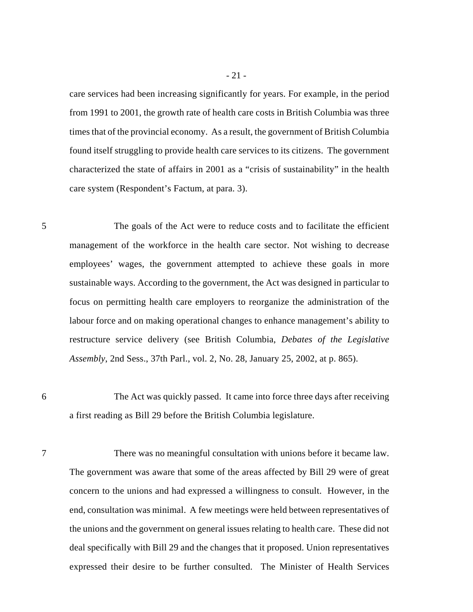care services had been increasing significantly for years. For example, in the period from 1991 to 2001, the growth rate of health care costs in British Columbia was three times that of the provincial economy. As a result, the government of British Columbia found itself struggling to provide health care services to its citizens. The government characterized the state of affairs in 2001 as a "crisis of sustainability" in the health care system (Respondent's Factum, at para. 3).

5 The goals of the Act were to reduce costs and to facilitate the efficient management of the workforce in the health care sector. Not wishing to decrease employees' wages, the government attempted to achieve these goals in more sustainable ways. According to the government, the Act was designed in particular to focus on permitting health care employers to reorganize the administration of the labour force and on making operational changes to enhance management's ability to restructure service delivery (see British Columbia, *Debates of the Legislative Assembly*, 2nd Sess., 37th Parl., vol. 2, No. 28, January 25, 2002, at p. 865).

6 The Act was quickly passed. It came into force three days after receiving a first reading as Bill 29 before the British Columbia legislature.

7 There was no meaningful consultation with unions before it became law. The government was aware that some of the areas affected by Bill 29 were of great concern to the unions and had expressed a willingness to consult. However, in the end, consultation was minimal. A few meetings were held between representatives of the unions and the government on general issues relating to health care. These did not deal specifically with Bill 29 and the changes that it proposed. Union representatives expressed their desire to be further consulted. The Minister of Health Services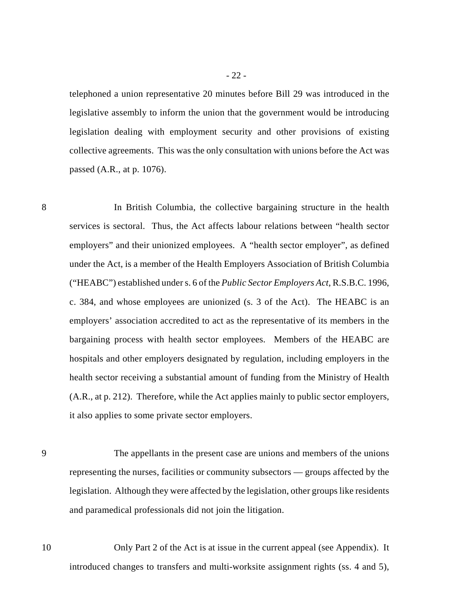telephoned a union representative 20 minutes before Bill 29 was introduced in the legislative assembly to inform the union that the government would be introducing legislation dealing with employment security and other provisions of existing collective agreements. This was the only consultation with unions before the Act was passed (A.R., at p. 1076).

8 In British Columbia, the collective bargaining structure in the health services is sectoral. Thus, the Act affects labour relations between "health sector employers" and their unionized employees. A "health sector employer", as defined under the Act, is a member of the Health Employers Association of British Columbia ("HEABC") established under s. 6 of the *Public Sector Employers Act*, R.S.B.C. 1996, c. 384, and whose employees are unionized (s. 3 of the Act). The HEABC is an employers' association accredited to act as the representative of its members in the bargaining process with health sector employees. Members of the HEABC are hospitals and other employers designated by regulation, including employers in the health sector receiving a substantial amount of funding from the Ministry of Health (A.R., at p. 212). Therefore, while the Act applies mainly to public sector employers, it also applies to some private sector employers.

9 The appellants in the present case are unions and members of the unions representing the nurses, facilities or community subsectors — groups affected by the legislation. Although they were affected by the legislation, other groups like residents and paramedical professionals did not join the litigation.

10 Only Part 2 of the Act is at issue in the current appeal (see Appendix). It introduced changes to transfers and multi-worksite assignment rights (ss. 4 and 5),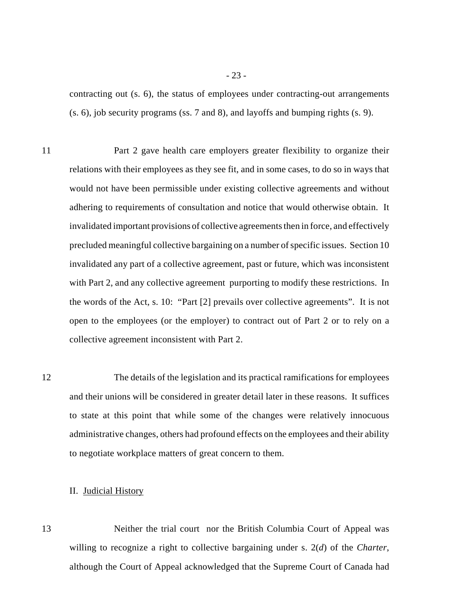contracting out (s. 6), the status of employees under contracting-out arrangements (s. 6), job security programs (ss. 7 and 8), and layoffs and bumping rights (s. 9).

11 Part 2 gave health care employers greater flexibility to organize their relations with their employees as they see fit, and in some cases, to do so in ways that would not have been permissible under existing collective agreements and without adhering to requirements of consultation and notice that would otherwise obtain. It invalidated important provisions of collective agreements then in force, and effectively precluded meaningful collective bargaining on a number of specific issues. Section 10 invalidated any part of a collective agreement, past or future, which was inconsistent with Part 2, and any collective agreement purporting to modify these restrictions. In the words of the Act, s. 10: "Part [2] prevails over collective agreements". It is not open to the employees (or the employer) to contract out of Part 2 or to rely on a collective agreement inconsistent with Part 2.

12 The details of the legislation and its practical ramifications for employees and their unions will be considered in greater detail later in these reasons. It suffices to state at this point that while some of the changes were relatively innocuous administrative changes, others had profound effects on the employees and their ability to negotiate workplace matters of great concern to them.

### II. Judicial History

13 Neither the trial court nor the British Columbia Court of Appeal was willing to recognize a right to collective bargaining under s. 2(*d*) of the *Charter*, although the Court of Appeal acknowledged that the Supreme Court of Canada had

- 23 -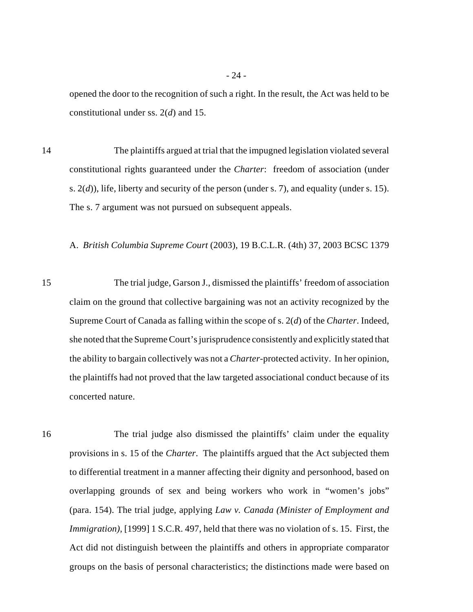opened the door to the recognition of such a right. In the result, the Act was held to be constitutional under ss. 2(*d*) and 15.

14 The plaintiffs argued at trial that the impugned legislation violated several constitutional rights guaranteed under the *Charter*: freedom of association (under s. 2(*d*)), life, liberty and security of the person (under s. 7), and equality (under s. 15). The s. 7 argument was not pursued on subsequent appeals.

### A. *British Columbia Supreme Court* (2003), 19 B.C.L.R. (4th) 37, 2003 BCSC 1379

15 The trial judge, Garson J., dismissed the plaintiffs' freedom of association claim on the ground that collective bargaining was not an activity recognized by the Supreme Court of Canada as falling within the scope of s. 2(*d*) of the *Charter*. Indeed, she noted that the Supreme Court's jurisprudence consistently and explicitly stated that the ability to bargain collectively was not a *Charter*-protected activity. In her opinion, the plaintiffs had not proved that the law targeted associational conduct because of its concerted nature.

16 The trial judge also dismissed the plaintiffs' claim under the equality provisions in s. 15 of the *Charter*. The plaintiffs argued that the Act subjected them to differential treatment in a manner affecting their dignity and personhood, based on overlapping grounds of sex and being workers who work in "women's jobs" (para. 154). The trial judge, applying *Law v. Canada (Minister of Employment and Immigration*), [1999] 1 S.C.R. 497, held that there was no violation of s. 15. First, the Act did not distinguish between the plaintiffs and others in appropriate comparator groups on the basis of personal characteristics; the distinctions made were based on

- 24 -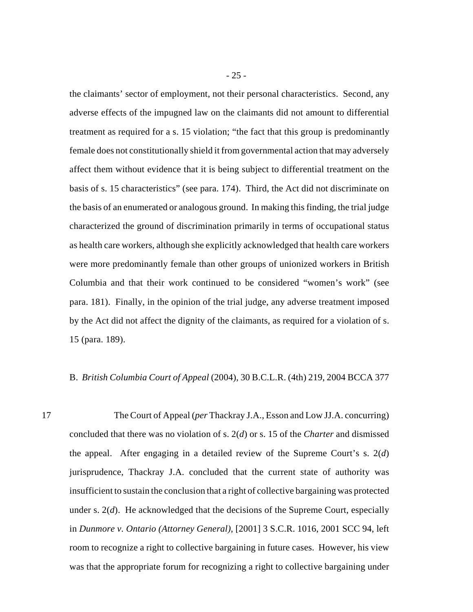the claimants' sector of employment, not their personal characteristics. Second, any adverse effects of the impugned law on the claimants did not amount to differential treatment as required for a s. 15 violation; "the fact that this group is predominantly female does not constitutionally shield it from governmental action that may adversely affect them without evidence that it is being subject to differential treatment on the basis of s. 15 characteristics" (see para. 174). Third, the Act did not discriminate on the basis of an enumerated or analogous ground. In making this finding, the trial judge characterized the ground of discrimination primarily in terms of occupational status as health care workers, although she explicitly acknowledged that health care workers were more predominantly female than other groups of unionized workers in British Columbia and that their work continued to be considered "women's work" (see para. 181). Finally, in the opinion of the trial judge, any adverse treatment imposed by the Act did not affect the dignity of the claimants, as required for a violation of s. 15 (para. 189).

### B. *British Columbia Court of Appeal* (2004), 30 B.C.L.R. (4th) 219, 2004 BCCA 377

17 The Court of Appeal (*per* Thackray J.A., Esson and Low JJ.A. concurring) concluded that there was no violation of s. 2(*d*) or s. 15 of the *Charter* and dismissed the appeal. After engaging in a detailed review of the Supreme Court's s. 2(*d*) jurisprudence, Thackray J.A. concluded that the current state of authority was insufficient to sustain the conclusion that a right of collective bargaining was protected under s. 2(*d*). He acknowledged that the decisions of the Supreme Court, especially in *Dunmore v. Ontario (Attorney General)*, [2001] 3 S.C.R. 1016, 2001 SCC 94, left room to recognize a right to collective bargaining in future cases. However, his view was that the appropriate forum for recognizing a right to collective bargaining under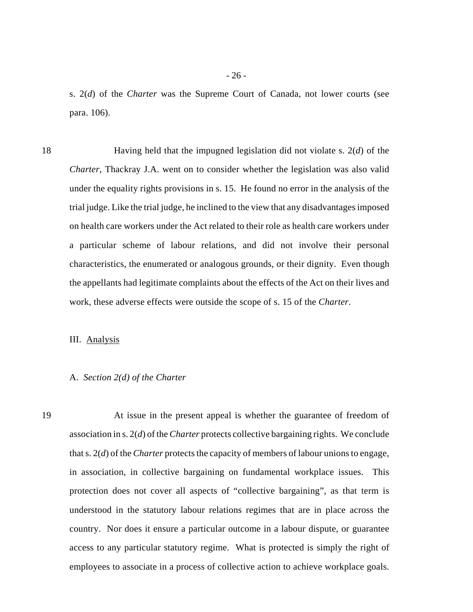s. 2(*d*) of the *Charter* was the Supreme Court of Canada, not lower courts (see para. 106).

18 Having held that the impugned legislation did not violate s. 2(*d*) of the *Charter*, Thackray J.A. went on to consider whether the legislation was also valid under the equality rights provisions in s. 15. He found no error in the analysis of the trial judge. Like the trial judge, he inclined to the view that any disadvantages imposed on health care workers under the Act related to their role as health care workers under a particular scheme of labour relations, and did not involve their personal characteristics, the enumerated or analogous grounds, or their dignity. Even though the appellants had legitimate complaints about the effects of the Act on their lives and work, these adverse effects were outside the scope of s. 15 of the *Charter*.

### III. Analysis

#### A. *Section 2(d) of the Charter*

19 At issue in the present appeal is whether the guarantee of freedom of association in s. 2(*d*) of the *Charter* protects collective bargaining rights. We conclude that s. 2(*d*) of the *Charter* protects the capacity of members of labour unions to engage, in association, in collective bargaining on fundamental workplace issues. This protection does not cover all aspects of "collective bargaining", as that term is understood in the statutory labour relations regimes that are in place across the country. Nor does it ensure a particular outcome in a labour dispute, or guarantee access to any particular statutory regime. What is protected is simply the right of employees to associate in a process of collective action to achieve workplace goals.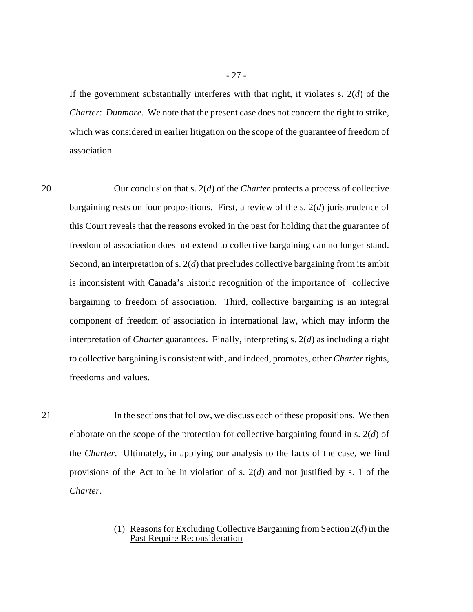If the government substantially interferes with that right, it violates s.  $2(d)$  of the *Charter*: *Dunmore*. We note that the present case does not concern the right to strike, which was considered in earlier litigation on the scope of the guarantee of freedom of association.

20 Our conclusion that s. 2(*d*) of the *Charter* protects a process of collective bargaining rests on four propositions. First, a review of the s. 2(*d*) jurisprudence of this Court reveals that the reasons evoked in the past for holding that the guarantee of freedom of association does not extend to collective bargaining can no longer stand. Second, an interpretation of s. 2(*d*) that precludes collective bargaining from its ambit is inconsistent with Canada's historic recognition of the importance of collective bargaining to freedom of association. Third, collective bargaining is an integral component of freedom of association in international law, which may inform the interpretation of *Charter* guarantees. Finally, interpreting s. 2(*d*) as including a right to collective bargaining is consistent with, and indeed, promotes, other *Charter* rights, freedoms and values.

21 In the sections that follow, we discuss each of these propositions. We then elaborate on the scope of the protection for collective bargaining found in s. 2(*d*) of the *Charter*. Ultimately, in applying our analysis to the facts of the case, we find provisions of the Act to be in violation of s. 2(*d*) and not justified by s. 1 of the *Charter*.

# (1) Reasons for Excluding Collective Bargaining from Section 2(*d*) in the Past Require Reconsideration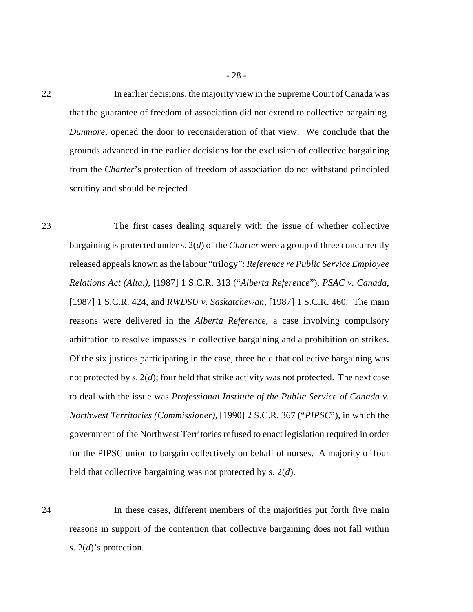22 In earlier decisions, the majority view in the Supreme Court of Canada was that the guarantee of freedom of association did not extend to collective bargaining. *Dunmore*, opened the door to reconsideration of that view. We conclude that the grounds advanced in the earlier decisions for the exclusion of collective bargaining from the *Charter*'s protection of freedom of association do not withstand principled scrutiny and should be rejected.

23 The first cases dealing squarely with the issue of whether collective bargaining is protected under s. 2(*d*) of the *Charter* were a group of three concurrently released appeals known as the labour "trilogy": *Reference re Public Service Employee Relations Act (Alta.)*, [1987] 1 S.C.R. 313 ("*Alberta Reference*"), *PSAC v. Canada*, [1987] 1 S.C.R. 424, and *RWDSU v. Saskatchewan*, [1987] 1 S.C.R. 460. The main reasons were delivered in the *Alberta Reference*, a case involving compulsory arbitration to resolve impasses in collective bargaining and a prohibition on strikes. Of the six justices participating in the case, three held that collective bargaining was not protected by s. 2(*d*); four held that strike activity was not protected. The next case to deal with the issue was *Professional Institute of the Public Service of Canada v. Northwest Territories (Commissioner)*, [1990] 2 S.C.R. 367 ("*PIPSC*"), in which the government of the Northwest Territories refused to enact legislation required in order for the PIPSC union to bargain collectively on behalf of nurses. A majority of four held that collective bargaining was not protected by s. 2(*d*).

24 In these cases, different members of the majorities put forth five main reasons in support of the contention that collective bargaining does not fall within s. 2(*d*)'s protection.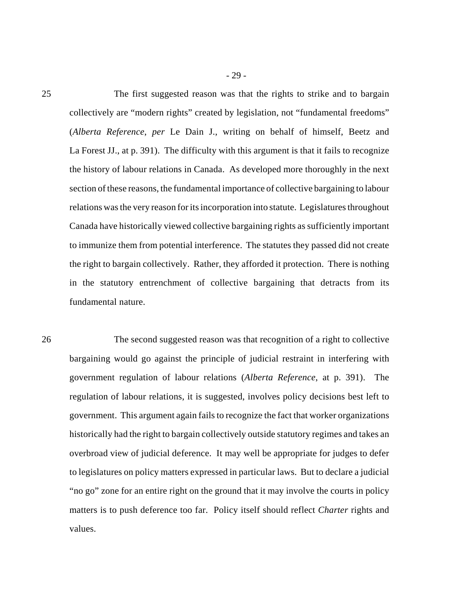25 The first suggested reason was that the rights to strike and to bargain collectively are "modern rights" created by legislation, not "fundamental freedoms" (*Alberta Reference*, *per* Le Dain J., writing on behalf of himself, Beetz and La Forest JJ., at p. 391). The difficulty with this argument is that it fails to recognize the history of labour relations in Canada. As developed more thoroughly in the next section of these reasons, the fundamental importance of collective bargaining to labour relations was the very reason for its incorporation into statute. Legislatures throughout Canada have historically viewed collective bargaining rights as sufficiently important to immunize them from potential interference. The statutes they passed did not create the right to bargain collectively. Rather, they afforded it protection. There is nothing in the statutory entrenchment of collective bargaining that detracts from its fundamental nature.

26 The second suggested reason was that recognition of a right to collective bargaining would go against the principle of judicial restraint in interfering with government regulation of labour relations (*Alberta Reference*, at p. 391). The regulation of labour relations, it is suggested, involves policy decisions best left to government. This argument again fails to recognize the fact that worker organizations historically had the right to bargain collectively outside statutory regimes and takes an overbroad view of judicial deference. It may well be appropriate for judges to defer to legislatures on policy matters expressed in particular laws. But to declare a judicial "no go" zone for an entire right on the ground that it may involve the courts in policy matters is to push deference too far. Policy itself should reflect *Charter* rights and values.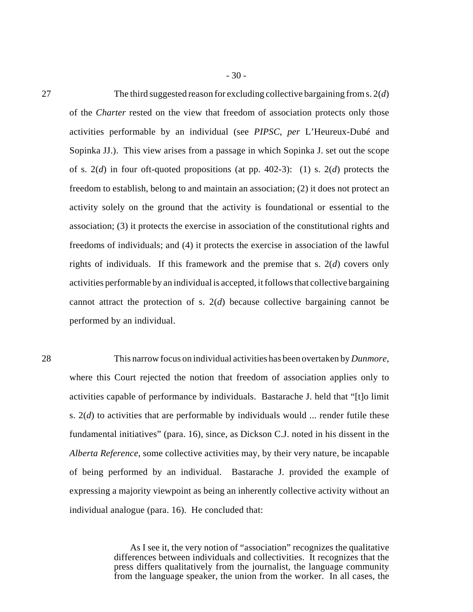27 The third suggested reason for excluding collective bargaining from s. 2(*d*) of the *Charter* rested on the view that freedom of association protects only those activities performable by an individual (see *PIPSC*, *per* L'Heureux-Dubé and Sopinka JJ.). This view arises from a passage in which Sopinka J. set out the scope of s. 2(*d*) in four oft-quoted propositions (at pp. 402-3): (1) s. 2(*d*) protects the freedom to establish, belong to and maintain an association; (2) it does not protect an activity solely on the ground that the activity is foundational or essential to the association; (3) it protects the exercise in association of the constitutional rights and freedoms of individuals; and (4) it protects the exercise in association of the lawful rights of individuals. If this framework and the premise that s. 2(*d*) covers only activities performable by an individual is accepted, it follows that collective bargaining cannot attract the protection of s. 2(*d*) because collective bargaining cannot be performed by an individual.

28 This narrow focus on individual activities has been overtaken by *Dunmore*, where this Court rejected the notion that freedom of association applies only to activities capable of performance by individuals. Bastarache J. held that "[t]o limit s.  $2(d)$  to activities that are performable by individuals would ... render futile these fundamental initiatives" (para. 16), since, as Dickson C.J. noted in his dissent in the *Alberta Reference*, some collective activities may, by their very nature, be incapable of being performed by an individual. Bastarache J. provided the example of expressing a majority viewpoint as being an inherently collective activity without an individual analogue (para. 16). He concluded that:

> As I see it, the very notion of "association" recognizes the qualitative differences between individuals and collectivities. It recognizes that the press differs qualitatively from the journalist, the language community from the language speaker, the union from the worker. In all cases, the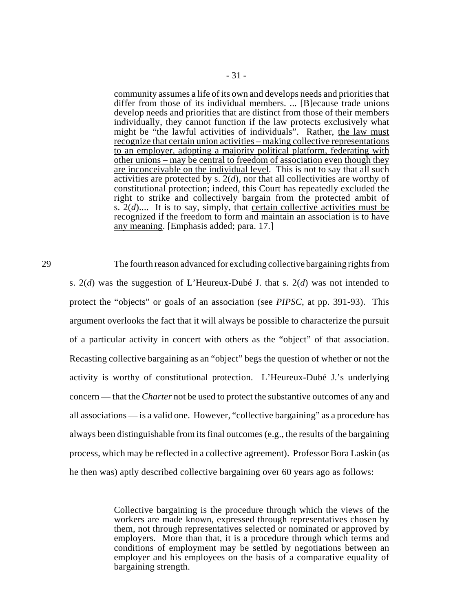community assumes a life of its own and develops needs and priorities that differ from those of its individual members. ... [B]ecause trade unions develop needs and priorities that are distinct from those of their members individually, they cannot function if the law protects exclusively what might be "the lawful activities of individuals". Rather, the law must recognize that certain union activities – making collective representations to an employer, adopting a majority political platform, federating with other unions – may be central to freedom of association even though they are inconceivable on the individual level. This is not to say that all such activities are protected by s. 2(*d*), nor that all collectivities are worthy of constitutional protection; indeed, this Court has repeatedly excluded the right to strike and collectively bargain from the protected ambit of s. 2(*d*).... It is to say, simply, that certain collective activities must be recognized if the freedom to form and maintain an association is to have any meaning. [Emphasis added; para. 17.]

29 The fourth reason advanced for excluding collective bargaining rights from s. 2(*d*) was the suggestion of L'Heureux-Dubé J. that s. 2(*d*) was not intended to protect the "objects" or goals of an association (see *PIPSC*, at pp. 391-93). This argument overlooks the fact that it will always be possible to characterize the pursuit of a particular activity in concert with others as the "object" of that association. Recasting collective bargaining as an "object" begs the question of whether or not the activity is worthy of constitutional protection. L'Heureux-Dubé J.'s underlying concern — that the *Charter* not be used to protect the substantive outcomes of any and all associations — is a valid one. However, "collective bargaining" as a procedure has always been distinguishable from its final outcomes (e.g., the results of the bargaining process, which may be reflected in a collective agreement). Professor Bora Laskin (as he then was) aptly described collective bargaining over 60 years ago as follows:

> Collective bargaining is the procedure through which the views of the workers are made known, expressed through representatives chosen by them, not through representatives selected or nominated or approved by employers. More than that, it is a procedure through which terms and conditions of employment may be settled by negotiations between an employer and his employees on the basis of a comparative equality of bargaining strength.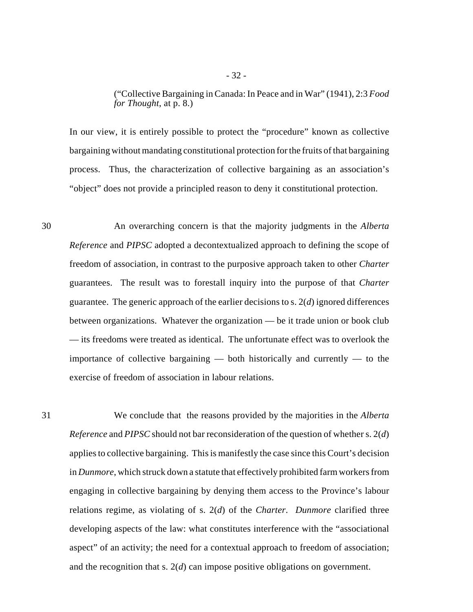# ("Collective Bargaining in Canada: In Peace and in War" (1941), 2:3 *Food for Thought*, at p. 8.)

In our view, it is entirely possible to protect the "procedure" known as collective bargaining without mandating constitutional protection for the fruits of that bargaining process. Thus, the characterization of collective bargaining as an association's "object" does not provide a principled reason to deny it constitutional protection.

30 An overarching concern is that the majority judgments in the *Alberta Reference* and *PIPSC* adopted a decontextualized approach to defining the scope of freedom of association, in contrast to the purposive approach taken to other *Charter* guarantees. The result was to forestall inquiry into the purpose of that *Charter* guarantee. The generic approach of the earlier decisions to s. 2(*d*) ignored differences between organizations. Whatever the organization — be it trade union or book club — its freedoms were treated as identical. The unfortunate effect was to overlook the importance of collective bargaining — both historically and currently — to the exercise of freedom of association in labour relations.

31 We conclude that the reasons provided by the majorities in the *Alberta Reference* and *PIPSC* should not bar reconsideration of the question of whether s. 2(*d*) applies to collective bargaining. This is manifestly the case since this Court's decision in *Dunmore*, which struck down a statute that effectively prohibited farm workers from engaging in collective bargaining by denying them access to the Province's labour relations regime, as violating of s. 2(*d*) of the *Charter*. *Dunmore* clarified three developing aspects of the law: what constitutes interference with the "associational aspect" of an activity; the need for a contextual approach to freedom of association; and the recognition that s.  $2(d)$  can impose positive obligations on government.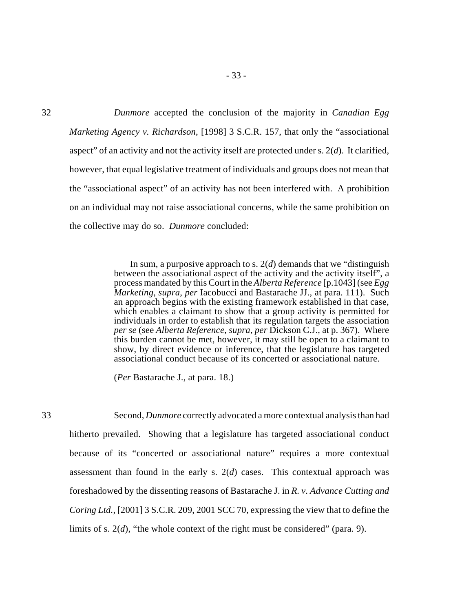32 *Dunmore* accepted the conclusion of the majority in *Canadian Egg Marketing Agency v. Richardson*, [1998] 3 S.C.R. 157, that only the "associational aspect" of an activity and not the activity itself are protected under s. 2(*d*). It clarified, however, that equal legislative treatment of individuals and groups does not mean that the "associational aspect" of an activity has not been interfered with. A prohibition on an individual may not raise associational concerns, while the same prohibition on the collective may do so. *Dunmore* concluded:

> In sum, a purposive approach to s. 2(*d*) demands that we "distinguish between the associational aspect of the activity and the activity itself", a process mandated by this Court in the *Alberta Reference* [p.1043] (see *Egg Marketing, supra*, *per* Iacobucci and Bastarache JJ., at para. 111). Such an approach begins with the existing framework established in that case, which enables a claimant to show that a group activity is permitted for individuals in order to establish that its regulation targets the association *per se* (see *Alberta Reference*, *supra*, *per* Dickson C.J., at p. 367). Where this burden cannot be met, however, it may still be open to a claimant to show, by direct evidence or inference, that the legislature has targeted associational conduct because of its concerted or associational nature.

(*Per* Bastarache J., at para. 18.)

33 Second, *Dunmore* correctly advocated a more contextual analysis than had hitherto prevailed. Showing that a legislature has targeted associational conduct because of its "concerted or associational nature" requires a more contextual assessment than found in the early s. 2(*d*) cases. This contextual approach was foreshadowed by the dissenting reasons of Bastarache J. in *R. v. Advance Cutting and Coring Ltd.*, [2001] 3 S.C.R. 209, 2001 SCC 70, expressing the view that to define the limits of s. 2(*d*), "the whole context of the right must be considered" (para. 9).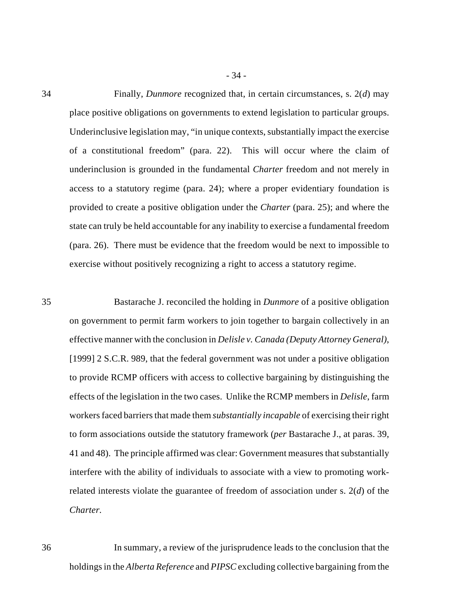34 Finally, *Dunmore* recognized that, in certain circumstances, s. 2(*d*) may place positive obligations on governments to extend legislation to particular groups. Underinclusive legislation may, "in unique contexts, substantially impact the exercise of a constitutional freedom" (para. 22). This will occur where the claim of underinclusion is grounded in the fundamental *Charter* freedom and not merely in access to a statutory regime (para. 24); where a proper evidentiary foundation is provided to create a positive obligation under the *Charter* (para. 25); and where the state can truly be held accountable for any inability to exercise a fundamental freedom (para. 26). There must be evidence that the freedom would be next to impossible to exercise without positively recognizing a right to access a statutory regime.

- 34 -

35 Bastarache J. reconciled the holding in *Dunmore* of a positive obligation on government to permit farm workers to join together to bargain collectively in an effective manner with the conclusion in *Delisle v. Canada (Deputy Attorney General)*, [1999] 2 S.C.R. 989, that the federal government was not under a positive obligation to provide RCMP officers with access to collective bargaining by distinguishing the effects of the legislation in the two cases. Unlike the RCMP members in *Delisle*, farm workers faced barriers that made them *substantially incapable* of exercising their right to form associations outside the statutory framework (*per* Bastarache J., at paras. 39, 41 and 48). The principle affirmed was clear: Government measures that substantially interfere with the ability of individuals to associate with a view to promoting workrelated interests violate the guarantee of freedom of association under s. 2(*d*) of the *Charter.*

36 In summary, a review of the jurisprudence leads to the conclusion that the holdings in the *Alberta Reference* and *PIPSC* excluding collective bargaining from the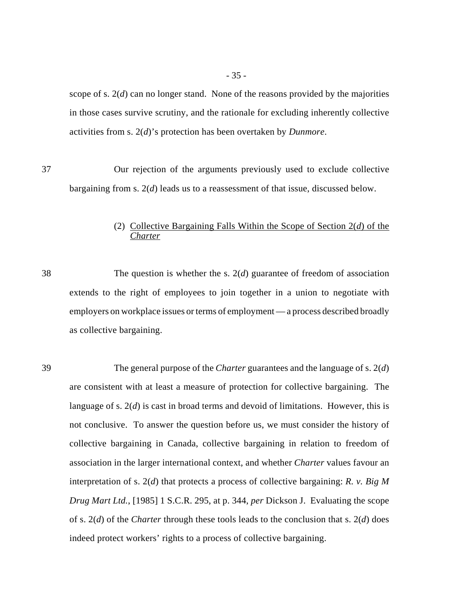scope of s. 2(*d*) can no longer stand. None of the reasons provided by the majorities in those cases survive scrutiny, and the rationale for excluding inherently collective activities from s. 2(*d*)'s protection has been overtaken by *Dunmore*.

37 Our rejection of the arguments previously used to exclude collective bargaining from s. 2(*d*) leads us to a reassessment of that issue, discussed below.

# (2) Collective Bargaining Falls Within the Scope of Section 2(*d*) of the *Charter*

38 The question is whether the s. 2(*d*) guarantee of freedom of association extends to the right of employees to join together in a union to negotiate with employers on workplace issues or terms of employment — a process described broadly as collective bargaining.

39 The general purpose of the *Charter* guarantees and the language of s. 2(*d*) are consistent with at least a measure of protection for collective bargaining. The language of s.  $2(d)$  is cast in broad terms and devoid of limitations. However, this is not conclusive. To answer the question before us, we must consider the history of collective bargaining in Canada, collective bargaining in relation to freedom of association in the larger international context, and whether *Charter* values favour an interpretation of s. 2(*d*) that protects a process of collective bargaining: *R. v. Big M Drug Mart Ltd.*, [1985] 1 S.C.R. 295, at p. 344, *per* Dickson J. Evaluating the scope of s. 2(*d*) of the *Charter* through these tools leads to the conclusion that s. 2(*d*) does indeed protect workers' rights to a process of collective bargaining.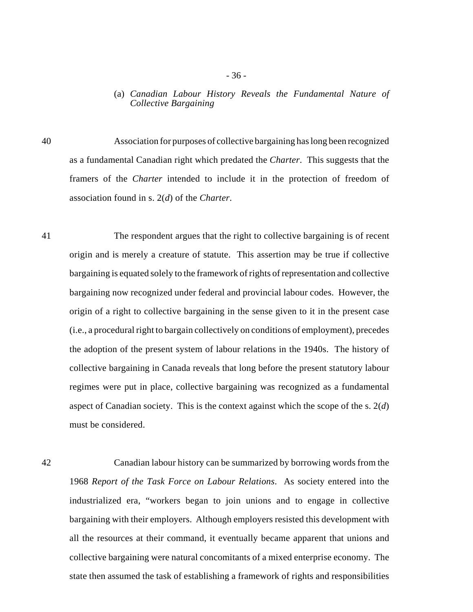## (a) *Canadian Labour History Reveals the Fundamental Nature of Collective Bargaining*

40 Association for purposes of collective bargaining has long been recognized as a fundamental Canadian right which predated the *Charter*. This suggests that the framers of the *Charter* intended to include it in the protection of freedom of association found in s. 2(*d*) of the *Charter*.

41 The respondent argues that the right to collective bargaining is of recent origin and is merely a creature of statute. This assertion may be true if collective bargaining is equated solely to the framework of rights of representation and collective bargaining now recognized under federal and provincial labour codes. However, the origin of a right to collective bargaining in the sense given to it in the present case (i.e., a procedural right to bargain collectively on conditions of employment), precedes the adoption of the present system of labour relations in the 1940s. The history of collective bargaining in Canada reveals that long before the present statutory labour regimes were put in place, collective bargaining was recognized as a fundamental aspect of Canadian society. This is the context against which the scope of the s. 2(*d*) must be considered.

42 Canadian labour history can be summarized by borrowing words from the 1968 *Report of the Task Force on Labour Relations*. As society entered into the industrialized era, "workers began to join unions and to engage in collective bargaining with their employers. Although employers resisted this development with all the resources at their command, it eventually became apparent that unions and collective bargaining were natural concomitants of a mixed enterprise economy. The state then assumed the task of establishing a framework of rights and responsibilities

- 36 -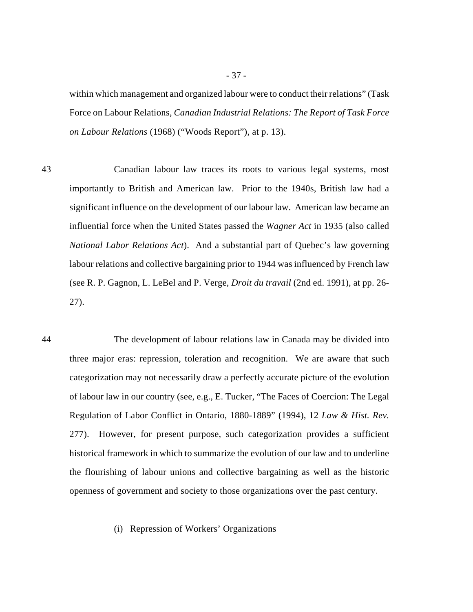within which management and organized labour were to conduct their relations" (Task Force on Labour Relations, *Canadian Industrial Relations: The Report of Task Force on Labour Relations* (1968) ("Woods Report"), at p. 13).

43 Canadian labour law traces its roots to various legal systems, most importantly to British and American law. Prior to the 1940s, British law had a significant influence on the development of our labour law. American law became an influential force when the United States passed the *Wagner Act* in 1935 (also called *National Labor Relations Act*). And a substantial part of Quebec's law governing labour relations and collective bargaining prior to 1944 was influenced by French law (see R. P. Gagnon, L. LeBel and P. Verge, *Droit du travail* (2nd ed. 1991), at pp. 26- 27).

44 The development of labour relations law in Canada may be divided into three major eras: repression, toleration and recognition. We are aware that such categorization may not necessarily draw a perfectly accurate picture of the evolution of labour law in our country (see, e.g., E. Tucker, "The Faces of Coercion: The Legal Regulation of Labor Conflict in Ontario, 1880-1889" (1994), 12 *Law & Hist. Rev.* 277). However, for present purpose, such categorization provides a sufficient historical framework in which to summarize the evolution of our law and to underline the flourishing of labour unions and collective bargaining as well as the historic openness of government and society to those organizations over the past century.

(i) Repression of Workers' Organizations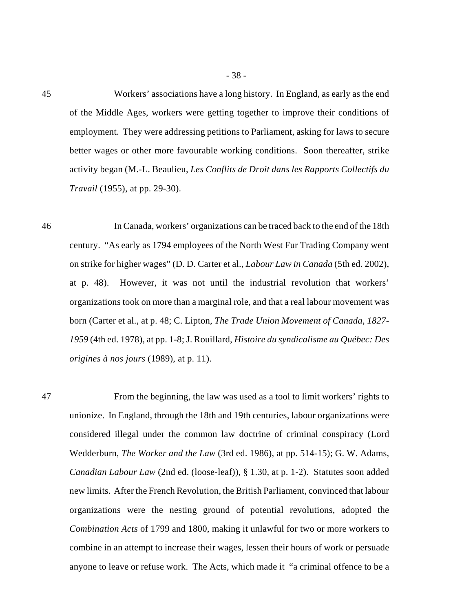45 Workers' associations have a long history. In England, as early as the end of the Middle Ages, workers were getting together to improve their conditions of employment. They were addressing petitions to Parliament, asking for laws to secure better wages or other more favourable working conditions. Soon thereafter, strike activity began (M.-L. Beaulieu, *Les Conflits de Droit dans les Rapports Collectifs du Travail* (1955), at pp. 29-30).

46 In Canada, workers' organizations can be traced back to the end of the 18th century. "As early as 1794 employees of the North West Fur Trading Company went on strike for higher wages" (D. D. Carter et al., *Labour Law in Canada* (5th ed. 2002), at p. 48). However, it was not until the industrial revolution that workers' organizations took on more than a marginal role, and that a real labour movement was born (Carter et al., at p. 48; C. Lipton, *The Trade Union Movement of Canada, 1827- 1959* (4th ed. 1978), at pp. 1-8; J. Rouillard, *Histoire du syndicalisme au Québec: Des origines à nos jours* (1989), at p. 11).

47 From the beginning, the law was used as a tool to limit workers' rights to unionize. In England, through the 18th and 19th centuries, labour organizations were considered illegal under the common law doctrine of criminal conspiracy (Lord Wedderburn, *The Worker and the Law* (3rd ed. 1986), at pp. 514-15); G. W. Adams, *Canadian Labour Law* (2nd ed. (loose-leaf)), § 1.30, at p. 1-2). Statutes soon added new limits. After the French Revolution, the British Parliament, convinced that labour organizations were the nesting ground of potential revolutions, adopted the *Combination Acts* of 1799 and 1800, making it unlawful for two or more workers to combine in an attempt to increase their wages, lessen their hours of work or persuade anyone to leave or refuse work. The Acts, which made it "a criminal offence to be a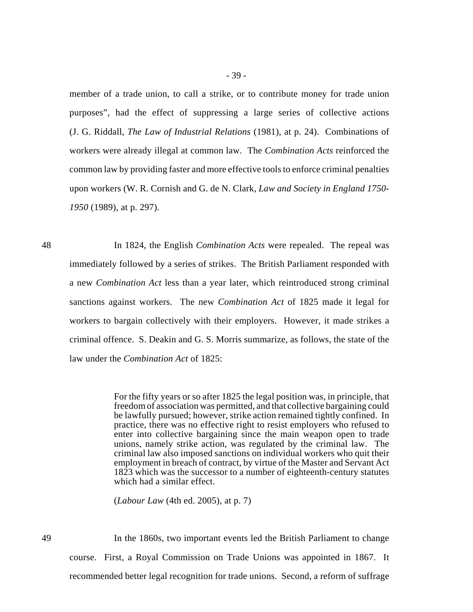- 39 -

member of a trade union, to call a strike, or to contribute money for trade union purposes", had the effect of suppressing a large series of collective actions (J. G. Riddall, *The Law of Industrial Relations* (1981), at p. 24). Combinations of workers were already illegal at common law. The *Combination Acts* reinforced the common law by providing faster and more effective tools to enforce criminal penalties upon workers (W. R. Cornish and G. de N. Clark, *Law and Society in England 1750- 1950* (1989), at p. 297).

48 In 1824, the English *Combination Acts* were repealed. The repeal was immediately followed by a series of strikes. The British Parliament responded with a new *Combination Act* less than a year later, which reintroduced strong criminal sanctions against workers. The new *Combination Act* of 1825 made it legal for workers to bargain collectively with their employers. However, it made strikes a criminal offence. S. Deakin and G. S. Morris summarize, as follows, the state of the law under the *Combination Act* of 1825:

> For the fifty years or so after 1825 the legal position was, in principle, that freedom of association was permitted, and that collective bargaining could be lawfully pursued; however, strike action remained tightly confined. In practice, there was no effective right to resist employers who refused to enter into collective bargaining since the main weapon open to trade unions, namely strike action, was regulated by the criminal law. The criminal law also imposed sanctions on individual workers who quit their employment in breach of contract, by virtue of the Master and Servant Act 1823 which was the successor to a number of eighteenth-century statutes which had a similar effect.

(*Labour Law* (4th ed. 2005), at p. 7)

49 In the 1860s, two important events led the British Parliament to change course. First, a Royal Commission on Trade Unions was appointed in 1867. It recommended better legal recognition for trade unions. Second, a reform of suffrage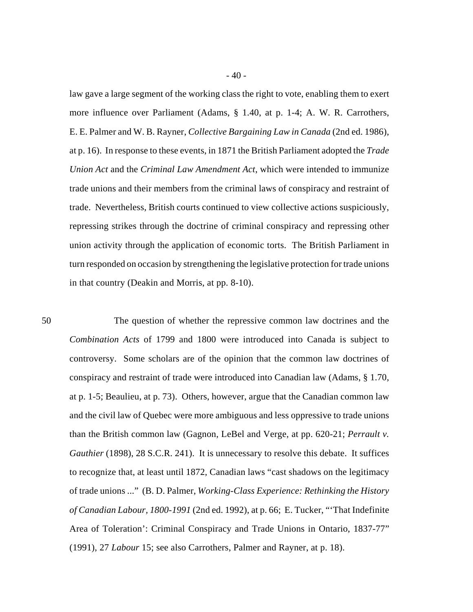law gave a large segment of the working class the right to vote, enabling them to exert more influence over Parliament (Adams, § 1.40, at p. 1-4; A. W. R. Carrothers, E. E. Palmer and W. B. Rayner, *Collective Bargaining Law in Canada* (2nd ed. 1986), at p. 16). In response to these events, in 1871 the British Parliament adopted the *Trade Union Act* and the *Criminal Law Amendment Act*, which were intended to immunize trade unions and their members from the criminal laws of conspiracy and restraint of trade. Nevertheless, British courts continued to view collective actions suspiciously, repressing strikes through the doctrine of criminal conspiracy and repressing other union activity through the application of economic torts. The British Parliament in turn responded on occasion by strengthening the legislative protection for trade unions in that country (Deakin and Morris, at pp. 8-10).

50 The question of whether the repressive common law doctrines and the *Combination Acts* of 1799 and 1800 were introduced into Canada is subject to controversy. Some scholars are of the opinion that the common law doctrines of conspiracy and restraint of trade were introduced into Canadian law (Adams, § 1.70, at p. 1-5; Beaulieu, at p. 73). Others, however, argue that the Canadian common law and the civil law of Quebec were more ambiguous and less oppressive to trade unions than the British common law (Gagnon, LeBel and Verge, at pp. 620-21; *Perrault v. Gauthier* (1898), 28 S.C.R. 241). It is unnecessary to resolve this debate. It suffices to recognize that, at least until 1872, Canadian laws "cast shadows on the legitimacy of trade unions ..." (B. D. Palmer, *Working-Class Experience: Rethinking the History of Canadian Labour, 1800-1991* (2nd ed. 1992), at p. 66; E. Tucker, "'That Indefinite Area of Toleration': Criminal Conspiracy and Trade Unions in Ontario, 1837-77" (1991), 27 *Labour* 15; see also Carrothers, Palmer and Rayner, at p. 18).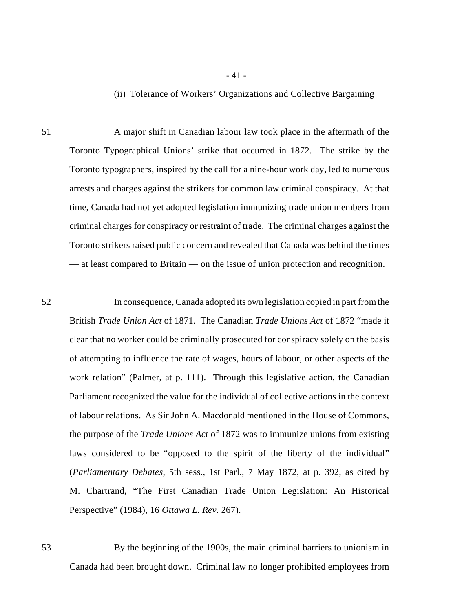# (ii) Tolerance of Workers' Organizations and Collective Bargaining

- 41 -

51 A major shift in Canadian labour law took place in the aftermath of the Toronto Typographical Unions' strike that occurred in 1872. The strike by the Toronto typographers, inspired by the call for a nine-hour work day, led to numerous arrests and charges against the strikers for common law criminal conspiracy. At that time, Canada had not yet adopted legislation immunizing trade union members from criminal charges for conspiracy or restraint of trade. The criminal charges against the Toronto strikers raised public concern and revealed that Canada was behind the times — at least compared to Britain — on the issue of union protection and recognition.

52 In consequence, Canada adopted its own legislation copied in part from the British *Trade Union Act* of 1871. The Canadian *Trade Unions Act* of 1872 "made it clear that no worker could be criminally prosecuted for conspiracy solely on the basis of attempting to influence the rate of wages, hours of labour, or other aspects of the work relation" (Palmer, at p. 111). Through this legislative action, the Canadian Parliament recognized the value for the individual of collective actions in the context of labour relations. As Sir John A. Macdonald mentioned in the House of Commons, the purpose of the *Trade Unions Act* of 1872 was to immunize unions from existing laws considered to be "opposed to the spirit of the liberty of the individual" (*Parliamentary Debates*, 5th sess., 1st Parl., 7 May 1872, at p. 392, as cited by M. Chartrand, "The First Canadian Trade Union Legislation: An Historical Perspective" (1984), 16 *Ottawa L. Rev.* 267).

53 By the beginning of the 1900s, the main criminal barriers to unionism in Canada had been brought down. Criminal law no longer prohibited employees from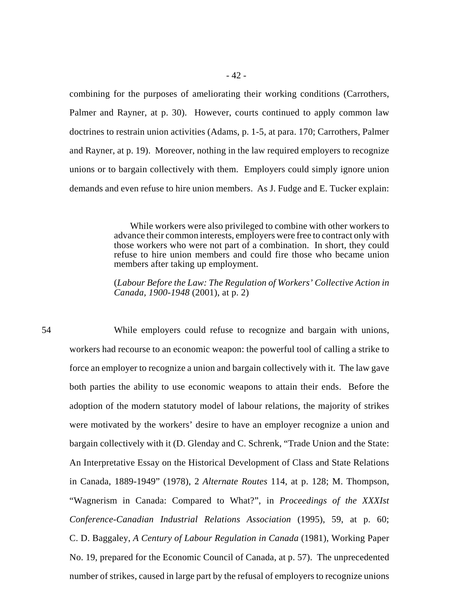combining for the purposes of ameliorating their working conditions (Carrothers, Palmer and Rayner, at p. 30). However, courts continued to apply common law doctrines to restrain union activities (Adams, p. 1-5, at para. 170; Carrothers, Palmer and Rayner, at p. 19). Moreover, nothing in the law required employers to recognize unions or to bargain collectively with them. Employers could simply ignore union demands and even refuse to hire union members. As J. Fudge and E. Tucker explain:

> While workers were also privileged to combine with other workers to advance their common interests, employers were free to contract only with those workers who were not part of a combination. In short, they could refuse to hire union members and could fire those who became union members after taking up employment.

> (*Labour Before the Law: The Regulation of Workers' Collective Action in Canada, 1900-1948* (2001), at p. 2)

54 While employers could refuse to recognize and bargain with unions, workers had recourse to an economic weapon: the powerful tool of calling a strike to force an employer to recognize a union and bargain collectively with it. The law gave both parties the ability to use economic weapons to attain their ends. Before the adoption of the modern statutory model of labour relations, the majority of strikes were motivated by the workers' desire to have an employer recognize a union and bargain collectively with it (D. Glenday and C. Schrenk, "Trade Union and the State: An Interpretative Essay on the Historical Development of Class and State Relations in Canada, 1889-1949" (1978), 2 *Alternate Routes* 114, at p. 128; M. Thompson, "Wagnerism in Canada: Compared to What?", in *Proceedings of the XXXIst Conference-Canadian Industrial Relations Association* (1995), 59, at p. 60; C. D. Baggaley, *A Century of Labour Regulation in Canada* (1981), Working Paper No. 19, prepared for the Economic Council of Canada, at p. 57). The unprecedented number of strikes, caused in large part by the refusal of employers to recognize unions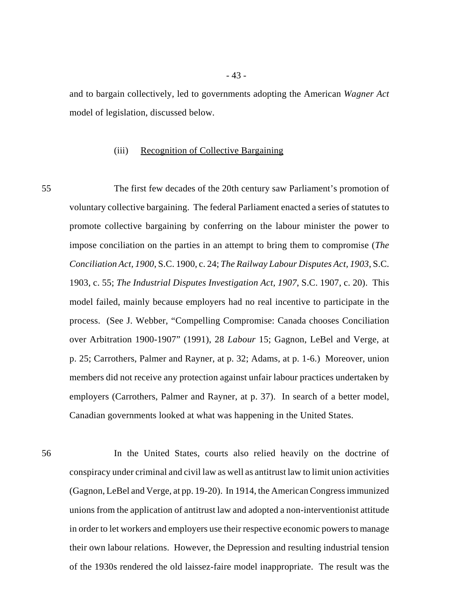and to bargain collectively, led to governments adopting the American *Wagner Act* model of legislation, discussed below.

#### (iii) Recognition of Collective Bargaining

55 The first few decades of the 20th century saw Parliament's promotion of voluntary collective bargaining. The federal Parliament enacted a series of statutes to promote collective bargaining by conferring on the labour minister the power to impose conciliation on the parties in an attempt to bring them to compromise (*The Conciliation Act, 1900*, S.C. 1900, c. 24; *The Railway Labour Disputes Act, 1903*, S.C. 1903, c. 55; *The Industrial Disputes Investigation Act, 1907*, S.C. 1907, c. 20). This model failed, mainly because employers had no real incentive to participate in the process. (See J. Webber, "Compelling Compromise: Canada chooses Conciliation over Arbitration 1900-1907" (1991), 28 *Labour* 15; Gagnon, LeBel and Verge, at p. 25; Carrothers, Palmer and Rayner, at p. 32; Adams, at p. 1-6.) Moreover, union members did not receive any protection against unfair labour practices undertaken by employers (Carrothers, Palmer and Rayner, at p. 37). In search of a better model, Canadian governments looked at what was happening in the United States.

56 In the United States, courts also relied heavily on the doctrine of conspiracy under criminal and civil law as well as antitrust law to limit union activities (Gagnon, LeBel and Verge, at pp. 19-20). In 1914, the American Congress immunized unions from the application of antitrust law and adopted a non-interventionist attitude in order to let workers and employers use their respective economic powers to manage their own labour relations. However, the Depression and resulting industrial tension of the 1930s rendered the old laissez-faire model inappropriate. The result was the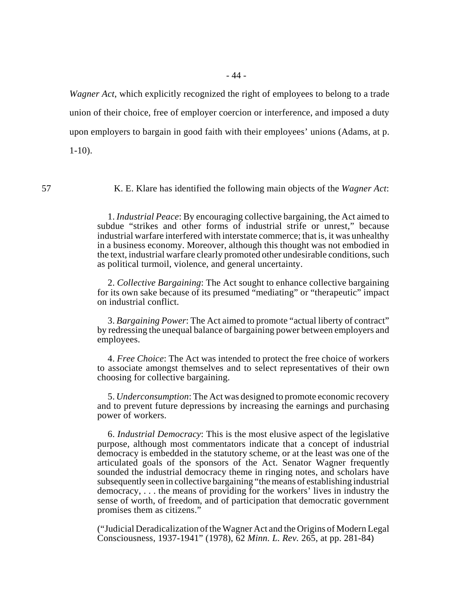*Wagner Act*, which explicitly recognized the right of employees to belong to a trade union of their choice, free of employer coercion or interference, and imposed a duty upon employers to bargain in good faith with their employees' unions (Adams, at p. 1-10).

57 K. E. Klare has identified the following main objects of the *Wagner Act*:

1. *Industrial Peace*: By encouraging collective bargaining, the Act aimed to subdue "strikes and other forms of industrial strife or unrest," because industrial warfare interfered with interstate commerce; that is, it was unhealthy in a business economy. Moreover, although this thought was not embodied in the text, industrial warfare clearly promoted other undesirable conditions, such as political turmoil, violence, and general uncertainty.

2. *Collective Bargaining*: The Act sought to enhance collective bargaining for its own sake because of its presumed "mediating" or "therapeutic" impact on industrial conflict.

3. *Bargaining Power*: The Act aimed to promote "actual liberty of contract" by redressing the unequal balance of bargaining power between employers and employees.

4. *Free Choice*: The Act was intended to protect the free choice of workers to associate amongst themselves and to select representatives of their own choosing for collective bargaining.

5. *Underconsumption*: The Act was designed to promote economic recovery and to prevent future depressions by increasing the earnings and purchasing power of workers.

6. *Industrial Democracy*: This is the most elusive aspect of the legislative purpose, although most commentators indicate that a concept of industrial democracy is embedded in the statutory scheme, or at the least was one of the articulated goals of the sponsors of the Act. Senator Wagner frequently sounded the industrial democracy theme in ringing notes, and scholars have subsequently seen in collective bargaining "the means of establishing industrial democracy, . . . the means of providing for the workers' lives in industry the sense of worth, of freedom, and of participation that democratic government promises them as citizens."

("Judicial Deradicalization of the Wagner Act and the Origins of Modern Legal Consciousness, 1937-1941" (1978), 62 *Minn. L. Rev.* 265, at pp. 281-84)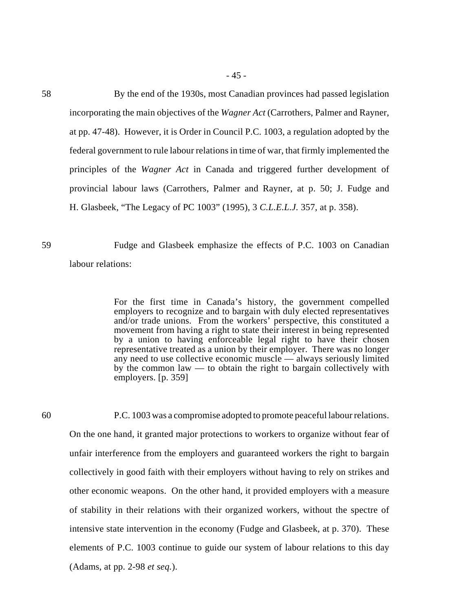58 By the end of the 1930s, most Canadian provinces had passed legislation incorporating the main objectives of the *Wagner Act* (Carrothers, Palmer and Rayner, at pp. 47-48). However, it is Order in Council P.C. 1003, a regulation adopted by the federal government to rule labour relations in time of war, that firmly implemented the principles of the *Wagner Act* in Canada and triggered further development of provincial labour laws (Carrothers, Palmer and Rayner, at p. 50; J. Fudge and H. Glasbeek, "The Legacy of PC 1003" (1995), 3 *C.L.E.L.J.* 357, at p. 358).

59 Fudge and Glasbeek emphasize the effects of P.C. 1003 on Canadian labour relations:

> For the first time in Canada's history, the government compelled employers to recognize and to bargain with duly elected representatives and/or trade unions. From the workers' perspective, this constituted a movement from having a right to state their interest in being represented by a union to having enforceable legal right to have their chosen representative treated as a union by their employer. There was no longer any need to use collective economic muscle — always seriously limited by the common law — to obtain the right to bargain collectively with employers. [p. 359]

60 P.C. 1003 was a compromise adopted to promote peaceful labour relations. On the one hand, it granted major protections to workers to organize without fear of unfair interference from the employers and guaranteed workers the right to bargain collectively in good faith with their employers without having to rely on strikes and other economic weapons. On the other hand, it provided employers with a measure of stability in their relations with their organized workers, without the spectre of intensive state intervention in the economy (Fudge and Glasbeek, at p. 370). These elements of P.C. 1003 continue to guide our system of labour relations to this day (Adams, at pp. 2-98 *et seq.*).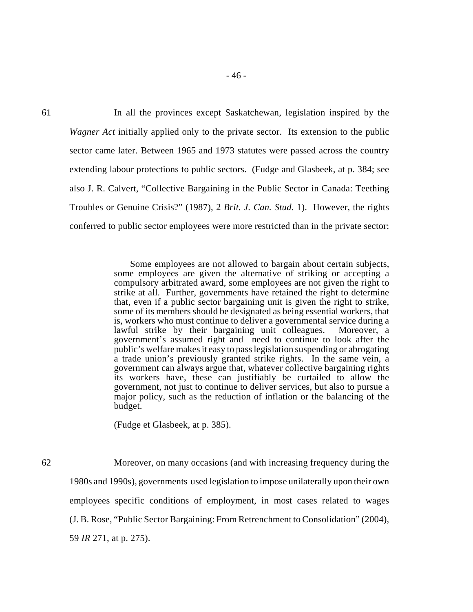61 In all the provinces except Saskatchewan, legislation inspired by the *Wagner Act* initially applied only to the private sector. Its extension to the public sector came later. Between 1965 and 1973 statutes were passed across the country extending labour protections to public sectors. (Fudge and Glasbeek, at p. 384; see also J. R. Calvert, "Collective Bargaining in the Public Sector in Canada: Teething Troubles or Genuine Crisis?" (1987), 2 *Brit. J. Can. Stud.* 1). However, the rights conferred to public sector employees were more restricted than in the private sector:

> Some employees are not allowed to bargain about certain subjects, some employees are given the alternative of striking or accepting a compulsory arbitrated award, some employees are not given the right to strike at all. Further, governments have retained the right to determine that, even if a public sector bargaining unit is given the right to strike, some of its members should be designated as being essential workers, that is, workers who must continue to deliver a governmental service during a lawful strike by their bargaining unit colleagues. Moreover, a government's assumed right and need to continue to look after the public's welfare makes it easy to pass legislation suspending or abrogating a trade union's previously granted strike rights. In the same vein, a government can always argue that, whatever collective bargaining rights its workers have, these can justifiably be curtailed to allow the government, not just to continue to deliver services, but also to pursue a major policy, such as the reduction of inflation or the balancing of the budget.

(Fudge et Glasbeek, at p. 385).

62 Moreover, on many occasions (and with increasing frequency during the 1980s and 1990s), governments used legislation to impose unilaterally upon their own employees specific conditions of employment, in most cases related to wages (J. B. Rose, "Public Sector Bargaining: From Retrenchment to Consolidation" (2004), 59 *IR* 271, at p. 275).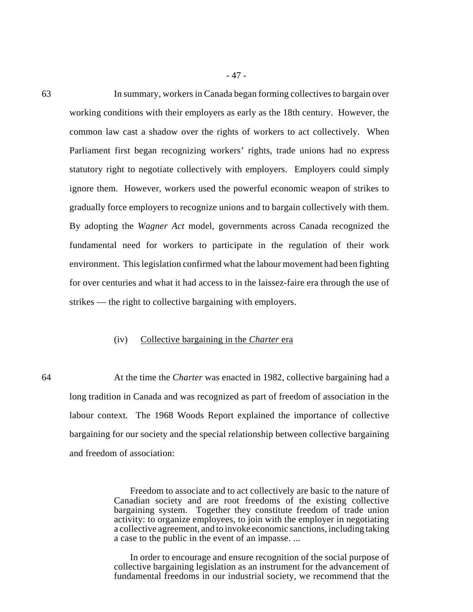63 In summary, workers in Canada began forming collectives to bargain over working conditions with their employers as early as the 18th century. However, the common law cast a shadow over the rights of workers to act collectively. When Parliament first began recognizing workers' rights, trade unions had no express statutory right to negotiate collectively with employers. Employers could simply ignore them. However, workers used the powerful economic weapon of strikes to gradually force employers to recognize unions and to bargain collectively with them. By adopting the *Wagner Act* model, governments across Canada recognized the fundamental need for workers to participate in the regulation of their work environment. This legislation confirmed what the labour movement had been fighting for over centuries and what it had access to in the laissez-faire era through the use of strikes — the right to collective bargaining with employers.

## (iv) Collective bargaining in the *Charter* era

64 At the time the *Charter* was enacted in 1982, collective bargaining had a long tradition in Canada and was recognized as part of freedom of association in the labour context. The 1968 Woods Report explained the importance of collective bargaining for our society and the special relationship between collective bargaining and freedom of association:

> Freedom to associate and to act collectively are basic to the nature of Canadian society and are root freedoms of the existing collective bargaining system. Together they constitute freedom of trade union activity: to organize employees, to join with the employer in negotiating a collective agreement, and to invoke economic sanctions, including taking a case to the public in the event of an impasse. ...

> In order to encourage and ensure recognition of the social purpose of collective bargaining legislation as an instrument for the advancement of fundamental freedoms in our industrial society, we recommend that the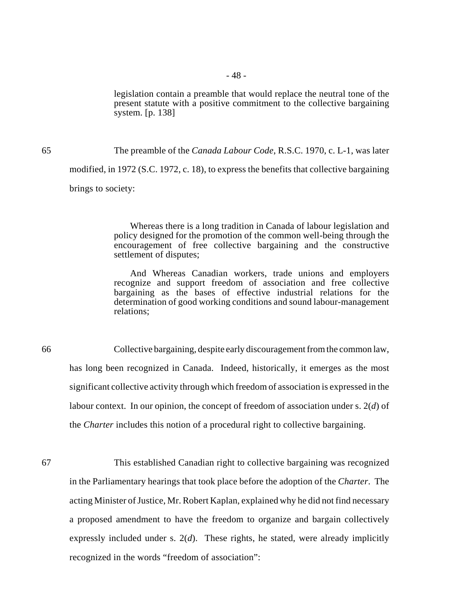legislation contain a preamble that would replace the neutral tone of the present statute with a positive commitment to the collective bargaining system. [p. 138]

65 The preamble of the *Canada Labour Code*, R.S.C. 1970, c. L-1, was later modified, in 1972 (S.C. 1972, c. 18), to express the benefits that collective bargaining brings to society:

> Whereas there is a long tradition in Canada of labour legislation and policy designed for the promotion of the common well-being through the encouragement of free collective bargaining and the constructive settlement of disputes;

> And Whereas Canadian workers, trade unions and employers recognize and support freedom of association and free collective bargaining as the bases of effective industrial relations for the determination of good working conditions and sound labour-management relations;

66 Collective bargaining, despite early discouragement from the common law, has long been recognized in Canada. Indeed, historically, it emerges as the most significant collective activity through which freedom of association is expressed in the labour context. In our opinion, the concept of freedom of association under s. 2(*d*) of the *Charter* includes this notion of a procedural right to collective bargaining.

67 This established Canadian right to collective bargaining was recognized in the Parliamentary hearings that took place before the adoption of the *Charter*. The acting Minister of Justice, Mr. Robert Kaplan, explained why he did not find necessary a proposed amendment to have the freedom to organize and bargain collectively expressly included under s. 2(*d*). These rights, he stated, were already implicitly recognized in the words "freedom of association":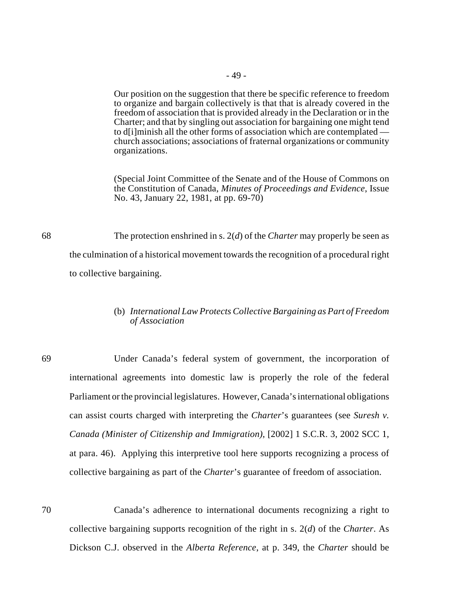Our position on the suggestion that there be specific reference to freedom to organize and bargain collectively is that that is already covered in the freedom of association that is provided already in the Declaration or in the Charter; and that by singling out association for bargaining one might tend to d[i]minish all the other forms of association which are contemplated church associations; associations of fraternal organizations or community organizations.

(Special Joint Committee of the Senate and of the House of Commons on the Constitution of Canada, *Minutes of Proceedings and Evidence*, Issue No. 43, January 22, 1981, at pp. 69-70)

68 The protection enshrined in s. 2(*d*) of the *Charter* may properly be seen as the culmination of a historical movement towards the recognition of a procedural right to collective bargaining.

## (b) *International Law Protects Collective Bargaining as Part of Freedom of Association*

69 Under Canada's federal system of government, the incorporation of international agreements into domestic law is properly the role of the federal Parliament or the provincial legislatures. However, Canada's international obligations can assist courts charged with interpreting the *Charter*'s guarantees (see *Suresh v. Canada (Minister of Citizenship and Immigration)*, [2002] 1 S.C.R. 3, 2002 SCC 1, at para. 46). Applying this interpretive tool here supports recognizing a process of collective bargaining as part of the *Charter*'s guarantee of freedom of association.

70 Canada's adherence to international documents recognizing a right to collective bargaining supports recognition of the right in s. 2(*d*) of the *Charter*. As Dickson C.J. observed in the *Alberta Reference*, at p. 349, the *Charter* should be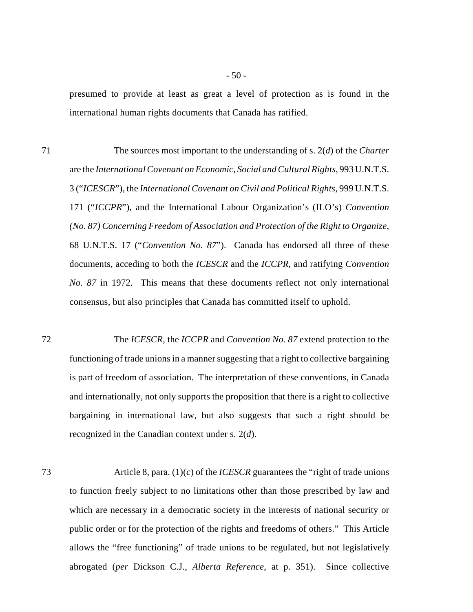presumed to provide at least as great a level of protection as is found in the international human rights documents that Canada has ratified.

- 71 The sources most important to the understanding of s. 2(*d*) of the *Charter* are the *International Covenant on Economic, Social and Cultural Rights*, 993 U.N.T.S. 3 ("*ICESCR*"), the *International Covenant on Civil and Political Rights*, 999 U.N.T.S. 171 ("*ICCPR*"), and the International Labour Organization's (ILO's) *Convention (No. 87) Concerning Freedom of Association and Protection of the Right to Organize*, 68 U.N.T.S. 17 ("*Convention No. 87*"). Canada has endorsed all three of these documents, acceding to both the *ICESCR* and the *ICCPR*, and ratifying *Convention No. 87* in 1972. This means that these documents reflect not only international consensus, but also principles that Canada has committed itself to uphold.
- 72 The *ICESCR*, the *ICCPR* and *Convention No. 87* extend protection to the functioning of trade unions in a manner suggesting that a right to collective bargaining is part of freedom of association. The interpretation of these conventions, in Canada and internationally, not only supports the proposition that there is a right to collective bargaining in international law, but also suggests that such a right should be recognized in the Canadian context under s. 2(*d*).
- 73 Article 8, para. (1)(*c*) of the *ICESCR* guarantees the "right of trade unions to function freely subject to no limitations other than those prescribed by law and which are necessary in a democratic society in the interests of national security or public order or for the protection of the rights and freedoms of others." This Article allows the "free functioning" of trade unions to be regulated, but not legislatively abrogated (*per* Dickson C.J., *Alberta Reference*, at p. 351). Since collective

- 50 -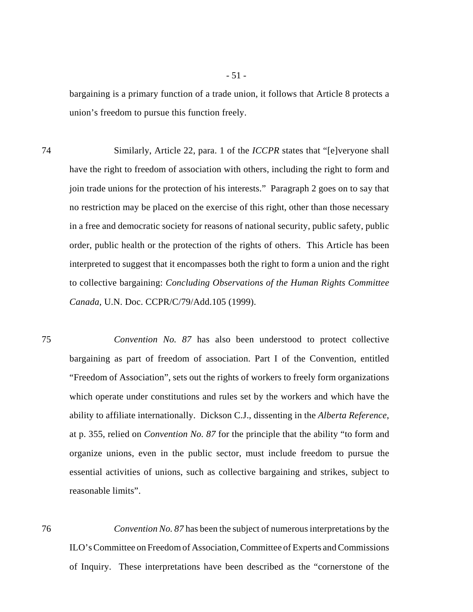bargaining is a primary function of a trade union, it follows that Article 8 protects a union's freedom to pursue this function freely.

- 74 Similarly, Article 22, para. 1 of the *ICCPR* states that "[e]veryone shall have the right to freedom of association with others, including the right to form and join trade unions for the protection of his interests." Paragraph 2 goes on to say that no restriction may be placed on the exercise of this right, other than those necessary in a free and democratic society for reasons of national security, public safety, public order, public health or the protection of the rights of others. This Article has been interpreted to suggest that it encompasses both the right to form a union and the right to collective bargaining: *Concluding Observations of the Human Rights Committee Canada*, U.N. Doc. CCPR/C/79/Add.105 (1999).
- 75 *Convention No. 87* has also been understood to protect collective bargaining as part of freedom of association. Part I of the Convention, entitled "Freedom of Association", sets out the rights of workers to freely form organizations which operate under constitutions and rules set by the workers and which have the ability to affiliate internationally. Dickson C.J., dissenting in the *Alberta Reference*, at p. 355, relied on *Convention No. 87* for the principle that the ability "to form and organize unions, even in the public sector, must include freedom to pursue the essential activities of unions, such as collective bargaining and strikes, subject to reasonable limits".

76 *Convention No. 87* has been the subject of numerous interpretations by the ILO's Committee on Freedom of Association, Committee of Experts and Commissions of Inquiry. These interpretations have been described as the "cornerstone of the

- 51 -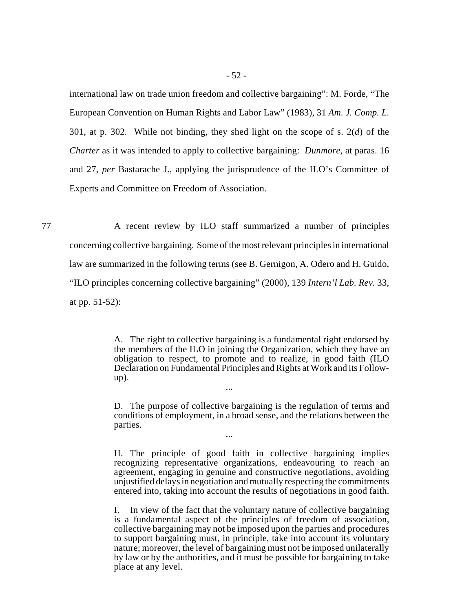international law on trade union freedom and collective bargaining": M. Forde, "The European Convention on Human Rights and Labor Law" (1983), 31 *Am. J. Comp. L*. 301, at p. 302. While not binding, they shed light on the scope of s. 2(*d*) of the *Charter* as it was intended to apply to collective bargaining: *Dunmore*, at paras. 16 and 27, *per* Bastarache J., applying the jurisprudence of the ILO's Committee of Experts and Committee on Freedom of Association.

77 A recent review by ILO staff summarized a number of principles concerning collective bargaining. Some of the most relevant principles in international law are summarized in the following terms (see B. Gernigon, A. Odero and H. Guido, "ILO principles concerning collective bargaining" (2000), 139 *Intern'l Lab. Rev.* 33, at pp. 51-52):

> A. The right to collective bargaining is a fundamental right endorsed by the members of the ILO in joining the Organization, which they have an obligation to respect, to promote and to realize, in good faith (ILO Declaration on Fundamental Principles and Rights at Work and its Followup).

> > ...

D. The purpose of collective bargaining is the regulation of terms and conditions of employment, in a broad sense, and the relations between the parties. ...

H. The principle of good faith in collective bargaining implies recognizing representative organizations, endeavouring to reach an agreement, engaging in genuine and constructive negotiations, avoiding unjustified delays in negotiation and mutually respecting the commitments entered into, taking into account the results of negotiations in good faith.

I. In view of the fact that the voluntary nature of collective bargaining is a fundamental aspect of the principles of freedom of association, collective bargaining may not be imposed upon the parties and procedures to support bargaining must, in principle, take into account its voluntary nature; moreover, the level of bargaining must not be imposed unilaterally by law or by the authorities, and it must be possible for bargaining to take place at any level.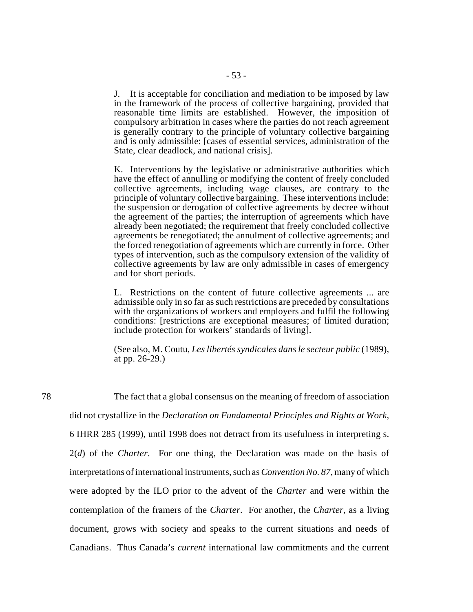J. It is acceptable for conciliation and mediation to be imposed by law in the framework of the process of collective bargaining, provided that reasonable time limits are established. However, the imposition of compulsory arbitration in cases where the parties do not reach agreement is generally contrary to the principle of voluntary collective bargaining and is only admissible: [cases of essential services, administration of the State, clear deadlock, and national crisis].

K. Interventions by the legislative or administrative authorities which have the effect of annulling or modifying the content of freely concluded collective agreements, including wage clauses, are contrary to the principle of voluntary collective bargaining. These interventions include: the suspension or derogation of collective agreements by decree without the agreement of the parties; the interruption of agreements which have already been negotiated; the requirement that freely concluded collective agreements be renegotiated; the annulment of collective agreements; and the forced renegotiation of agreements which are currently in force. Other types of intervention, such as the compulsory extension of the validity of collective agreements by law are only admissible in cases of emergency and for short periods.

L. Restrictions on the content of future collective agreements ... are admissible only in so far as such restrictions are preceded by consultations with the organizations of workers and employers and fulfil the following conditions: [restrictions are exceptional measures; of limited duration; include protection for workers' standards of living].

(See also, M. Coutu, *Les libertés syndicales dans le secteur public* (1989), at pp. 26-29.)

78 The fact that a global consensus on the meaning of freedom of association did not crystallize in the *Declaration on Fundamental Principles and Rights at Work*, 6 IHRR 285 (1999), until 1998 does not detract from its usefulness in interpreting s. 2(*d*) of the *Charter*. For one thing, the Declaration was made on the basis of interpretations of international instruments, such as *Convention No. 87*, many of which were adopted by the ILO prior to the advent of the *Charter* and were within the contemplation of the framers of the *Charter*. For another, the *Charter*, as a living document, grows with society and speaks to the current situations and needs of Canadians. Thus Canada's *current* international law commitments and the current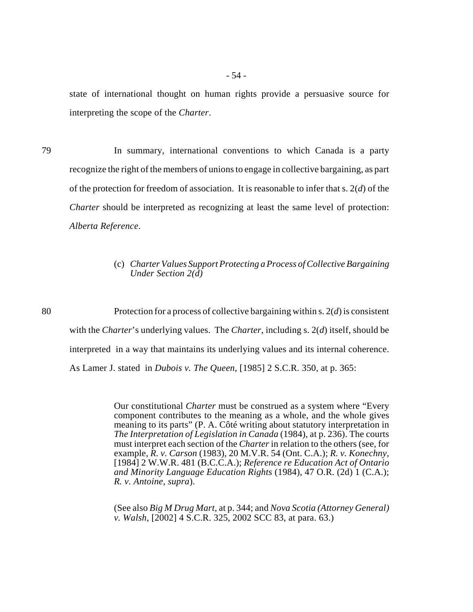state of international thought on human rights provide a persuasive source for interpreting the scope of the *Charter*.

79 In summary, international conventions to which Canada is a party recognize the right of the members of unions to engage in collective bargaining, as part of the protection for freedom of association. It is reasonable to infer that s. 2(*d*) of the *Charter* should be interpreted as recognizing at least the same level of protection: *Alberta Reference*.

> (c) *Charter Values Support Protecting a Process of Collective Bargaining Under Section 2(d)*

80 Protection for a process of collective bargaining within s. 2(*d*) is consistent with the *Charter*'s underlying values. The *Charter*, including s. 2(*d*) itself, should be interpreted in a way that maintains its underlying values and its internal coherence. As Lamer J. stated in *Dubois v. The Queen*, [1985] 2 S.C.R. 350, at p. 365:

> Our constitutional *Charter* must be construed as a system where "Every component contributes to the meaning as a whole, and the whole gives meaning to its parts" (P. A. Côté writing about statutory interpretation in *The Interpretation of Legislation in Canada* (1984), at p. 236). The courts must interpret each section of the *Charter* in relation to the others (see, for example, *R. v. Carson* (1983), 20 M.V.R. 54 (Ont. C.A.); *R. v. Konechny*, [1984] 2 W.W.R. 481 (B.C.C.A.); *Reference re Education Act of Ontario and Minority Language Education Rights* (1984), 47 O.R. (2d) 1 (C.A.); *R. v. Antoine*, *supra*).

> (See also *Big M Drug Mart*, at p. 344; and *Nova Scotia (Attorney General) v. Walsh*, [2002] 4 S.C.R. 325, 2002 SCC 83, at para. 63.)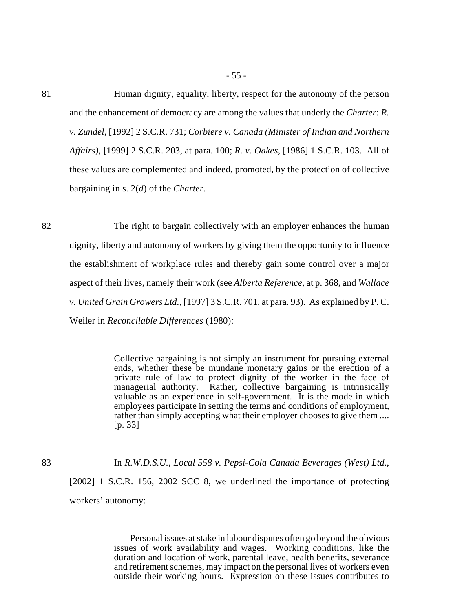- 55 -

81 Human dignity, equality, liberty, respect for the autonomy of the person and the enhancement of democracy are among the values that underly the *Charter*: *R. v. Zundel*, [1992] 2 S.C.R. 731; *Corbiere v. Canada (Minister of Indian and Northern Affairs)*, [1999] 2 S.C.R. 203, at para. 100; *R. v. Oakes*, [1986] 1 S.C.R. 103. All of these values are complemented and indeed, promoted, by the protection of collective bargaining in s. 2(*d*) of the *Charter*.

82 The right to bargain collectively with an employer enhances the human dignity, liberty and autonomy of workers by giving them the opportunity to influence the establishment of workplace rules and thereby gain some control over a major aspect of their lives, namely their work (see *Alberta Reference*, at p. 368, and *Wallace v. United Grain Growers Ltd.*, [1997] 3 S.C.R. 701, at para. 93). As explained by P. C. Weiler in *Reconcilable Differences* (1980):

> Collective bargaining is not simply an instrument for pursuing external ends, whether these be mundane monetary gains or the erection of a private rule of law to protect dignity of the worker in the face of managerial authority. Rather, collective bargaining is intrinsically valuable as an experience in self-government. It is the mode in which employees participate in setting the terms and conditions of employment, rather than simply accepting what their employer chooses to give them .... [p. 33]

83 In *R.W.D.S.U., Local 558 v. Pepsi-Cola Canada Beverages (West) Ltd.*, [2002] 1 S.C.R. 156, 2002 SCC 8, we underlined the importance of protecting workers' autonomy:

> Personal issues at stake in labour disputes often go beyond the obvious issues of work availability and wages. Working conditions, like the duration and location of work, parental leave, health benefits, severance and retirement schemes, may impact on the personal lives of workers even outside their working hours. Expression on these issues contributes to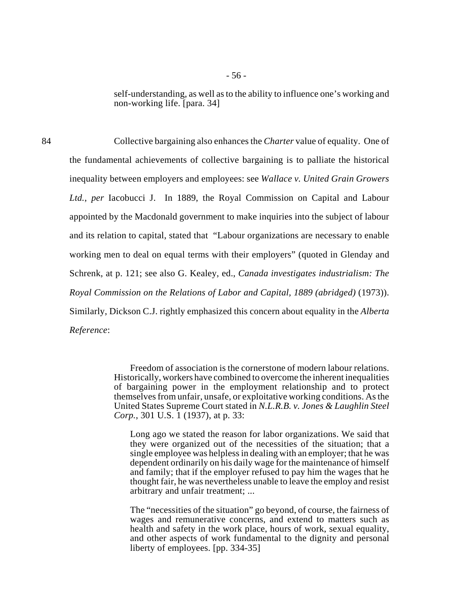self-understanding, as well as to the ability to influence one's working and non-working life. [para. 34]

84 Collective bargaining also enhances the *Charter* value of equality. One of the fundamental achievements of collective bargaining is to palliate the historical inequality between employers and employees: see *Wallace v. United Grain Growers Ltd.*, *per* Iacobucci J. In 1889, the Royal Commission on Capital and Labour appointed by the Macdonald government to make inquiries into the subject of labour and its relation to capital, stated that "Labour organizations are necessary to enable working men to deal on equal terms with their employers" (quoted in Glenday and Schrenk, at p. 121; see also G. Kealey, ed., *Canada investigates industrialism: The Royal Commission on the Relations of Labor and Capital, 1889 (abridged)* (1973)). Similarly, Dickson C.J. rightly emphasized this concern about equality in the *Alberta Reference*:

> Freedom of association is the cornerstone of modern labour relations. Historically, workers have combined to overcome the inherent inequalities of bargaining power in the employment relationship and to protect themselves from unfair, unsafe, or exploitative working conditions. As the United States Supreme Court stated in *N.L.R.B. v. Jones & Laughlin Steel Corp.*, 301 U.S. 1 (1937), at p. 33:

Long ago we stated the reason for labor organizations. We said that they were organized out of the necessities of the situation; that a single employee was helpless in dealing with an employer; that he was dependent ordinarily on his daily wage for the maintenance of himself and family; that if the employer refused to pay him the wages that he thought fair, he was nevertheless unable to leave the employ and resist arbitrary and unfair treatment; ...

The "necessities of the situation" go beyond, of course, the fairness of wages and remunerative concerns, and extend to matters such as health and safety in the work place, hours of work, sexual equality, and other aspects of work fundamental to the dignity and personal liberty of employees. [pp. 334-35]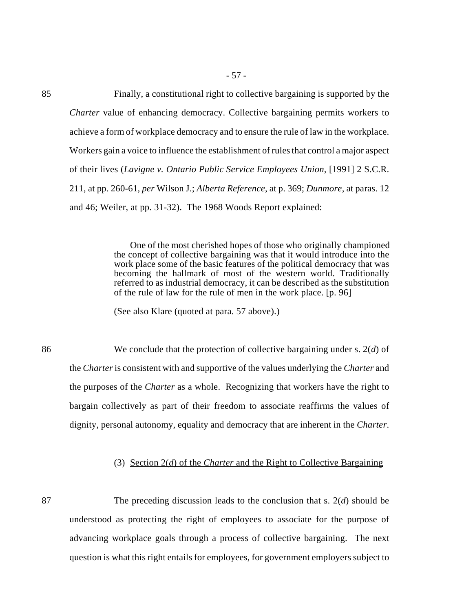85 Finally, a constitutional right to collective bargaining is supported by the *Charter* value of enhancing democracy. Collective bargaining permits workers to achieve a form of workplace democracy and to ensure the rule of law in the workplace. Workers gain a voice to influence the establishment of rules that control a major aspect of their lives (*Lavigne v. Ontario Public Service Employees Union*, [1991] 2 S.C.R. 211, at pp. 260-61, *per* Wilson J.; *Alberta Reference*, at p. 369; *Dunmore*, at paras. 12 and 46; Weiler, at pp. 31-32). The 1968 Woods Report explained:

> One of the most cherished hopes of those who originally championed the concept of collective bargaining was that it would introduce into the work place some of the basic features of the political democracy that was becoming the hallmark of most of the western world. Traditionally referred to as industrial democracy, it can be described as the substitution of the rule of law for the rule of men in the work place. [p. 96]

(See also Klare (quoted at para. 57 above).)

86 We conclude that the protection of collective bargaining under s. 2(*d*) of the *Charter* is consistent with and supportive of the values underlying the *Charter* and the purposes of the *Charter* as a whole. Recognizing that workers have the right to bargain collectively as part of their freedom to associate reaffirms the values of dignity, personal autonomy, equality and democracy that are inherent in the *Charter*.

## (3) Section 2(*d*) of the *Charter* and the Right to Collective Bargaining

87 The preceding discussion leads to the conclusion that s. 2(*d*) should be understood as protecting the right of employees to associate for the purpose of advancing workplace goals through a process of collective bargaining. The next question is what this right entails for employees, for government employers subject to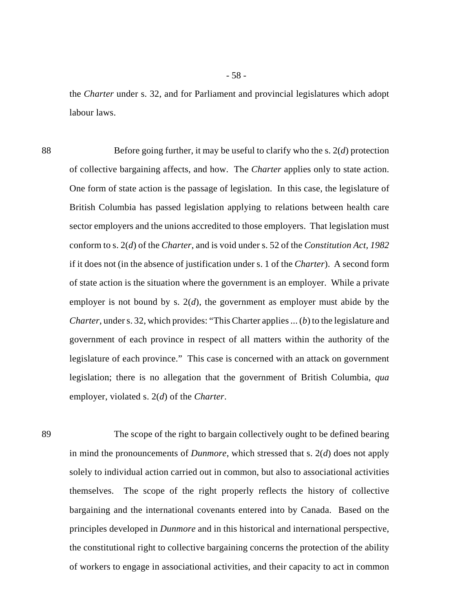the *Charter* under s. 32, and for Parliament and provincial legislatures which adopt labour laws.

88 Before going further, it may be useful to clarify who the s. 2(*d*) protection of collective bargaining affects, and how. The *Charter* applies only to state action. One form of state action is the passage of legislation. In this case, the legislature of British Columbia has passed legislation applying to relations between health care sector employers and the unions accredited to those employers. That legislation must conform to s. 2(*d*) of the *Charter*, and is void under s. 52 of the *Constitution Act, 1982* if it does not (in the absence of justification under s. 1 of the *Charter*). A second form of state action is the situation where the government is an employer. While a private employer is not bound by s. 2(*d*), the government as employer must abide by the *Charter*, under s. 32, which provides: "This Charter applies ... (*b*) to the legislature and government of each province in respect of all matters within the authority of the legislature of each province." This case is concerned with an attack on government legislation; there is no allegation that the government of British Columbia, *qua* employer, violated s. 2(*d*) of the *Charter*.

89 The scope of the right to bargain collectively ought to be defined bearing in mind the pronouncements of *Dunmore*, which stressed that s. 2(*d*) does not apply solely to individual action carried out in common, but also to associational activities themselves. The scope of the right properly reflects the history of collective bargaining and the international covenants entered into by Canada. Based on the principles developed in *Dunmore* and in this historical and international perspective, the constitutional right to collective bargaining concerns the protection of the ability of workers to engage in associational activities, and their capacity to act in common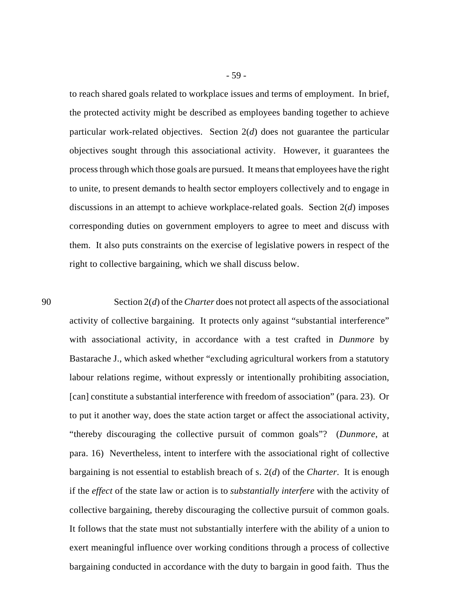to reach shared goals related to workplace issues and terms of employment. In brief, the protected activity might be described as employees banding together to achieve particular work-related objectives. Section 2(*d*) does not guarantee the particular objectives sought through this associational activity. However, it guarantees the process through which those goals are pursued. It means that employees have the right to unite, to present demands to health sector employers collectively and to engage in discussions in an attempt to achieve workplace-related goals. Section 2(*d*) imposes corresponding duties on government employers to agree to meet and discuss with them. It also puts constraints on the exercise of legislative powers in respect of the right to collective bargaining, which we shall discuss below.

90 Section 2(*d*) of the *Charter* does not protect all aspects of the associational activity of collective bargaining. It protects only against "substantial interference" with associational activity, in accordance with a test crafted in *Dunmore* by Bastarache J., which asked whether "excluding agricultural workers from a statutory labour relations regime, without expressly or intentionally prohibiting association, [can] constitute a substantial interference with freedom of association" (para. 23). Or to put it another way, does the state action target or affect the associational activity, "thereby discouraging the collective pursuit of common goals"? (*Dunmore*, at para. 16) Nevertheless, intent to interfere with the associational right of collective bargaining is not essential to establish breach of s. 2(*d*) of the *Charter*. It is enough if the *effect* of the state law or action is to *substantially interfere* with the activity of collective bargaining, thereby discouraging the collective pursuit of common goals. It follows that the state must not substantially interfere with the ability of a union to exert meaningful influence over working conditions through a process of collective bargaining conducted in accordance with the duty to bargain in good faith. Thus the

- 59 -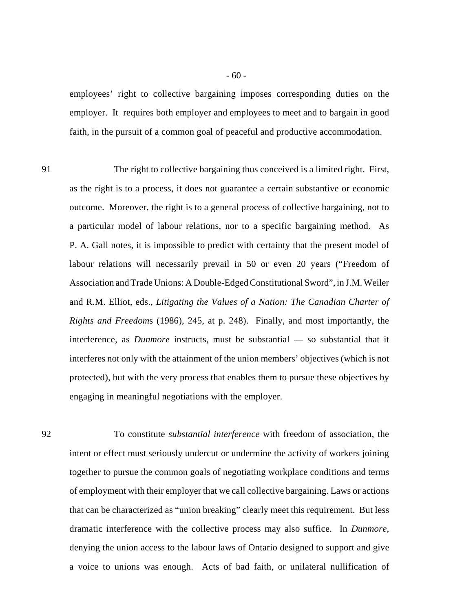employees' right to collective bargaining imposes corresponding duties on the employer. It requires both employer and employees to meet and to bargain in good faith, in the pursuit of a common goal of peaceful and productive accommodation.

91 The right to collective bargaining thus conceived is a limited right. First, as the right is to a process, it does not guarantee a certain substantive or economic outcome. Moreover, the right is to a general process of collective bargaining, not to a particular model of labour relations, nor to a specific bargaining method. As P. A. Gall notes, it is impossible to predict with certainty that the present model of labour relations will necessarily prevail in 50 or even 20 years ("Freedom of Association and Trade Unions: A Double-Edged Constitutional Sword", in J.M. Weiler and R.M. Elliot, eds., *Litigating the Values of a Nation: The Canadian Charter of Rights and Freedom*s (1986), 245, at p. 248). Finally, and most importantly, the interference, as *Dunmore* instructs, must be substantial — so substantial that it interferes not only with the attainment of the union members' objectives (which is not protected), but with the very process that enables them to pursue these objectives by engaging in meaningful negotiations with the employer.

92 To constitute *substantial interference* with freedom of association, the intent or effect must seriously undercut or undermine the activity of workers joining together to pursue the common goals of negotiating workplace conditions and terms of employment with their employer that we call collective bargaining. Laws or actions that can be characterized as "union breaking" clearly meet this requirement. But less dramatic interference with the collective process may also suffice. In *Dunmore*, denying the union access to the labour laws of Ontario designed to support and give a voice to unions was enough. Acts of bad faith, or unilateral nullification of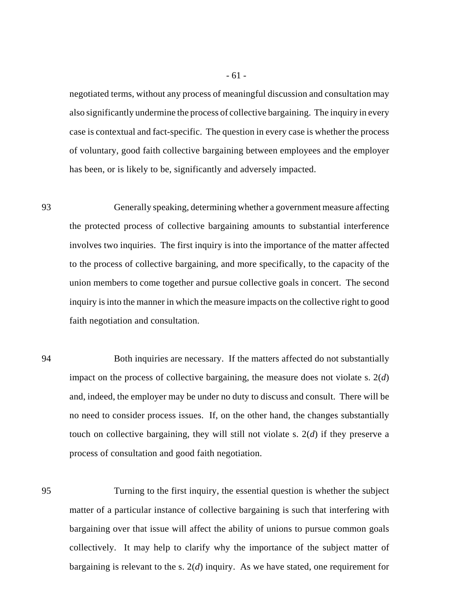negotiated terms, without any process of meaningful discussion and consultation may also significantly undermine the process of collective bargaining. The inquiry in every case is contextual and fact-specific. The question in every case is whether the process of voluntary, good faith collective bargaining between employees and the employer has been, or is likely to be, significantly and adversely impacted.

- 93 Generally speaking, determining whether a government measure affecting the protected process of collective bargaining amounts to substantial interference involves two inquiries. The first inquiry is into the importance of the matter affected to the process of collective bargaining, and more specifically, to the capacity of the union members to come together and pursue collective goals in concert. The second inquiry is into the manner in which the measure impacts on the collective right to good faith negotiation and consultation.
- 94 Both inquiries are necessary. If the matters affected do not substantially impact on the process of collective bargaining, the measure does not violate s. 2(*d*) and, indeed, the employer may be under no duty to discuss and consult. There will be no need to consider process issues. If, on the other hand, the changes substantially touch on collective bargaining, they will still not violate s. 2(*d*) if they preserve a process of consultation and good faith negotiation.

95 Turning to the first inquiry, the essential question is whether the subject matter of a particular instance of collective bargaining is such that interfering with bargaining over that issue will affect the ability of unions to pursue common goals collectively. It may help to clarify why the importance of the subject matter of bargaining is relevant to the s. 2(*d*) inquiry. As we have stated, one requirement for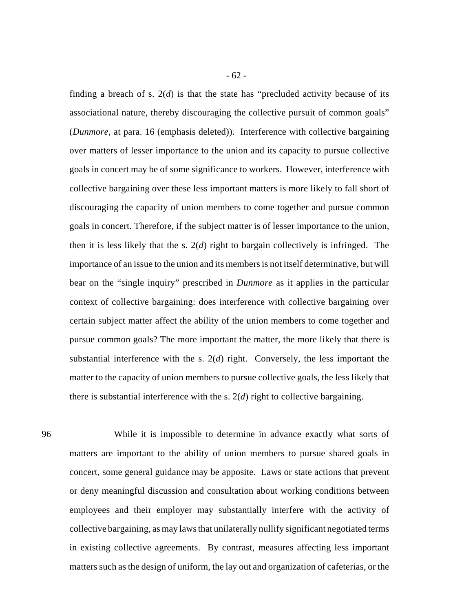finding a breach of s.  $2(d)$  is that the state has "precluded activity because of its associational nature, thereby discouraging the collective pursuit of common goals" (*Dunmore*, at para. 16 (emphasis deleted)). Interference with collective bargaining over matters of lesser importance to the union and its capacity to pursue collective goals in concert may be of some significance to workers. However, interference with collective bargaining over these less important matters is more likely to fall short of discouraging the capacity of union members to come together and pursue common goals in concert. Therefore, if the subject matter is of lesser importance to the union, then it is less likely that the s. 2(*d*) right to bargain collectively is infringed. The importance of an issue to the union and its members is not itself determinative, but will bear on the "single inquiry" prescribed in *Dunmore* as it applies in the particular context of collective bargaining: does interference with collective bargaining over certain subject matter affect the ability of the union members to come together and pursue common goals? The more important the matter, the more likely that there is substantial interference with the s. 2(*d*) right. Conversely, the less important the matter to the capacity of union members to pursue collective goals, the less likely that there is substantial interference with the s.  $2(d)$  right to collective bargaining.

96 While it is impossible to determine in advance exactly what sorts of matters are important to the ability of union members to pursue shared goals in concert, some general guidance may be apposite. Laws or state actions that prevent or deny meaningful discussion and consultation about working conditions between employees and their employer may substantially interfere with the activity of collective bargaining, as may laws that unilaterally nullify significant negotiated terms in existing collective agreements. By contrast, measures affecting less important matters such as the design of uniform, the lay out and organization of cafeterias, or the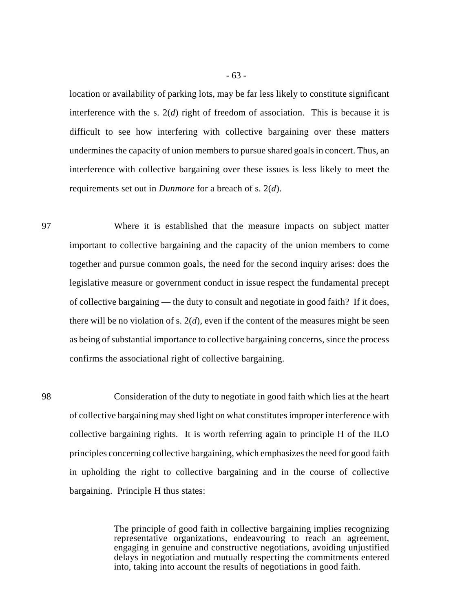location or availability of parking lots, may be far less likely to constitute significant interference with the s.  $2(d)$  right of freedom of association. This is because it is difficult to see how interfering with collective bargaining over these matters undermines the capacity of union members to pursue shared goals in concert. Thus, an interference with collective bargaining over these issues is less likely to meet the requirements set out in *Dunmore* for a breach of s. 2(*d*).

97 Where it is established that the measure impacts on subject matter important to collective bargaining and the capacity of the union members to come together and pursue common goals, the need for the second inquiry arises: does the legislative measure or government conduct in issue respect the fundamental precept of collective bargaining — the duty to consult and negotiate in good faith? If it does, there will be no violation of s. 2(*d*), even if the content of the measures might be seen as being of substantial importance to collective bargaining concerns, since the process confirms the associational right of collective bargaining.

98 Consideration of the duty to negotiate in good faith which lies at the heart of collective bargaining may shed light on what constitutes improper interference with collective bargaining rights. It is worth referring again to principle H of the ILO principles concerning collective bargaining, which emphasizes the need for good faith in upholding the right to collective bargaining and in the course of collective bargaining. Principle H thus states:

> The principle of good faith in collective bargaining implies recognizing representative organizations, endeavouring to reach an agreement, engaging in genuine and constructive negotiations, avoiding unjustified delays in negotiation and mutually respecting the commitments entered into, taking into account the results of negotiations in good faith.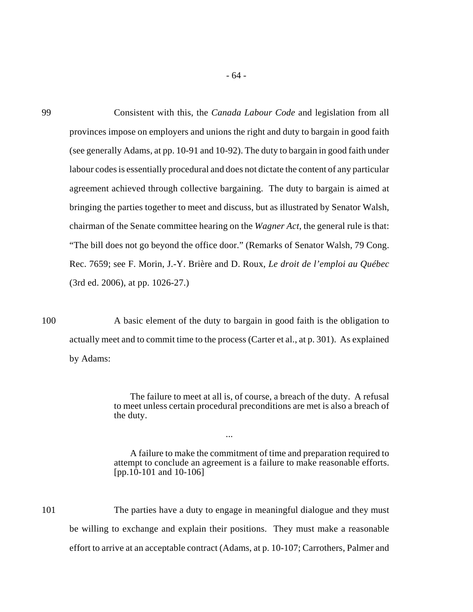99 Consistent with this, the *Canada Labour Code* and legislation from all provinces impose on employers and unions the right and duty to bargain in good faith (see generally Adams, at pp. 10-91 and 10-92). The duty to bargain in good faith under labour codes is essentially procedural and does not dictate the content of any particular agreement achieved through collective bargaining. The duty to bargain is aimed at bringing the parties together to meet and discuss, but as illustrated by Senator Walsh, chairman of the Senate committee hearing on the *Wagner Act*, the general rule is that: "The bill does not go beyond the office door." (Remarks of Senator Walsh, 79 Cong. Rec. 7659; see F. Morin, J.-Y. Brière and D. Roux, *Le droit de l'emploi au Québec* (3rd ed. 2006), at pp. 1026-27.)

100 A basic element of the duty to bargain in good faith is the obligation to actually meet and to commit time to the process (Carter et al., at p. 301). As explained by Adams:

> The failure to meet at all is, of course, a breach of the duty. A refusal to meet unless certain procedural preconditions are met is also a breach of the duty.

> A failure to make the commitment of time and preparation required to attempt to conclude an agreement is a failure to make reasonable efforts.  $[pp.10-101 \text{ and } 10-106]$

...

101 The parties have a duty to engage in meaningful dialogue and they must be willing to exchange and explain their positions. They must make a reasonable effort to arrive at an acceptable contract (Adams, at p. 10-107; Carrothers, Palmer and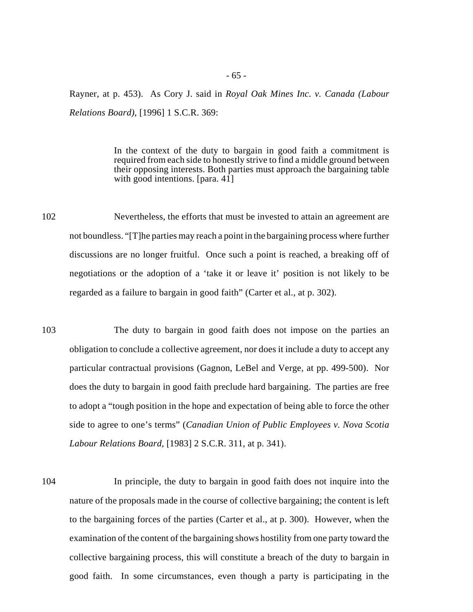# Rayner, at p. 453). As Cory J. said in *Royal Oak Mines Inc. v. Canada (Labour Relations Board)*, [1996] 1 S.C.R. 369:

In the context of the duty to bargain in good faith a commitment is required from each side to honestly strive to find a middle ground between their opposing interests. Both parties must approach the bargaining table with good intentions. [para.  $41$ ]

- 102 Nevertheless, the efforts that must be invested to attain an agreement are not boundless. "[T]he parties may reach a point in the bargaining process where further discussions are no longer fruitful. Once such a point is reached, a breaking off of negotiations or the adoption of a 'take it or leave it' position is not likely to be regarded as a failure to bargain in good faith" (Carter et al., at p. 302).
- 103 The duty to bargain in good faith does not impose on the parties an obligation to conclude a collective agreement, nor does it include a duty to accept any particular contractual provisions (Gagnon, LeBel and Verge, at pp. 499-500). Nor does the duty to bargain in good faith preclude hard bargaining. The parties are free to adopt a "tough position in the hope and expectation of being able to force the other side to agree to one's terms" (*Canadian Union of Public Employees v. Nova Scotia Labour Relations Board*, [1983] 2 S.C.R. 311, at p. 341).
- 104 In principle, the duty to bargain in good faith does not inquire into the nature of the proposals made in the course of collective bargaining; the content is left to the bargaining forces of the parties (Carter et al., at p. 300). However, when the examination of the content of the bargaining shows hostility from one party toward the collective bargaining process, this will constitute a breach of the duty to bargain in good faith. In some circumstances, even though a party is participating in the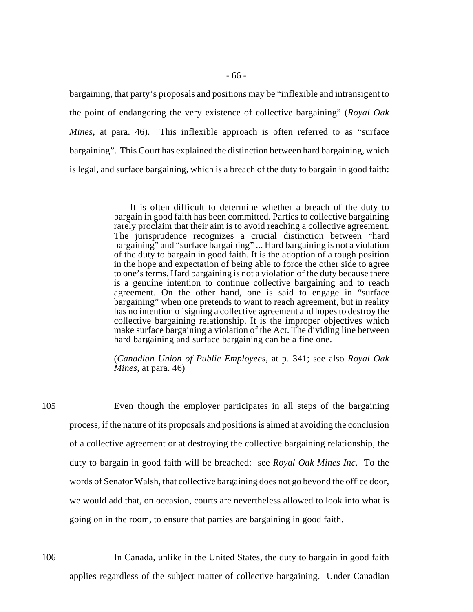bargaining, that party's proposals and positions may be "inflexible and intransigent to the point of endangering the very existence of collective bargaining" (*Royal Oak Mines*, at para. 46). This inflexible approach is often referred to as "surface bargaining". This Court has explained the distinction between hard bargaining, which is legal, and surface bargaining, which is a breach of the duty to bargain in good faith:

> It is often difficult to determine whether a breach of the duty to bargain in good faith has been committed. Parties to collective bargaining rarely proclaim that their aim is to avoid reaching a collective agreement. The jurisprudence recognizes a crucial distinction between "hard bargaining" and "surface bargaining" ... Hard bargaining is not a violation of the duty to bargain in good faith. It is the adoption of a tough position in the hope and expectation of being able to force the other side to agree to one's terms. Hard bargaining is not a violation of the duty because there is a genuine intention to continue collective bargaining and to reach agreement. On the other hand, one is said to engage in "surface bargaining" when one pretends to want to reach agreement, but in reality has no intention of signing a collective agreement and hopes to destroy the collective bargaining relationship. It is the improper objectives which make surface bargaining a violation of the Act. The dividing line between hard bargaining and surface bargaining can be a fine one.

> (*Canadian Union of Public Employees*, at p. 341; see also *Royal Oak Mines*, at para. 46)

105 Even though the employer participates in all steps of the bargaining process, if the nature of its proposals and positions is aimed at avoiding the conclusion of a collective agreement or at destroying the collective bargaining relationship, the duty to bargain in good faith will be breached: see *Royal Oak Mines Inc*. To the words of Senator Walsh, that collective bargaining does not go beyond the office door, we would add that, on occasion, courts are nevertheless allowed to look into what is going on in the room, to ensure that parties are bargaining in good faith.

106 In Canada, unlike in the United States, the duty to bargain in good faith applies regardless of the subject matter of collective bargaining. Under Canadian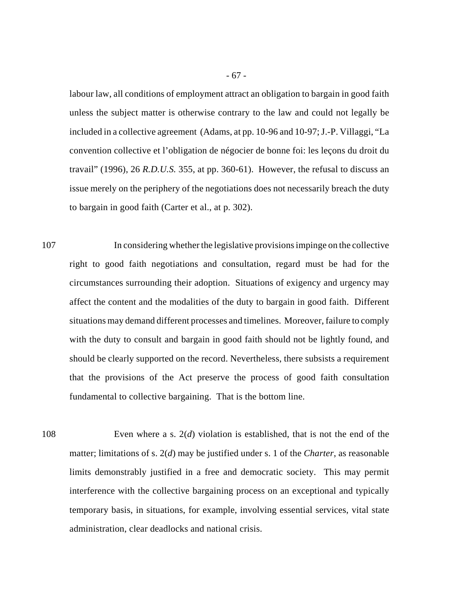labour law, all conditions of employment attract an obligation to bargain in good faith unless the subject matter is otherwise contrary to the law and could not legally be included in a collective agreement (Adams, at pp. 10-96 and 10-97; J.-P. Villaggi, "La convention collective et l'obligation de négocier de bonne foi: les leçons du droit du travail" (1996), 26 *R.D.U.S.* 355, at pp. 360-61). However, the refusal to discuss an issue merely on the periphery of the negotiations does not necessarily breach the duty to bargain in good faith (Carter et al., at p. 302).

107 In considering whether the legislative provisions impinge on the collective right to good faith negotiations and consultation, regard must be had for the circumstances surrounding their adoption. Situations of exigency and urgency may affect the content and the modalities of the duty to bargain in good faith. Different situations may demand different processes and timelines. Moreover, failure to comply with the duty to consult and bargain in good faith should not be lightly found, and should be clearly supported on the record. Nevertheless, there subsists a requirement that the provisions of the Act preserve the process of good faith consultation fundamental to collective bargaining. That is the bottom line.

108 Even where a s. 2(*d*) violation is established, that is not the end of the matter; limitations of s. 2(*d*) may be justified under s. 1 of the *Charter*, as reasonable limits demonstrably justified in a free and democratic society. This may permit interference with the collective bargaining process on an exceptional and typically temporary basis, in situations, for example, involving essential services, vital state administration, clear deadlocks and national crisis.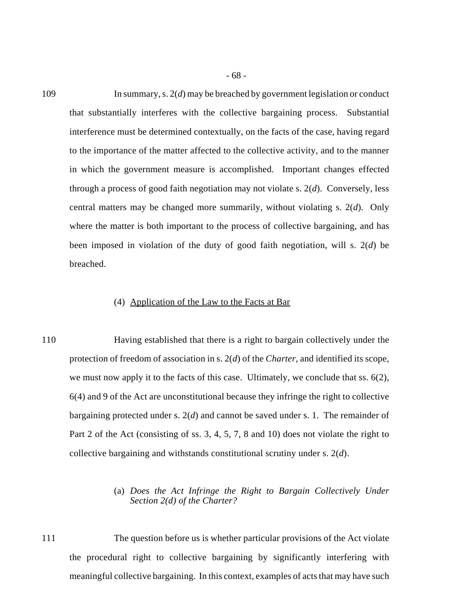109 In summary, s. 2(*d*) may be breached by government legislation or conduct that substantially interferes with the collective bargaining process. Substantial interference must be determined contextually, on the facts of the case, having regard to the importance of the matter affected to the collective activity, and to the manner in which the government measure is accomplished. Important changes effected through a process of good faith negotiation may not violate s. 2(*d*). Conversely, less central matters may be changed more summarily, without violating s. 2(*d*). Only where the matter is both important to the process of collective bargaining, and has been imposed in violation of the duty of good faith negotiation, will s. 2(*d*) be breached.

## (4) Application of the Law to the Facts at Bar

110 Having established that there is a right to bargain collectively under the protection of freedom of association in s. 2(*d*) of the *Charter*, and identified its scope, we must now apply it to the facts of this case. Ultimately, we conclude that ss. 6(2), 6(4) and 9 of the Act are unconstitutional because they infringe the right to collective bargaining protected under s. 2(*d*) and cannot be saved under s. 1. The remainder of Part 2 of the Act (consisting of ss. 3, 4, 5, 7, 8 and 10) does not violate the right to collective bargaining and withstands constitutional scrutiny under s. 2(*d*).

# (a) *Does the Act Infringe the Right to Bargain Collectively Under Section 2(d) of the Charter?*

111 The question before us is whether particular provisions of the Act violate the procedural right to collective bargaining by significantly interfering with meaningful collective bargaining. In this context, examples of acts that may have such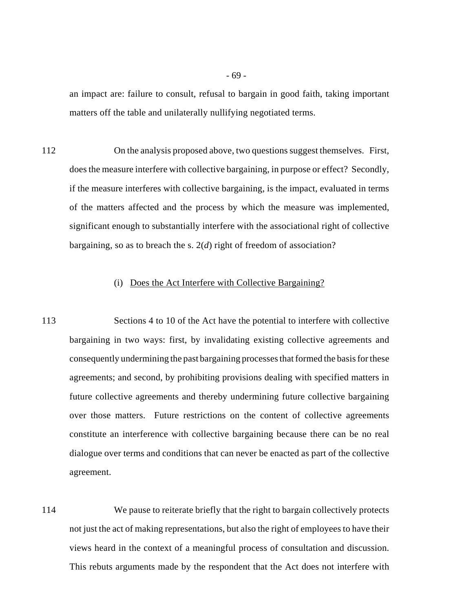an impact are: failure to consult, refusal to bargain in good faith, taking important matters off the table and unilaterally nullifying negotiated terms.

112 On the analysis proposed above, two questions suggest themselves. First, does the measure interfere with collective bargaining, in purpose or effect? Secondly, if the measure interferes with collective bargaining, is the impact, evaluated in terms of the matters affected and the process by which the measure was implemented, significant enough to substantially interfere with the associational right of collective bargaining, so as to breach the s. 2(*d*) right of freedom of association?

### (i) Does the Act Interfere with Collective Bargaining?

- 113 Sections 4 to 10 of the Act have the potential to interfere with collective bargaining in two ways: first, by invalidating existing collective agreements and consequently undermining the past bargaining processes that formed the basis for these agreements; and second, by prohibiting provisions dealing with specified matters in future collective agreements and thereby undermining future collective bargaining over those matters. Future restrictions on the content of collective agreements constitute an interference with collective bargaining because there can be no real dialogue over terms and conditions that can never be enacted as part of the collective agreement.
- 114 We pause to reiterate briefly that the right to bargain collectively protects not just the act of making representations, but also the right of employees to have their views heard in the context of a meaningful process of consultation and discussion. This rebuts arguments made by the respondent that the Act does not interfere with

- 69 -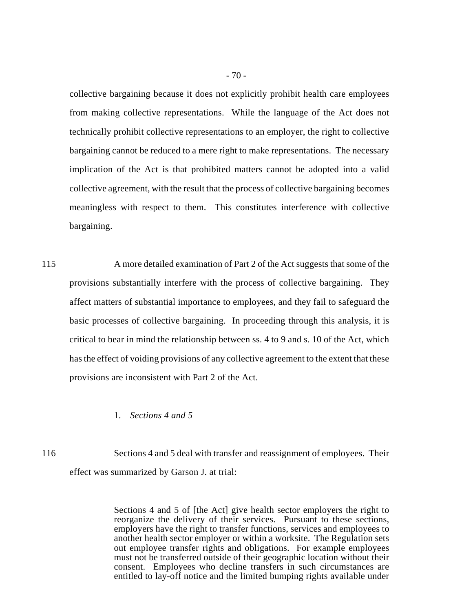collective bargaining because it does not explicitly prohibit health care employees from making collective representations. While the language of the Act does not technically prohibit collective representations to an employer, the right to collective bargaining cannot be reduced to a mere right to make representations. The necessary implication of the Act is that prohibited matters cannot be adopted into a valid collective agreement, with the result that the process of collective bargaining becomes meaningless with respect to them. This constitutes interference with collective bargaining.

- 115 A more detailed examination of Part 2 of the Act suggests that some of the provisions substantially interfere with the process of collective bargaining. They affect matters of substantial importance to employees, and they fail to safeguard the basic processes of collective bargaining. In proceeding through this analysis, it is critical to bear in mind the relationship between ss. 4 to 9 and s. 10 of the Act, which has the effect of voiding provisions of any collective agreement to the extent that these provisions are inconsistent with Part 2 of the Act.
	- 1. *Sections 4 and 5*
- 116 Sections 4 and 5 deal with transfer and reassignment of employees. Their effect was summarized by Garson J. at trial:

Sections 4 and 5 of [the Act] give health sector employers the right to reorganize the delivery of their services. Pursuant to these sections, employers have the right to transfer functions, services and employees to another health sector employer or within a worksite. The Regulation sets out employee transfer rights and obligations. For example employees must not be transferred outside of their geographic location without their consent. Employees who decline transfers in such circumstances are entitled to lay-off notice and the limited bumping rights available under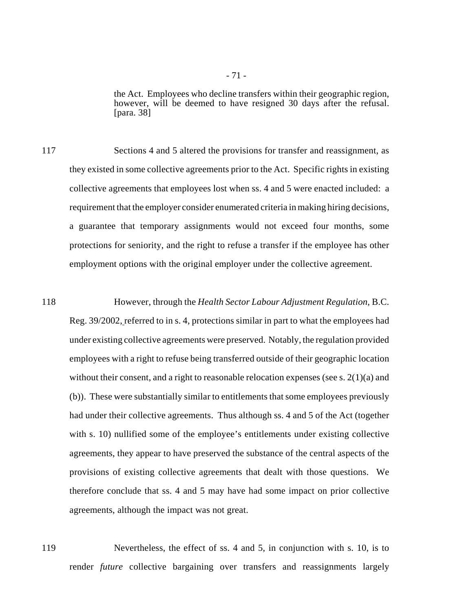the Act. Employees who decline transfers within their geographic region, however, will be deemed to have resigned 30 days after the refusal. [para. 38]

- 117 Sections 4 and 5 altered the provisions for transfer and reassignment, as they existed in some collective agreements prior to the Act. Specific rights in existing collective agreements that employees lost when ss. 4 and 5 were enacted included: a requirement that the employer consider enumerated criteria in making hiring decisions, a guarantee that temporary assignments would not exceed four months, some protections for seniority, and the right to refuse a transfer if the employee has other employment options with the original employer under the collective agreement.
- 118 However, through the *Health Sector Labour Adjustment Regulation*, B.C. Reg. 39/2002, referred to in s. 4, protections similar in part to what the employees had under existing collective agreements were preserved. Notably, the regulation provided employees with a right to refuse being transferred outside of their geographic location without their consent, and a right to reasonable relocation expenses (see s.  $2(1)(a)$  and (b)). These were substantially similar to entitlements that some employees previously had under their collective agreements. Thus although ss. 4 and 5 of the Act (together with s. 10) nullified some of the employee's entitlements under existing collective agreements, they appear to have preserved the substance of the central aspects of the provisions of existing collective agreements that dealt with those questions. We therefore conclude that ss. 4 and 5 may have had some impact on prior collective agreements, although the impact was not great.

119 Nevertheless, the effect of ss. 4 and 5, in conjunction with s. 10, is to render *future* collective bargaining over transfers and reassignments largely

- 71 -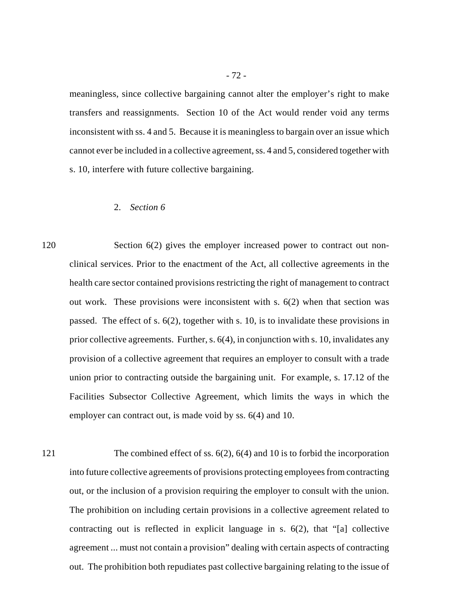meaningless, since collective bargaining cannot alter the employer's right to make transfers and reassignments. Section 10 of the Act would render void any terms inconsistent with ss. 4 and 5. Because it is meaningless to bargain over an issue which cannot ever be included in a collective agreement, ss. 4 and 5, considered together with s. 10, interfere with future collective bargaining.

#### 2. *Section 6*

120 Section 6(2) gives the employer increased power to contract out nonclinical services. Prior to the enactment of the Act, all collective agreements in the health care sector contained provisions restricting the right of management to contract out work. These provisions were inconsistent with s. 6(2) when that section was passed. The effect of s.  $6(2)$ , together with s. 10, is to invalidate these provisions in prior collective agreements. Further, s. 6(4), in conjunction with s. 10, invalidates any provision of a collective agreement that requires an employer to consult with a trade union prior to contracting outside the bargaining unit. For example, s. 17.12 of the Facilities Subsector Collective Agreement, which limits the ways in which the employer can contract out, is made void by ss. 6(4) and 10.

121 The combined effect of ss. 6(2), 6(4) and 10 is to forbid the incorporation into future collective agreements of provisions protecting employees from contracting out, or the inclusion of a provision requiring the employer to consult with the union. The prohibition on including certain provisions in a collective agreement related to contracting out is reflected in explicit language in s.  $6(2)$ , that "[a] collective agreement ... must not contain a provision" dealing with certain aspects of contracting out. The prohibition both repudiates past collective bargaining relating to the issue of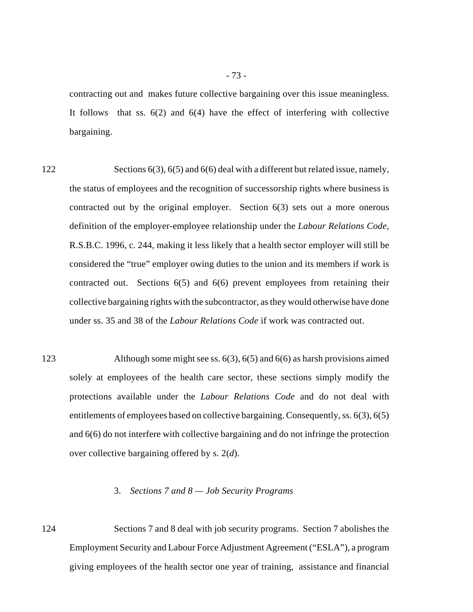contracting out and makes future collective bargaining over this issue meaningless. It follows that ss. 6(2) and 6(4) have the effect of interfering with collective bargaining.

- 122 Sections 6(3), 6(5) and 6(6) deal with a different but related issue, namely, the status of employees and the recognition of successorship rights where business is contracted out by the original employer. Section 6(3) sets out a more onerous definition of the employer-employee relationship under the *Labour Relations Code*, R.S.B.C. 1996, c. 244, making it less likely that a health sector employer will still be considered the "true" employer owing duties to the union and its members if work is contracted out. Sections 6(5) and 6(6) prevent employees from retaining their collective bargaining rights with the subcontractor, as they would otherwise have done under ss. 35 and 38 of the *Labour Relations Code* if work was contracted out.
- 123 Although some might see ss. 6(3), 6(5) and 6(6) as harsh provisions aimed solely at employees of the health care sector, these sections simply modify the protections available under the *Labour Relations Code* and do not deal with entitlements of employees based on collective bargaining. Consequently, ss. 6(3), 6(5) and 6(6) do not interfere with collective bargaining and do not infringe the protection over collective bargaining offered by s. 2(*d*).

# 3. *Sections 7 and 8 — Job Security Programs*

124 Sections 7 and 8 deal with job security programs. Section 7 abolishes the Employment Security and Labour Force Adjustment Agreement ("ESLA"), a program giving employees of the health sector one year of training, assistance and financial

- 73 -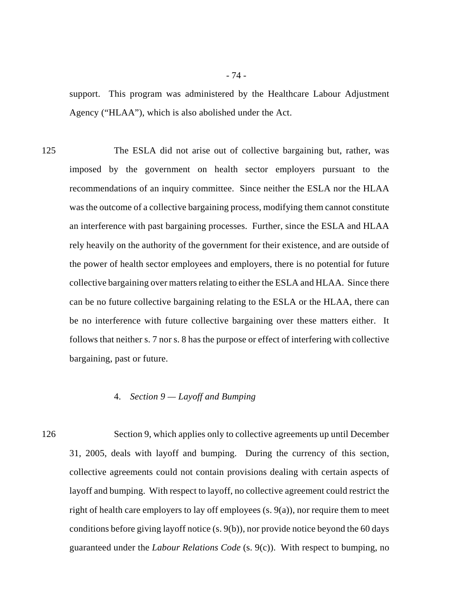support. This program was administered by the Healthcare Labour Adjustment Agency ("HLAA"), which is also abolished under the Act.

125 The ESLA did not arise out of collective bargaining but, rather, was imposed by the government on health sector employers pursuant to the recommendations of an inquiry committee. Since neither the ESLA nor the HLAA was the outcome of a collective bargaining process, modifying them cannot constitute an interference with past bargaining processes. Further, since the ESLA and HLAA rely heavily on the authority of the government for their existence, and are outside of the power of health sector employees and employers, there is no potential for future collective bargaining over matters relating to either the ESLA and HLAA. Since there can be no future collective bargaining relating to the ESLA or the HLAA, there can be no interference with future collective bargaining over these matters either. It follows that neither s. 7 nor s. 8 has the purpose or effect of interfering with collective bargaining, past or future.

# 4. *Section 9 — Layoff and Bumping*

126 Section 9, which applies only to collective agreements up until December 31, 2005, deals with layoff and bumping. During the currency of this section, collective agreements could not contain provisions dealing with certain aspects of layoff and bumping. With respect to layoff, no collective agreement could restrict the right of health care employers to lay off employees (s. 9(a)), nor require them to meet conditions before giving layoff notice (s. 9(b)), nor provide notice beyond the 60 days guaranteed under the *Labour Relations Code* (s. 9(c)). With respect to bumping, no

- 74 -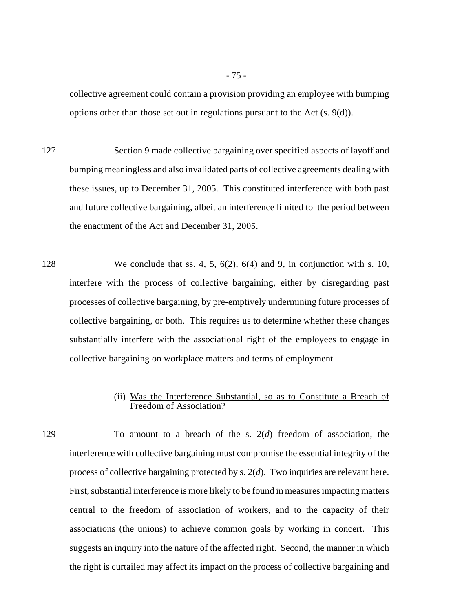collective agreement could contain a provision providing an employee with bumping options other than those set out in regulations pursuant to the Act (s. 9(d)).

- 127 Section 9 made collective bargaining over specified aspects of layoff and bumping meaningless and also invalidated parts of collective agreements dealing with these issues, up to December 31, 2005. This constituted interference with both past and future collective bargaining, albeit an interference limited to the period between the enactment of the Act and December 31, 2005.
- 128 We conclude that ss. 4, 5, 6(2), 6(4) and 9, in conjunction with s. 10, interfere with the process of collective bargaining, either by disregarding past processes of collective bargaining, by pre-emptively undermining future processes of collective bargaining, or both. This requires us to determine whether these changes substantially interfere with the associational right of the employees to engage in collective bargaining on workplace matters and terms of employment*.*

# (ii) Was the Interference Substantial, so as to Constitute a Breach of Freedom of Association?

129 To amount to a breach of the s. 2(*d*) freedom of association, the interference with collective bargaining must compromise the essential integrity of the process of collective bargaining protected by s. 2(*d*). Two inquiries are relevant here. First, substantial interference is more likely to be found in measures impacting matters central to the freedom of association of workers, and to the capacity of their associations (the unions) to achieve common goals by working in concert. This suggests an inquiry into the nature of the affected right. Second, the manner in which the right is curtailed may affect its impact on the process of collective bargaining and

- 75 -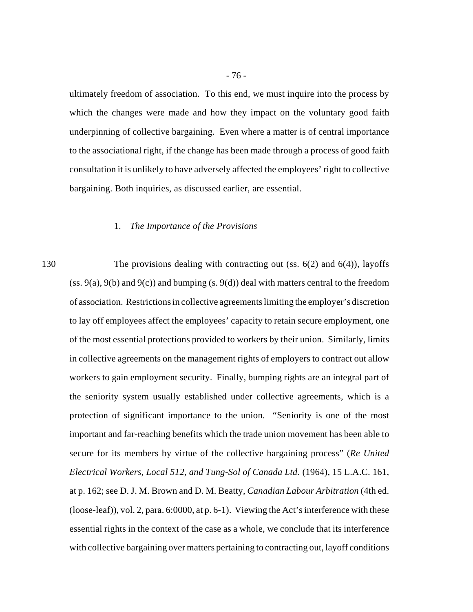ultimately freedom of association. To this end, we must inquire into the process by which the changes were made and how they impact on the voluntary good faith underpinning of collective bargaining. Even where a matter is of central importance to the associational right, if the change has been made through a process of good faith consultation it is unlikely to have adversely affected the employees' right to collective bargaining. Both inquiries, as discussed earlier, are essential.

#### 1. *The Importance of the Provisions*

130 The provisions dealing with contracting out (ss. 6(2) and 6(4)), layoffs  $(s, 9(a), 9(b)$  and  $9(c)$ ) and bumping  $(s, 9(d))$  deal with matters central to the freedom of association. Restrictions in collective agreements limiting the employer's discretion to lay off employees affect the employees' capacity to retain secure employment, one of the most essential protections provided to workers by their union. Similarly, limits in collective agreements on the management rights of employers to contract out allow workers to gain employment security. Finally, bumping rights are an integral part of the seniority system usually established under collective agreements, which is a protection of significant importance to the union. "Seniority is one of the most important and far-reaching benefits which the trade union movement has been able to secure for its members by virtue of the collective bargaining process" (*Re United Electrical Workers, Local 512, and Tung-Sol of Canada Ltd.* (1964), 15 L.A.C. 161, at p. 162; see D. J. M. Brown and D. M. Beatty, *Canadian Labour Arbitration* (4th ed. (loose-leaf)), vol. 2, para. 6:0000, at p. 6-1). Viewing the Act's interference with these essential rights in the context of the case as a whole, we conclude that its interference with collective bargaining over matters pertaining to contracting out, layoff conditions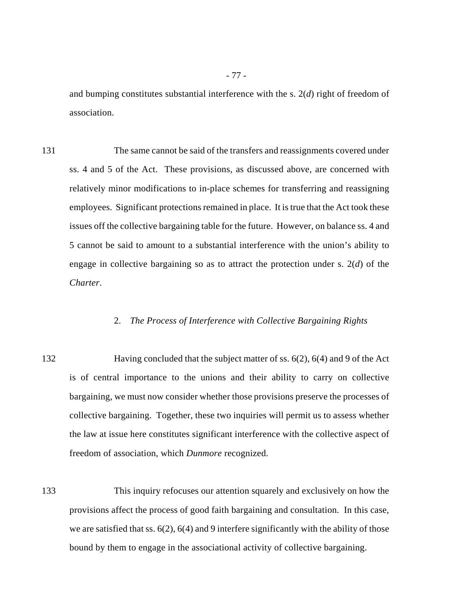and bumping constitutes substantial interference with the s.  $2(d)$  right of freedom of association.

131 The same cannot be said of the transfers and reassignments covered under ss. 4 and 5 of the Act. These provisions, as discussed above, are concerned with relatively minor modifications to in-place schemes for transferring and reassigning employees. Significant protections remained in place. It is true that the Act took these issues off the collective bargaining table for the future. However, on balance ss. 4 and 5 cannot be said to amount to a substantial interference with the union's ability to engage in collective bargaining so as to attract the protection under s. 2(*d*) of the *Charter*.

## 2. *The Process of Interference with Collective Bargaining Rights*

- 132 Having concluded that the subject matter of ss. 6(2), 6(4) and 9 of the Act is of central importance to the unions and their ability to carry on collective bargaining, we must now consider whether those provisions preserve the processes of collective bargaining. Together, these two inquiries will permit us to assess whether the law at issue here constitutes significant interference with the collective aspect of freedom of association, which *Dunmore* recognized.
- 133 This inquiry refocuses our attention squarely and exclusively on how the provisions affect the process of good faith bargaining and consultation. In this case, we are satisfied that ss. 6(2), 6(4) and 9 interfere significantly with the ability of those bound by them to engage in the associational activity of collective bargaining.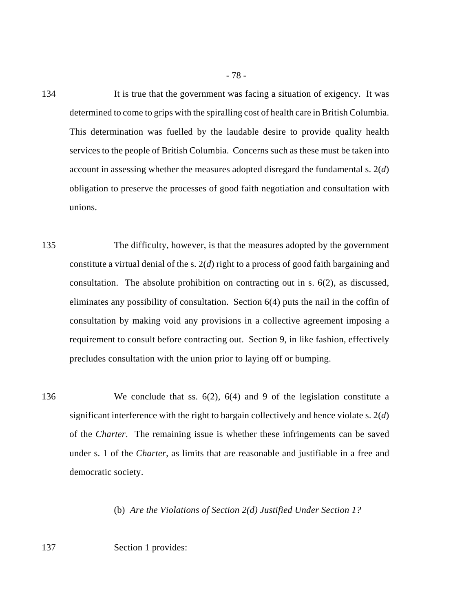134 It is true that the government was facing a situation of exigency. It was determined to come to grips with the spiralling cost of health care in British Columbia. This determination was fuelled by the laudable desire to provide quality health services to the people of British Columbia. Concerns such as these must be taken into account in assessing whether the measures adopted disregard the fundamental s. 2(*d*) obligation to preserve the processes of good faith negotiation and consultation with unions.

- 135 The difficulty, however, is that the measures adopted by the government constitute a virtual denial of the s. 2(*d*) right to a process of good faith bargaining and consultation. The absolute prohibition on contracting out in s. 6(2), as discussed, eliminates any possibility of consultation. Section 6(4) puts the nail in the coffin of consultation by making void any provisions in a collective agreement imposing a requirement to consult before contracting out. Section 9, in like fashion, effectively precludes consultation with the union prior to laying off or bumping.
- 136 We conclude that ss. 6(2), 6(4) and 9 of the legislation constitute a significant interference with the right to bargain collectively and hence violate s. 2(*d*) of the *Charter*. The remaining issue is whether these infringements can be saved under s. 1 of the *Charter*, as limits that are reasonable and justifiable in a free and democratic society.

(b) *Are the Violations of Section 2(d) Justified Under Section 1?*

137 Section 1 provides: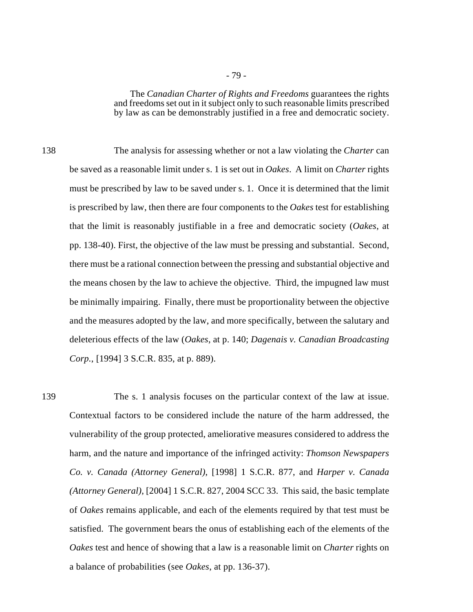The *Canadian Charter of Rights and Freedoms* guarantees the rights and freedoms set out in it subject only to such reasonable limits prescribed by law as can be demonstrably justified in a free and democratic society.

138 The analysis for assessing whether or not a law violating the *Charter* can be saved as a reasonable limit under s. 1 is set out in *Oakes*. A limit on *Charter* rights must be prescribed by law to be saved under s. 1. Once it is determined that the limit is prescribed by law, then there are four components to the *Oakes* test for establishing that the limit is reasonably justifiable in a free and democratic society (*Oakes*, at pp. 138-40). First, the objective of the law must be pressing and substantial. Second, there must be a rational connection between the pressing and substantial objective and the means chosen by the law to achieve the objective. Third, the impugned law must be minimally impairing. Finally, there must be proportionality between the objective and the measures adopted by the law, and more specifically, between the salutary and deleterious effects of the law (*Oakes*, at p. 140; *Dagenais v. Canadian Broadcasting Corp.*, [1994] 3 S.C.R. 835, at p. 889).

139 The s. 1 analysis focuses on the particular context of the law at issue. Contextual factors to be considered include the nature of the harm addressed, the vulnerability of the group protected, ameliorative measures considered to address the harm, and the nature and importance of the infringed activity: *Thomson Newspapers Co. v. Canada (Attorney General)*, [1998] 1 S.C.R. 877, and *Harper v. Canada (Attorney General)*, [2004] 1 S.C.R. 827, 2004 SCC 33. This said, the basic template of *Oakes* remains applicable, and each of the elements required by that test must be satisfied. The government bears the onus of establishing each of the elements of the *Oakes* test and hence of showing that a law is a reasonable limit on *Charter* rights on a balance of probabilities (see *Oakes*, at pp. 136-37).

- 79 -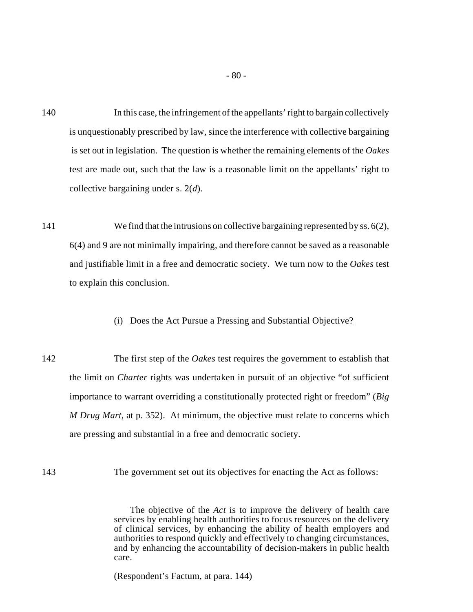- 140 In this case, the infringement of the appellants' right to bargain collectively is unquestionably prescribed by law, since the interference with collective bargaining is set out in legislation. The question is whether the remaining elements of the *Oakes* test are made out, such that the law is a reasonable limit on the appellants' right to collective bargaining under s. 2(*d*).
- 141 We find that the intrusions on collective bargaining represented by ss. 6(2), 6(4) and 9 are not minimally impairing, and therefore cannot be saved as a reasonable and justifiable limit in a free and democratic society. We turn now to the *Oakes* test to explain this conclusion.

#### (i) Does the Act Pursue a Pressing and Substantial Objective?

142 The first step of the *Oakes* test requires the government to establish that the limit on *Charter* rights was undertaken in pursuit of an objective "of sufficient importance to warrant overriding a constitutionally protected right or freedom" (*Big M Drug Mart*, at p. 352). At minimum, the objective must relate to concerns which are pressing and substantial in a free and democratic society.

143 The government set out its objectives for enacting the Act as follows:

The objective of the *Act* is to improve the delivery of health care services by enabling health authorities to focus resources on the delivery of clinical services, by enhancing the ability of health employers and authorities to respond quickly and effectively to changing circumstances, and by enhancing the accountability of decision-makers in public health care.

(Respondent's Factum, at para. 144)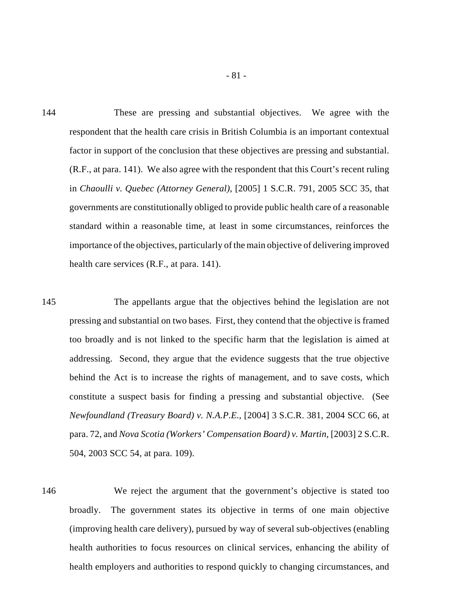- 144 These are pressing and substantial objectives. We agree with the respondent that the health care crisis in British Columbia is an important contextual factor in support of the conclusion that these objectives are pressing and substantial. (R.F., at para. 141). We also agree with the respondent that this Court's recent ruling in *Chaoulli v. Quebec (Attorney General)*, [2005] 1 S.C.R. 791, 2005 SCC 35, that governments are constitutionally obliged to provide public health care of a reasonable standard within a reasonable time, at least in some circumstances, reinforces the importance of the objectives, particularly of the main objective of delivering improved health care services (R.F., at para. 141).
- 145 The appellants argue that the objectives behind the legislation are not pressing and substantial on two bases. First, they contend that the objective is framed too broadly and is not linked to the specific harm that the legislation is aimed at addressing. Second, they argue that the evidence suggests that the true objective behind the Act is to increase the rights of management, and to save costs, which constitute a suspect basis for finding a pressing and substantial objective. (See *Newfoundland (Treasury Board) v. N.A.P.E.*, [2004] 3 S.C.R. 381, 2004 SCC 66, at para. 72, and *Nova Scotia (Workers' Compensation Board) v. Martin*, [2003] 2 S.C.R. 504, 2003 SCC 54, at para. 109).
- 146 We reject the argument that the government's objective is stated too broadly. The government states its objective in terms of one main objective (improving health care delivery), pursued by way of several sub-objectives (enabling health authorities to focus resources on clinical services, enhancing the ability of health employers and authorities to respond quickly to changing circumstances, and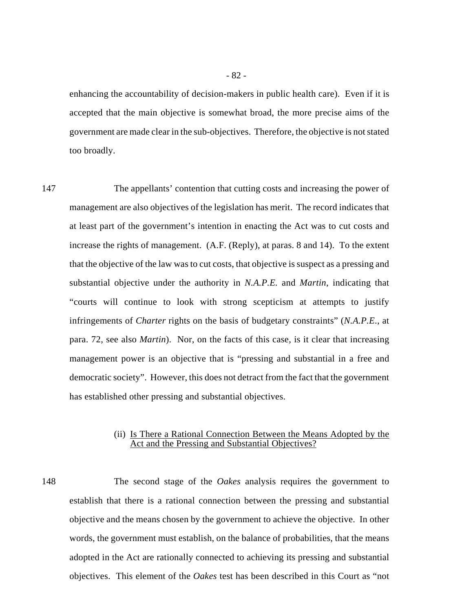enhancing the accountability of decision-makers in public health care). Even if it is accepted that the main objective is somewhat broad, the more precise aims of the government are made clear in the sub-objectives. Therefore, the objective is not stated too broadly.

147 The appellants' contention that cutting costs and increasing the power of management are also objectives of the legislation has merit. The record indicates that at least part of the government's intention in enacting the Act was to cut costs and increase the rights of management. (A.F. (Reply), at paras. 8 and 14). To the extent that the objective of the law was to cut costs, that objective is suspect as a pressing and substantial objective under the authority in *N.A.P.E.* and *Martin*, indicating that "courts will continue to look with strong scepticism at attempts to justify infringements of *Charter* rights on the basis of budgetary constraints" (*N.A.P.E*., at para. 72, see also *Martin*). Nor, on the facts of this case, is it clear that increasing management power is an objective that is "pressing and substantial in a free and democratic society". However, this does not detract from the fact that the government has established other pressing and substantial objectives.

## (ii) Is There a Rational Connection Between the Means Adopted by the Act and the Pressing and Substantial Objectives?

148 The second stage of the *Oakes* analysis requires the government to establish that there is a rational connection between the pressing and substantial objective and the means chosen by the government to achieve the objective. In other words, the government must establish, on the balance of probabilities, that the means adopted in the Act are rationally connected to achieving its pressing and substantial objectives. This element of the *Oakes* test has been described in this Court as "not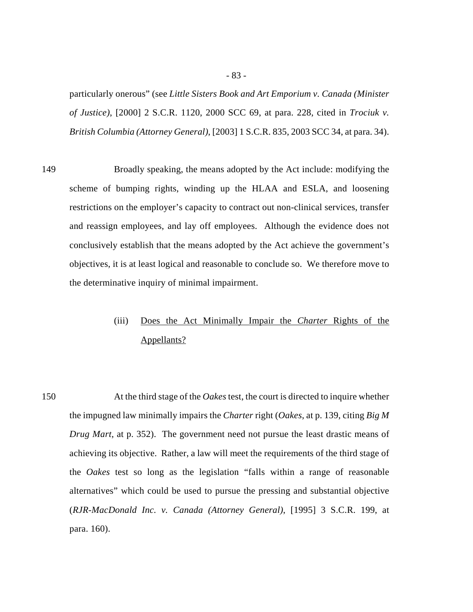particularly onerous" (see *Little Sisters Book and Art Emporium v. Canada (Minister of Justice)*, [2000] 2 S.C.R. 1120, 2000 SCC 69, at para. 228, cited in *Trociuk v. British Columbia (Attorney General)*, [2003] 1 S.C.R. 835, 2003 SCC 34, at para. 34).

149 Broadly speaking, the means adopted by the Act include: modifying the scheme of bumping rights, winding up the HLAA and ESLA, and loosening restrictions on the employer's capacity to contract out non-clinical services, transfer and reassign employees, and lay off employees. Although the evidence does not conclusively establish that the means adopted by the Act achieve the government's objectives, it is at least logical and reasonable to conclude so. We therefore move to the determinative inquiry of minimal impairment.

# (iii) Does the Act Minimally Impair the *Charter* Rights of the Appellants?

150 At the third stage of the *Oakes* test, the court is directed to inquire whether the impugned law minimally impairs the *Charter* right (*Oakes*, at p. 139, citing *Big M Drug Mart*, at p. 352). The government need not pursue the least drastic means of achieving its objective. Rather, a law will meet the requirements of the third stage of the *Oakes* test so long as the legislation "falls within a range of reasonable alternatives" which could be used to pursue the pressing and substantial objective (*RJR-MacDonald Inc. v. Canada (Attorney General)*, [1995] 3 S.C.R. 199, at para. 160).

- 83 -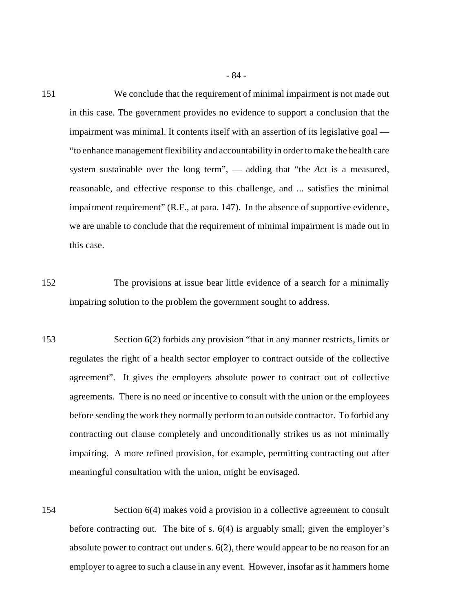151 We conclude that the requirement of minimal impairment is not made out in this case. The government provides no evidence to support a conclusion that the impairment was minimal. It contents itself with an assertion of its legislative goal — "to enhance management flexibility and accountability in order to make the health care system sustainable over the long term", — adding that "the *Act* is a measured, reasonable, and effective response to this challenge, and ... satisfies the minimal impairment requirement" (R.F., at para. 147). In the absence of supportive evidence, we are unable to conclude that the requirement of minimal impairment is made out in this case.

152 The provisions at issue bear little evidence of a search for a minimally impairing solution to the problem the government sought to address.

- 153 Section 6(2) forbids any provision "that in any manner restricts, limits or regulates the right of a health sector employer to contract outside of the collective agreement". It gives the employers absolute power to contract out of collective agreements. There is no need or incentive to consult with the union or the employees before sending the work they normally perform to an outside contractor. To forbid any contracting out clause completely and unconditionally strikes us as not minimally impairing. A more refined provision, for example, permitting contracting out after meaningful consultation with the union, might be envisaged.
- 154 Section 6(4) makes void a provision in a collective agreement to consult before contracting out. The bite of s. 6(4) is arguably small; given the employer's absolute power to contract out under s. 6(2), there would appear to be no reason for an employer to agree to such a clause in any event. However, insofar as it hammers home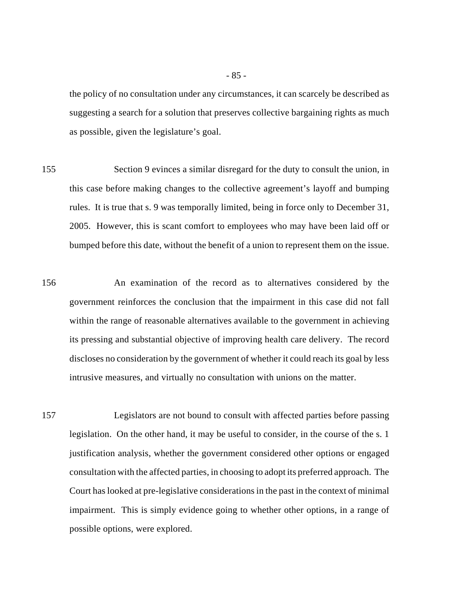the policy of no consultation under any circumstances, it can scarcely be described as suggesting a search for a solution that preserves collective bargaining rights as much as possible, given the legislature's goal.

155 Section 9 evinces a similar disregard for the duty to consult the union, in this case before making changes to the collective agreement's layoff and bumping rules. It is true that s. 9 was temporally limited, being in force only to December 31, 2005. However, this is scant comfort to employees who may have been laid off or bumped before this date, without the benefit of a union to represent them on the issue.

156 An examination of the record as to alternatives considered by the government reinforces the conclusion that the impairment in this case did not fall within the range of reasonable alternatives available to the government in achieving its pressing and substantial objective of improving health care delivery. The record discloses no consideration by the government of whether it could reach its goal by less intrusive measures, and virtually no consultation with unions on the matter.

157 Legislators are not bound to consult with affected parties before passing legislation. On the other hand, it may be useful to consider, in the course of the s. 1 justification analysis, whether the government considered other options or engaged consultation with the affected parties, in choosing to adopt its preferred approach. The Court has looked at pre-legislative considerations in the past in the context of minimal impairment. This is simply evidence going to whether other options, in a range of possible options, were explored.

- 85 -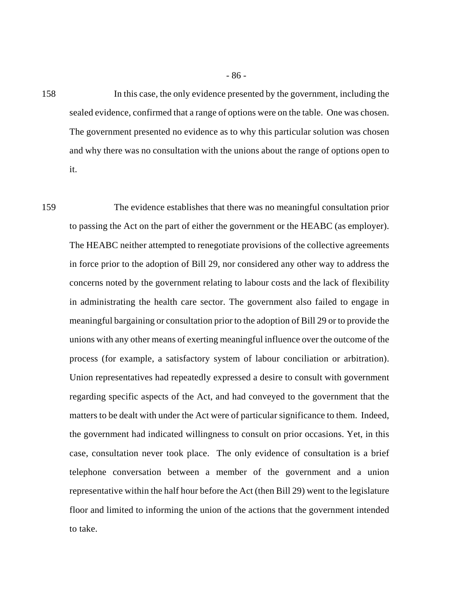158 In this case, the only evidence presented by the government, including the sealed evidence, confirmed that a range of options were on the table. One was chosen. The government presented no evidence as to why this particular solution was chosen and why there was no consultation with the unions about the range of options open to it.

159 The evidence establishes that there was no meaningful consultation prior to passing the Act on the part of either the government or the HEABC (as employer). The HEABC neither attempted to renegotiate provisions of the collective agreements in force prior to the adoption of Bill 29, nor considered any other way to address the concerns noted by the government relating to labour costs and the lack of flexibility in administrating the health care sector. The government also failed to engage in meaningful bargaining or consultation prior to the adoption of Bill 29 or to provide the unions with any other means of exerting meaningful influence over the outcome of the process (for example, a satisfactory system of labour conciliation or arbitration). Union representatives had repeatedly expressed a desire to consult with government regarding specific aspects of the Act, and had conveyed to the government that the matters to be dealt with under the Act were of particular significance to them. Indeed, the government had indicated willingness to consult on prior occasions. Yet, in this case, consultation never took place. The only evidence of consultation is a brief telephone conversation between a member of the government and a union representative within the half hour before the Act (then Bill 29) went to the legislature floor and limited to informing the union of the actions that the government intended to take.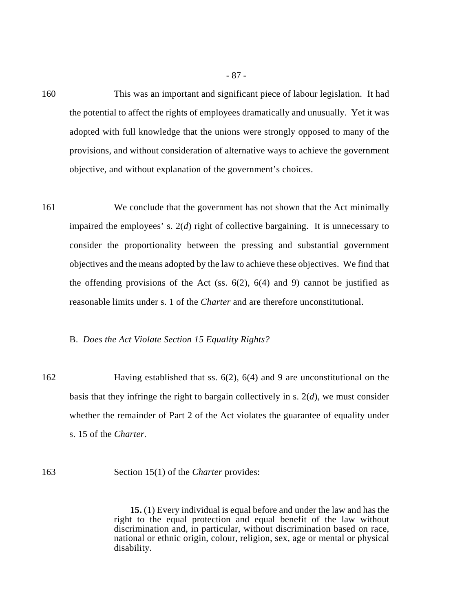160 This was an important and significant piece of labour legislation. It had the potential to affect the rights of employees dramatically and unusually. Yet it was adopted with full knowledge that the unions were strongly opposed to many of the provisions, and without consideration of alternative ways to achieve the government objective, and without explanation of the government's choices.

161 We conclude that the government has not shown that the Act minimally impaired the employees' s. 2(*d*) right of collective bargaining. It is unnecessary to consider the proportionality between the pressing and substantial government objectives and the means adopted by the law to achieve these objectives. We find that the offending provisions of the Act (ss.  $6(2)$ ,  $6(4)$  and 9) cannot be justified as reasonable limits under s. 1 of the *Charter* and are therefore unconstitutional.

## B. *Does the Act Violate Section 15 Equality Rights?*

- 162 Having established that ss. 6(2), 6(4) and 9 are unconstitutional on the basis that they infringe the right to bargain collectively in s. 2(*d*), we must consider whether the remainder of Part 2 of the Act violates the guarantee of equality under s. 15 of the *Charter*.
- 163 Section 15(1) of the *Charter* provides:

**15.** (1) Every individual is equal before and under the law and has the right to the equal protection and equal benefit of the law without discrimination and, in particular, without discrimination based on race, national or ethnic origin, colour, religion, sex, age or mental or physical disability.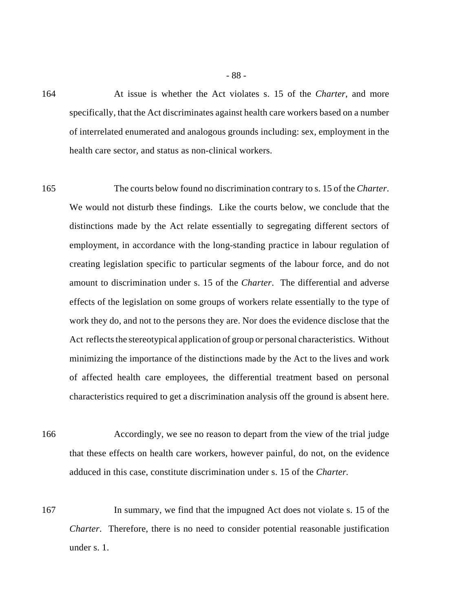164 At issue is whether the Act violates s. 15 of the *Charter*, and more specifically, that the Act discriminates against health care workers based on a number of interrelated enumerated and analogous grounds including: sex, employment in the health care sector, and status as non-clinical workers.

- 165 The courts below found no discrimination contrary to s. 15 of the *Charter*. We would not disturb these findings. Like the courts below, we conclude that the distinctions made by the Act relate essentially to segregating different sectors of employment, in accordance with the long-standing practice in labour regulation of creating legislation specific to particular segments of the labour force, and do not amount to discrimination under s. 15 of the *Charter*. The differential and adverse effects of the legislation on some groups of workers relate essentially to the type of work they do, and not to the persons they are. Nor does the evidence disclose that the Act reflects the stereotypical application of group or personal characteristics. Without minimizing the importance of the distinctions made by the Act to the lives and work of affected health care employees, the differential treatment based on personal characteristics required to get a discrimination analysis off the ground is absent here.
- 166 Accordingly, we see no reason to depart from the view of the trial judge that these effects on health care workers, however painful, do not, on the evidence adduced in this case, constitute discrimination under s. 15 of the *Charter.*

167 In summary, we find that the impugned Act does not violate s. 15 of the *Charter*. Therefore, there is no need to consider potential reasonable justification under s. 1.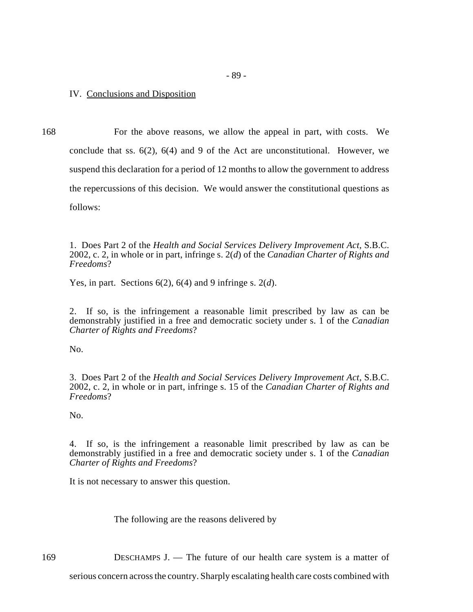- 89 -

# IV. Conclusions and Disposition

168 For the above reasons, we allow the appeal in part, with costs. We conclude that ss.  $6(2)$ ,  $6(4)$  and 9 of the Act are unconstitutional. However, we suspend this declaration for a period of 12 months to allow the government to address the repercussions of this decision. We would answer the constitutional questions as follows:

1. Does Part 2 of the *Health and Social Services Delivery Improvement Act*, S.B.C. 2002, c. 2, in whole or in part, infringe s. 2(*d*) of the *Canadian Charter of Rights and Freedoms*?

Yes, in part. Sections  $6(2)$ ,  $6(4)$  and 9 infringe s.  $2(d)$ .

2. If so, is the infringement a reasonable limit prescribed by law as can be demonstrably justified in a free and democratic society under s. 1 of the *Canadian Charter of Rights and Freedoms*?

No.

3. Does Part 2 of the *Health and Social Services Delivery Improvement Act*, S.B.C. 2002, c. 2, in whole or in part, infringe s. 15 of the *Canadian Charter of Rights and Freedoms*?

No.

4. If so, is the infringement a reasonable limit prescribed by law as can be demonstrably justified in a free and democratic society under s. 1 of the *Canadian Charter of Rights and Freedoms*?

It is not necessary to answer this question.

The following are the reasons delivered by

169 DESCHAMPS J. — The future of our health care system is a matter of

serious concern across the country. Sharply escalating health care costs combined with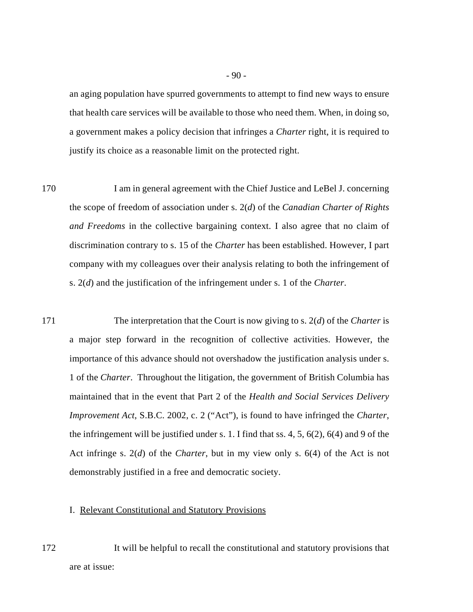an aging population have spurred governments to attempt to find new ways to ensure that health care services will be available to those who need them. When, in doing so, a government makes a policy decision that infringes a *Charter* right, it is required to justify its choice as a reasonable limit on the protected right.

- 170 I am in general agreement with the Chief Justice and LeBel J. concerning the scope of freedom of association under s. 2(*d*) of the *Canadian Charter of Rights and Freedoms* in the collective bargaining context. I also agree that no claim of discrimination contrary to s. 15 of the *Charter* has been established. However, I part company with my colleagues over their analysis relating to both the infringement of s. 2(*d*) and the justification of the infringement under s. 1 of the *Charter*.
- 171 The interpretation that the Court is now giving to s. 2(*d*) of the *Charter* is a major step forward in the recognition of collective activities. However, the importance of this advance should not overshadow the justification analysis under s. 1 of the *Charter*. Throughout the litigation, the government of British Columbia has maintained that in the event that Part 2 of the *Health and Social Services Delivery Improvement Act*, S.B.C. 2002, c. 2 ("Act"), is found to have infringed the *Charter*, the infringement will be justified under s. 1. I find that ss. 4, 5,  $6(2)$ ,  $6(4)$  and 9 of the Act infringe s. 2(*d*) of the *Charter*, but in my view only s. 6(4) of the Act is not demonstrably justified in a free and democratic society.

# I. Relevant Constitutional and Statutory Provisions

172 It will be helpful to recall the constitutional and statutory provisions that are at issue: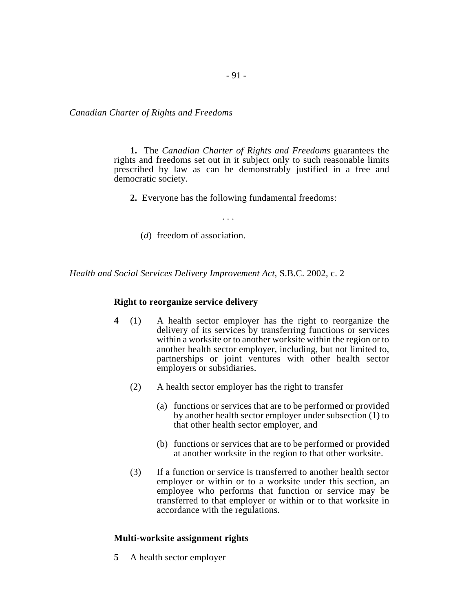*Canadian Charter of Rights and Freedoms*

**1.** The *Canadian Charter of Rights and Freedoms* guarantees the rights and freedoms set out in it subject only to such reasonable limits prescribed by law as can be demonstrably justified in a free and democratic society.

**2.** Everyone has the following fundamental freedoms:

. . .

(*d*) freedom of association.

*Health and Social Services Delivery Improvement Act*, S.B.C. 2002, c. 2

## **Right to reorganize service delivery**

- **4** (1) A health sector employer has the right to reorganize the delivery of its services by transferring functions or services within a worksite or to another worksite within the region or to another health sector employer, including, but not limited to, partnerships or joint ventures with other health sector employers or subsidiaries.
	- (2) A health sector employer has the right to transfer
		- (a) functions or services that are to be performed or provided by another health sector employer under subsection (1) to that other health sector employer, and
		- (b) functions or services that are to be performed or provided at another worksite in the region to that other worksite.
	- (3) If a function or service is transferred to another health sector employer or within or to a worksite under this section, an employee who performs that function or service may be transferred to that employer or within or to that worksite in accordance with the regulations.

## **Multi-worksite assignment rights**

**5** A health sector employer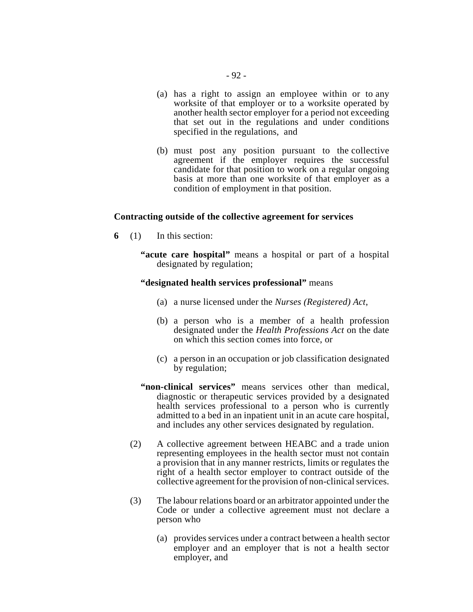- (a) has a right to assign an employee within or to any worksite of that employer or to a worksite operated by another health sector employer for a period not exceeding that set out in the regulations and under conditions specified in the regulations, and
- (b) must post any position pursuant to the collective agreement if the employer requires the successful candidate for that position to work on a regular ongoing basis at more than one worksite of that employer as a condition of employment in that position.

#### **Contracting outside of the collective agreement for services**

- **6** (1) In this section:
	- **"acute care hospital"** means a hospital or part of a hospital designated by regulation;

#### **"designated health services professional"** means

- (a) a nurse licensed under the *Nurses (Registered) Act*,
- (b) a person who is a member of a health profession designated under the *Health Professions Act* on the date on which this section comes into force, or
- (c) a person in an occupation or job classification designated by regulation;
- **"non-clinical services"** means services other than medical, diagnostic or therapeutic services provided by a designated health services professional to a person who is currently admitted to a bed in an inpatient unit in an acute care hospital, and includes any other services designated by regulation.
- (2) A collective agreement between HEABC and a trade union representing employees in the health sector must not contain a provision that in any manner restricts, limits or regulates the right of a health sector employer to contract outside of the collective agreement for the provision of non-clinical services.
- (3) The labour relations board or an arbitrator appointed under the Code or under a collective agreement must not declare a person who
	- (a) provides services under a contract between a health sector employer and an employer that is not a health sector employer, and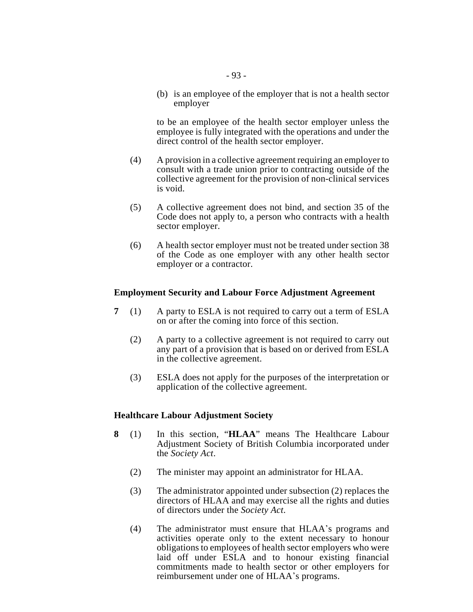(b) is an employee of the employer that is not a health sector employer

to be an employee of the health sector employer unless the employee is fully integrated with the operations and under the direct control of the health sector employer.

- (4) A provision in a collective agreement requiring an employer to consult with a trade union prior to contracting outside of the collective agreement for the provision of non-clinical services is void.
- (5) A collective agreement does not bind, and section 35 of the Code does not apply to, a person who contracts with a health sector employer.
- (6) A health sector employer must not be treated under section 38 of the Code as one employer with any other health sector employer or a contractor.

# **Employment Security and Labour Force Adjustment Agreement**

- **7** (1) A party to ESLA is not required to carry out a term of ESLA on or after the coming into force of this section.
	- (2) A party to a collective agreement is not required to carry out any part of a provision that is based on or derived from ESLA in the collective agreement.
	- (3) ESLA does not apply for the purposes of the interpretation or application of the collective agreement.

## **Healthcare Labour Adjustment Society**

- **8** (1) In this section, "**HLAA**" means The Healthcare Labour Adjustment Society of British Columbia incorporated under the *Society Act*.
	- (2) The minister may appoint an administrator for HLAA.
	- (3) The administrator appointed under subsection (2) replaces the directors of HLAA and may exercise all the rights and duties of directors under the *Society Act*.
	- (4) The administrator must ensure that HLAA\*s programs and activities operate only to the extent necessary to honour obligations to employees of health sector employers who were laid off under ESLA and to honour existing financial commitments made to health sector or other employers for reimbursement under one of HLAA's programs.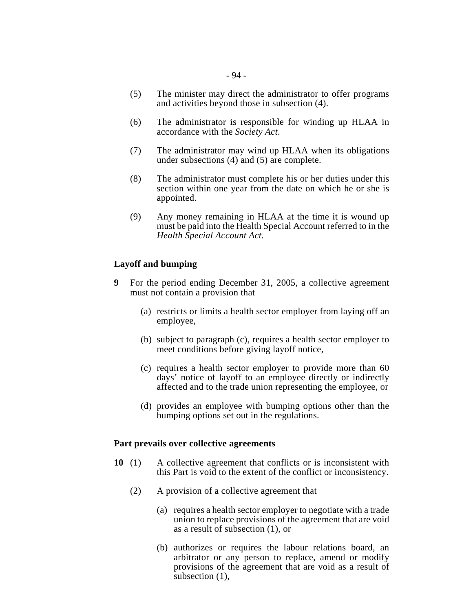- (5) The minister may direct the administrator to offer programs and activities beyond those in subsection (4).
- (6) The administrator is responsible for winding up HLAA in accordance with the *Society Act*.
- (7) The administrator may wind up HLAA when its obligations under subsections (4) and (5) are complete.
- (8) The administrator must complete his or her duties under this section within one year from the date on which he or she is appointed.
- (9) Any money remaining in HLAA at the time it is wound up must be paid into the Health Special Account referred to in the *Health Special Account Act.*

#### **Layoff and bumping**

- **9** For the period ending December 31, 2005, a collective agreement must not contain a provision that
	- (a) restricts or limits a health sector employer from laying off an employee,
	- (b) subject to paragraph (c), requires a health sector employer to meet conditions before giving layoff notice,
	- (c) requires a health sector employer to provide more than 60 days' notice of layoff to an employee directly or indirectly affected and to the trade union representing the employee, or
	- (d) provides an employee with bumping options other than the bumping options set out in the regulations.

### **Part prevails over collective agreements**

- **10** (1) A collective agreement that conflicts or is inconsistent with this Part is void to the extent of the conflict or inconsistency.
	- (2) A provision of a collective agreement that
		- (a) requires a health sector employer to negotiate with a trade union to replace provisions of the agreement that are void as a result of subsection (1), or
		- (b) authorizes or requires the labour relations board, an arbitrator or any person to replace, amend or modify provisions of the agreement that are void as a result of subsection  $(1)$ ,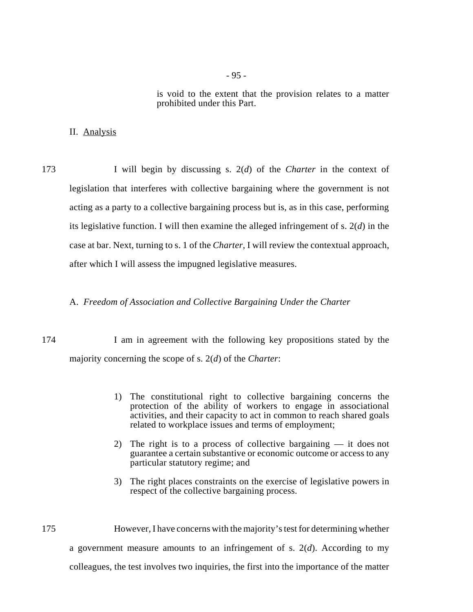is void to the extent that the provision relates to a matter prohibited under this Part.

# II. Analysis

- 173 I will begin by discussing s. 2(*d*) of the *Charter* in the context of legislation that interferes with collective bargaining where the government is not acting as a party to a collective bargaining process but is, as in this case, performing its legislative function. I will then examine the alleged infringement of s. 2(*d*) in the case at bar. Next, turning to s. 1 of the *Charter*, I will review the contextual approach, after which I will assess the impugned legislative measures.
	- A. *Freedom of Association and Collective Bargaining Under the Charter*
- 174 I am in agreement with the following key propositions stated by the majority concerning the scope of s. 2(*d*) of the *Charter*:
	- 1) The constitutional right to collective bargaining concerns the protection of the ability of workers to engage in associational activities, and their capacity to act in common to reach shared goals related to workplace issues and terms of employment;
	- 2) The right is to a process of collective bargaining it does not guarantee a certain substantive or economic outcome or access to any particular statutory regime; and
	- 3) The right places constraints on the exercise of legislative powers in respect of the collective bargaining process.

175 However, I have concerns with the majority's test for determining whether a government measure amounts to an infringement of s. 2(*d*). According to my colleagues, the test involves two inquiries, the first into the importance of the matter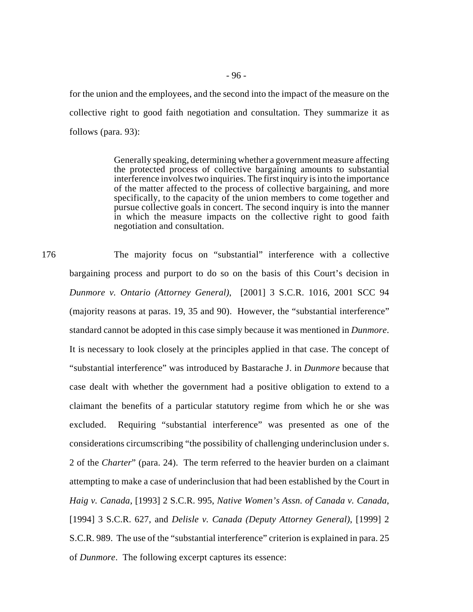follows (para. 93):

Generally speaking, determining whether a government measure affecting the protected process of collective bargaining amounts to substantial interference involves two inquiries. The first inquiry is into the importance of the matter affected to the process of collective bargaining, and more specifically, to the capacity of the union members to come together and pursue collective goals in concert. The second inquiry is into the manner in which the measure impacts on the collective right to good faith negotiation and consultation.

176 The majority focus on "substantial" interference with a collective bargaining process and purport to do so on the basis of this Court's decision in *Dunmore v. Ontario (Attorney General)*, [2001] 3 S.C.R. 1016, 2001 SCC 94 (majority reasons at paras. 19, 35 and 90). However, the "substantial interference" standard cannot be adopted in this case simply because it was mentioned in *Dunmore*. It is necessary to look closely at the principles applied in that case. The concept of "substantial interference" was introduced by Bastarache J. in *Dunmore* because that case dealt with whether the government had a positive obligation to extend to a claimant the benefits of a particular statutory regime from which he or she was excluded. Requiring "substantial interference" was presented as one of the considerations circumscribing "the possibility of challenging underinclusion under s. 2 of the *Charter*" (para. 24). The term referred to the heavier burden on a claimant attempting to make a case of underinclusion that had been established by the Court in *Haig v. Canada*, [1993] 2 S.C.R. 995, *Native Women's Assn. of Canada v. Canada*, [1994] 3 S.C.R. 627, and *Delisle v. Canada (Deputy Attorney General)*, [1999] 2 S.C.R. 989. The use of the "substantial interference" criterion is explained in para. 25 of *Dunmore*. The following excerpt captures its essence: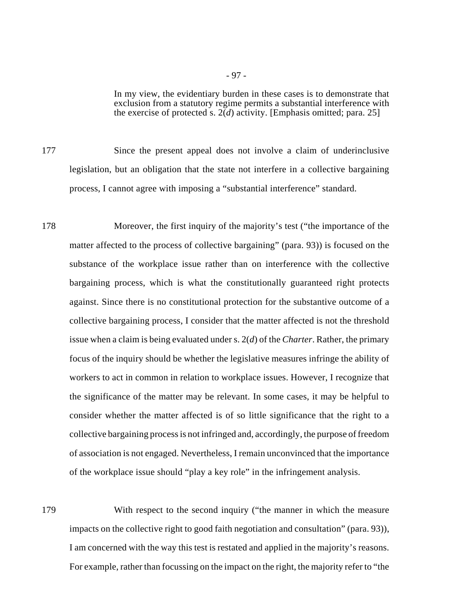In my view, the evidentiary burden in these cases is to demonstrate that exclusion from a statutory regime permits a substantial interference with the exercise of protected s.  $2\overline{d}$  activity. [Emphasis omitted; para. 25]

177 Since the present appeal does not involve a claim of underinclusive legislation, but an obligation that the state not interfere in a collective bargaining process, I cannot agree with imposing a "substantial interference" standard.

178 Moreover, the first inquiry of the majority's test ("the importance of the matter affected to the process of collective bargaining" (para. 93)) is focused on the substance of the workplace issue rather than on interference with the collective bargaining process, which is what the constitutionally guaranteed right protects against. Since there is no constitutional protection for the substantive outcome of a collective bargaining process, I consider that the matter affected is not the threshold issue when a claim is being evaluated under s. 2(*d*) of the *Charter*. Rather, the primary focus of the inquiry should be whether the legislative measures infringe the ability of workers to act in common in relation to workplace issues. However, I recognize that the significance of the matter may be relevant. In some cases, it may be helpful to consider whether the matter affected is of so little significance that the right to a collective bargaining process is not infringed and, accordingly, the purpose of freedom of association is not engaged. Nevertheless, I remain unconvinced that the importance of the workplace issue should "play a key role" in the infringement analysis.

179 With respect to the second inquiry ("the manner in which the measure impacts on the collective right to good faith negotiation and consultation" (para. 93)), I am concerned with the way this test is restated and applied in the majority's reasons. For example, rather than focussing on the impact on the right, the majority refer to "the

- 97 -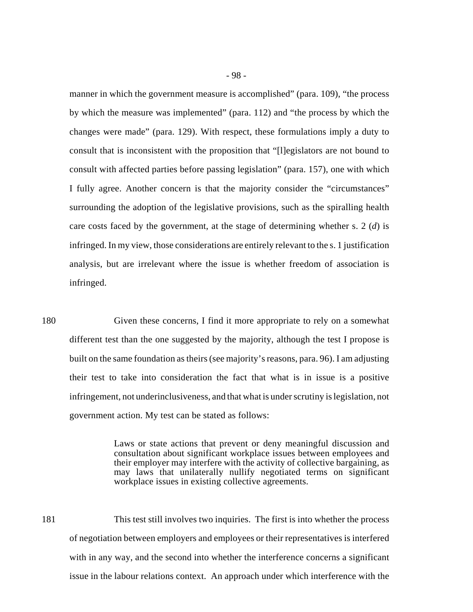manner in which the government measure is accomplished" (para. 109), "the process by which the measure was implemented" (para. 112) and "the process by which the changes were made" (para. 129). With respect, these formulations imply a duty to consult that is inconsistent with the proposition that "[l]egislators are not bound to consult with affected parties before passing legislation" (para. 157), one with which I fully agree. Another concern is that the majority consider the "circumstances" surrounding the adoption of the legislative provisions, such as the spiralling health care costs faced by the government, at the stage of determining whether s. 2 (*d*) is infringed. In my view, those considerations are entirely relevant to the s. 1 justification analysis, but are irrelevant where the issue is whether freedom of association is infringed.

180 Given these concerns, I find it more appropriate to rely on a somewhat different test than the one suggested by the majority, although the test I propose is built on the same foundation as theirs (see majority's reasons, para. 96). I am adjusting their test to take into consideration the fact that what is in issue is a positive infringement, not underinclusiveness, and that what is under scrutiny is legislation, not government action. My test can be stated as follows:

> Laws or state actions that prevent or deny meaningful discussion and consultation about significant workplace issues between employees and their employer may interfere with the activity of collective bargaining, as may laws that unilaterally nullify negotiated terms on significant workplace issues in existing collective agreements.

181 This test still involves two inquiries. The first is into whether the process of negotiation between employers and employees or their representatives is interfered with in any way, and the second into whether the interference concerns a significant issue in the labour relations context. An approach under which interference with the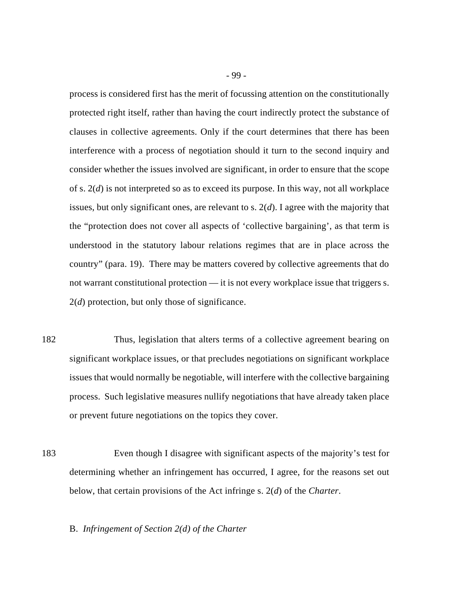process is considered first has the merit of focussing attention on the constitutionally protected right itself, rather than having the court indirectly protect the substance of clauses in collective agreements. Only if the court determines that there has been interference with a process of negotiation should it turn to the second inquiry and consider whether the issues involved are significant, in order to ensure that the scope of s. 2(*d*) is not interpreted so as to exceed its purpose. In this way, not all workplace issues, but only significant ones, are relevant to s.  $2(d)$ . I agree with the majority that the "protection does not cover all aspects of 'collective bargaining', as that term is understood in the statutory labour relations regimes that are in place across the country" (para. 19). There may be matters covered by collective agreements that do not warrant constitutional protection — it is not every workplace issue that triggers s. 2(*d*) protection, but only those of significance.

- 182 Thus, legislation that alters terms of a collective agreement bearing on significant workplace issues, or that precludes negotiations on significant workplace issues that would normally be negotiable, will interfere with the collective bargaining process. Such legislative measures nullify negotiations that have already taken place or prevent future negotiations on the topics they cover.
- 183 Even though I disagree with significant aspects of the majority's test for determining whether an infringement has occurred, I agree, for the reasons set out below, that certain provisions of the Act infringe s. 2(*d*) of the *Charter*.
	- B. *Infringement of Section 2(d) of the Charter*

- 99 -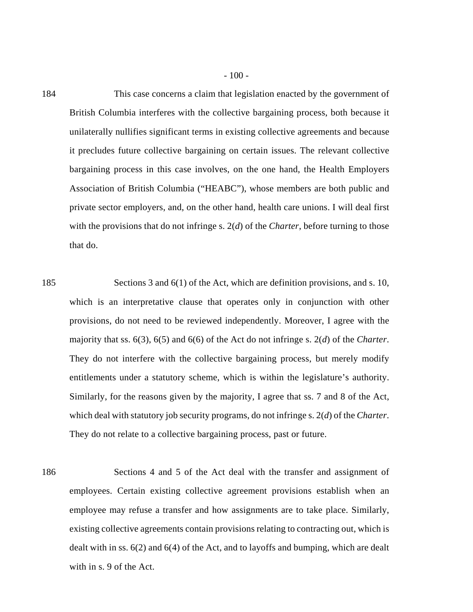184 This case concerns a claim that legislation enacted by the government of British Columbia interferes with the collective bargaining process, both because it unilaterally nullifies significant terms in existing collective agreements and because it precludes future collective bargaining on certain issues. The relevant collective bargaining process in this case involves, on the one hand, the Health Employers Association of British Columbia ("HEABC"), whose members are both public and private sector employers, and, on the other hand, health care unions. I will deal first with the provisions that do not infringe s. 2(*d*) of the *Charter*, before turning to those that do.

- 185 Sections 3 and 6(1) of the Act, which are definition provisions, and s. 10, which is an interpretative clause that operates only in conjunction with other provisions, do not need to be reviewed independently. Moreover, I agree with the majority that ss. 6(3), 6(5) and 6(6) of the Act do not infringe s. 2(*d*) of the *Charter*. They do not interfere with the collective bargaining process, but merely modify entitlements under a statutory scheme, which is within the legislature's authority. Similarly, for the reasons given by the majority, I agree that ss. 7 and 8 of the Act, which deal with statutory job security programs, do not infringe s. 2(*d*) of the *Charter*. They do not relate to a collective bargaining process, past or future.
- 186 Sections 4 and 5 of the Act deal with the transfer and assignment of employees. Certain existing collective agreement provisions establish when an employee may refuse a transfer and how assignments are to take place. Similarly, existing collective agreements contain provisions relating to contracting out, which is dealt with in ss. 6(2) and 6(4) of the Act, and to layoffs and bumping, which are dealt with in s. 9 of the Act.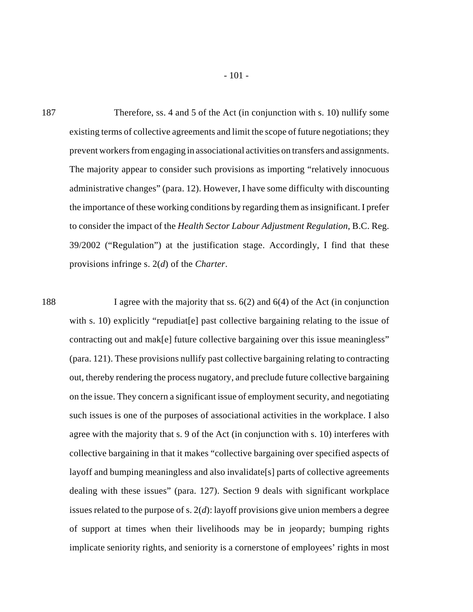187 Therefore, ss. 4 and 5 of the Act (in conjunction with s. 10) nullify some existing terms of collective agreements and limit the scope of future negotiations; they prevent workers from engaging in associational activities on transfers and assignments. The majority appear to consider such provisions as importing "relatively innocuous administrative changes" (para. 12). However, I have some difficulty with discounting the importance of these working conditions by regarding them as insignificant. I prefer to consider the impact of the *Health Sector Labour Adjustment Regulation*, B.C. Reg. 39/2002 ("Regulation") at the justification stage. Accordingly, I find that these provisions infringe s. 2(*d*) of the *Charter*.

188 I agree with the majority that ss. 6(2) and 6(4) of the Act (in conjunction with s. 10) explicitly "repudiat [e] past collective bargaining relating to the issue of contracting out and mak[e] future collective bargaining over this issue meaningless" (para. 121). These provisions nullify past collective bargaining relating to contracting out, thereby rendering the process nugatory, and preclude future collective bargaining on the issue. They concern a significant issue of employment security, and negotiating such issues is one of the purposes of associational activities in the workplace. I also agree with the majority that s. 9 of the Act (in conjunction with s. 10) interferes with collective bargaining in that it makes "collective bargaining over specified aspects of layoff and bumping meaningless and also invalidate  $[s]$  parts of collective agreements dealing with these issues" (para. 127). Section 9 deals with significant workplace issues related to the purpose of s. 2(*d*): layoff provisions give union members a degree of support at times when their livelihoods may be in jeopardy; bumping rights implicate seniority rights, and seniority is a cornerstone of employees' rights in most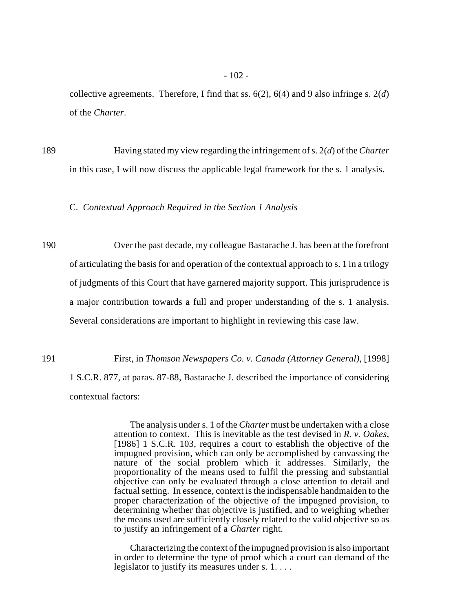collective agreements. Therefore, I find that ss.  $6(2)$ ,  $6(4)$  and 9 also infringe s.  $2(d)$ of the *Charter*.

189 Having stated my view regarding the infringement of s. 2(*d*) of the *Charter* in this case, I will now discuss the applicable legal framework for the s. 1 analysis.

C. *Contextual Approach Required in the Section 1 Analysis*

190 Over the past decade, my colleague Bastarache J. has been at the forefront of articulating the basis for and operation of the contextual approach to s. 1 in a trilogy of judgments of this Court that have garnered majority support. This jurisprudence is a major contribution towards a full and proper understanding of the s. 1 analysis. Several considerations are important to highlight in reviewing this case law.

191 First, in *Thomson Newspapers Co. v. Canada (Attorney General)*, [1998] 1 S.C.R. 877, at paras. 87-88, Bastarache J. described the importance of considering contextual factors:

> The analysis under s. 1 of the *Charter* must be undertaken with a close attention to context. This is inevitable as the test devised in *R. v. Oakes*, [1986] 1 S.C.R. 103, requires a court to establish the objective of the impugned provision, which can only be accomplished by canvassing the nature of the social problem which it addresses. Similarly, the proportionality of the means used to fulfil the pressing and substantial objective can only be evaluated through a close attention to detail and factual setting. In essence, context is the indispensable handmaiden to the proper characterization of the objective of the impugned provision, to determining whether that objective is justified, and to weighing whether the means used are sufficiently closely related to the valid objective so as to justify an infringement of a *Charter* right.

> Characterizing the context of the impugned provision is also important in order to determine the type of proof which a court can demand of the legislator to justify its measures under s. 1. . . .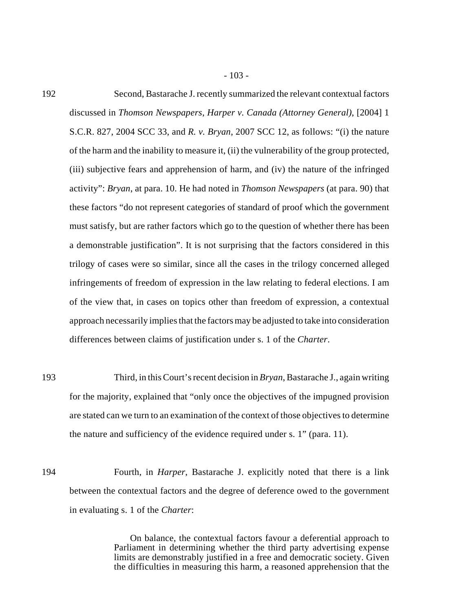- 103 -

192 Second, Bastarache J. recently summarized the relevant contextual factors discussed in *Thomson Newspapers*, *Harper v. Canada (Attorney General)*, [2004] 1 S.C.R. 827, 2004 SCC 33, and *R. v. Bryan*, 2007 SCC 12, as follows: "(i) the nature of the harm and the inability to measure it, (ii) the vulnerability of the group protected, (iii) subjective fears and apprehension of harm, and (iv) the nature of the infringed activity": *Bryan*, at para. 10. He had noted in *Thomson Newspapers* (at para. 90) that these factors "do not represent categories of standard of proof which the government must satisfy, but are rather factors which go to the question of whether there has been a demonstrable justification". It is not surprising that the factors considered in this trilogy of cases were so similar, since all the cases in the trilogy concerned alleged infringements of freedom of expression in the law relating to federal elections. I am of the view that, in cases on topics other than freedom of expression, a contextual approach necessarily implies that the factors may be adjusted to take into consideration differences between claims of justification under s. 1 of the *Charter*.

193 Third, in this Court's recent decision in *Bryan*, Bastarache J., again writing for the majority, explained that "only once the objectives of the impugned provision are stated can we turn to an examination of the context of those objectives to determine the nature and sufficiency of the evidence required under s. 1" (para. 11).

194 Fourth, in *Harper*, Bastarache J. explicitly noted that there is a link between the contextual factors and the degree of deference owed to the government in evaluating s. 1 of the *Charter*:

> On balance, the contextual factors favour a deferential approach to Parliament in determining whether the third party advertising expense limits are demonstrably justified in a free and democratic society. Given the difficulties in measuring this harm, a reasoned apprehension that the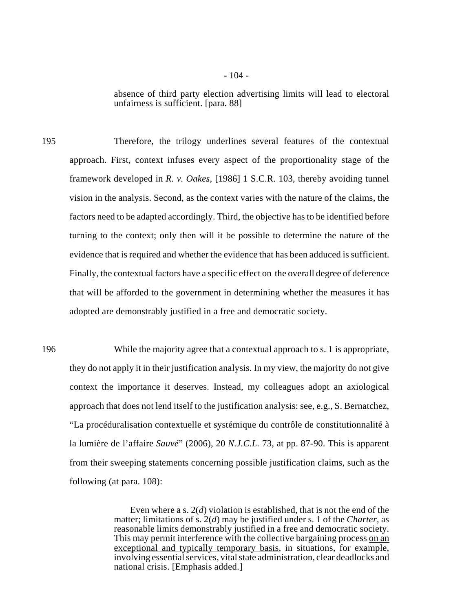absence of third party election advertising limits will lead to electoral unfairness is sufficient. [para. 88]

195 Therefore, the trilogy underlines several features of the contextual approach. First, context infuses every aspect of the proportionality stage of the framework developed in *R. v. Oakes*, [1986] 1 S.C.R. 103, thereby avoiding tunnel vision in the analysis. Second, as the context varies with the nature of the claims, the factors need to be adapted accordingly. Third, the objective has to be identified before turning to the context; only then will it be possible to determine the nature of the evidence that is required and whether the evidence that has been adduced is sufficient. Finally, the contextual factors have a specific effect on the overall degree of deference that will be afforded to the government in determining whether the measures it has adopted are demonstrably justified in a free and democratic society.

196 While the majority agree that a contextual approach to s. 1 is appropriate, they do not apply it in their justification analysis. In my view, the majority do not give context the importance it deserves. Instead, my colleagues adopt an axiological approach that does not lend itself to the justification analysis: see, e.g., S. Bernatchez, "La procéduralisation contextuelle et systémique du contrôle de constitutionnalité à la lumière de l'affaire *Sauvé*" (2006), 20 *N.J.C.L.* 73, at pp. 87-90. This is apparent from their sweeping statements concerning possible justification claims, such as the following (at para. 108):

> Even where a s. 2(*d*) violation is established, that is not the end of the matter; limitations of s. 2(*d*) may be justified under s. 1 of the *Charter*, as reasonable limits demonstrably justified in a free and democratic society. This may permit interference with the collective bargaining process on an exceptional and typically temporary basis, in situations, for example, involving essential services, vital state administration, clear deadlocks and national crisis. [Emphasis added.]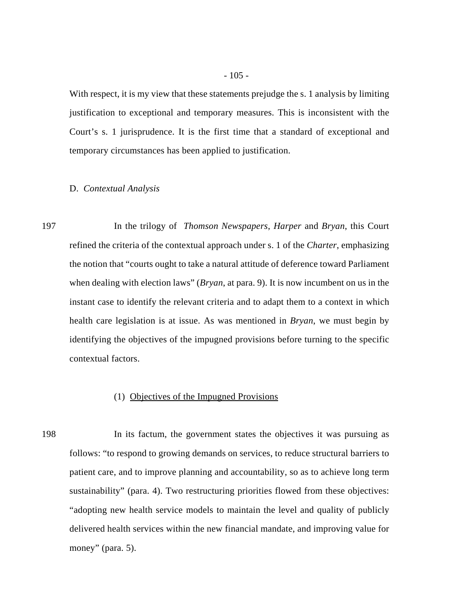With respect, it is my view that these statements prejudge the s. 1 analysis by limiting justification to exceptional and temporary measures. This is inconsistent with the Court's s. 1 jurisprudence. It is the first time that a standard of exceptional and temporary circumstances has been applied to justification.

#### D. *Contextual Analysis*

197 In the trilogy of *Thomson Newspapers*, *Harper* and *Bryan*, this Court refined the criteria of the contextual approach under s. 1 of the *Charter*, emphasizing the notion that "courts ought to take a natural attitude of deference toward Parliament when dealing with election laws" (*Bryan*, at para. 9). It is now incumbent on us in the instant case to identify the relevant criteria and to adapt them to a context in which health care legislation is at issue. As was mentioned in *Bryan*, we must begin by identifying the objectives of the impugned provisions before turning to the specific contextual factors.

# (1) Objectives of the Impugned Provisions

198 In its factum, the government states the objectives it was pursuing as follows: "to respond to growing demands on services, to reduce structural barriers to patient care, and to improve planning and accountability, so as to achieve long term sustainability" (para. 4). Two restructuring priorities flowed from these objectives: "adopting new health service models to maintain the level and quality of publicly delivered health services within the new financial mandate, and improving value for money" (para. 5).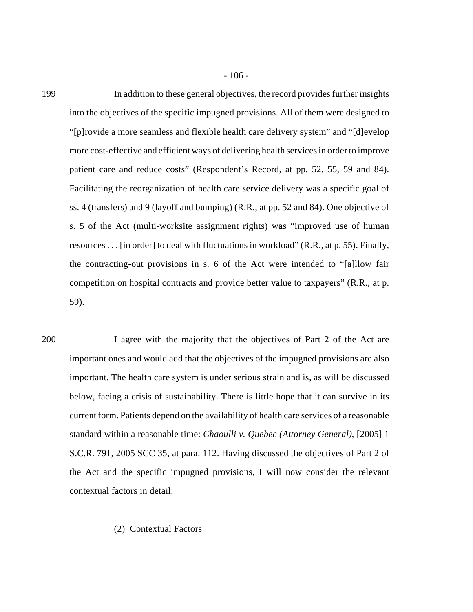199 In addition to these general objectives, the record provides further insights into the objectives of the specific impugned provisions. All of them were designed to "[p]rovide a more seamless and flexible health care delivery system" and "[d]evelop more cost-effective and efficient ways of delivering health services in order to improve patient care and reduce costs" (Respondent's Record, at pp. 52, 55, 59 and 84). Facilitating the reorganization of health care service delivery was a specific goal of ss. 4 (transfers) and 9 (layoff and bumping) (R.R., at pp. 52 and 84). One objective of s. 5 of the Act (multi-worksite assignment rights) was "improved use of human resources . . . [in order] to deal with fluctuations in workload" (R.R., at p. 55). Finally, the contracting-out provisions in s. 6 of the Act were intended to "[a]llow fair competition on hospital contracts and provide better value to taxpayers" (R.R., at p. 59).

200 I agree with the majority that the objectives of Part 2 of the Act are important ones and would add that the objectives of the impugned provisions are also important. The health care system is under serious strain and is, as will be discussed below, facing a crisis of sustainability. There is little hope that it can survive in its current form. Patients depend on the availability of health care services of a reasonable standard within a reasonable time: *Chaoulli v. Quebec (Attorney General)*, [2005] 1 S.C.R. 791, 2005 SCC 35, at para. 112. Having discussed the objectives of Part 2 of the Act and the specific impugned provisions, I will now consider the relevant contextual factors in detail.

(2) Contextual Factors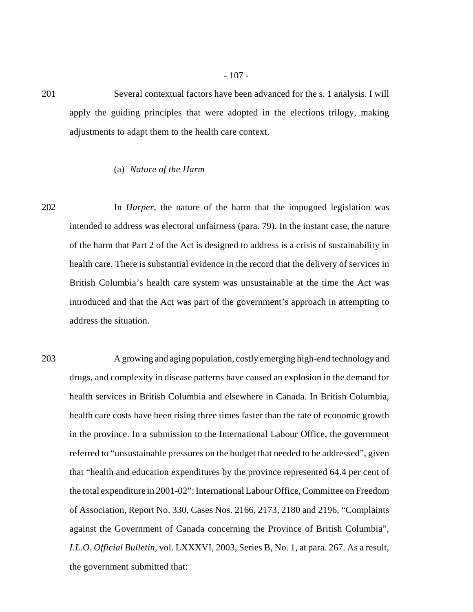201 Several contextual factors have been advanced for the s. 1 analysis. I will apply the guiding principles that were adopted in the elections trilogy, making adjustments to adapt them to the health care context.

#### (a) *Nature of the Harm*

- 202 In *Harper*, the nature of the harm that the impugned legislation was intended to address was electoral unfairness (para. 79). In the instant case, the nature of the harm that Part 2 of the Act is designed to address is a crisis of sustainability in health care. There is substantial evidence in the record that the delivery of services in British Columbia's health care system was unsustainable at the time the Act was introduced and that the Act was part of the government's approach in attempting to address the situation.
- 203 A growing and aging population, costly emerging high-end technology and drugs, and complexity in disease patterns have caused an explosion in the demand for health services in British Columbia and elsewhere in Canada. In British Columbia, health care costs have been rising three times faster than the rate of economic growth in the province. In a submission to the International Labour Office, the government referred to "unsustainable pressures on the budget that needed to be addressed", given that "health and education expenditures by the province represented 64.4 per cent of the total expenditure in 2001-02": International Labour Office, Committee on Freedom of Association, Report No. 330, Cases Nos. 2166, 2173, 2180 and 2196, "Complaints against the Government of Canada concerning the Province of British Columbia", *I.L.O. Official Bulletin*, vol. LXXXVI, 2003, Series B, No. 1, at para. 267. As a result, the government submitted that:

- 107 -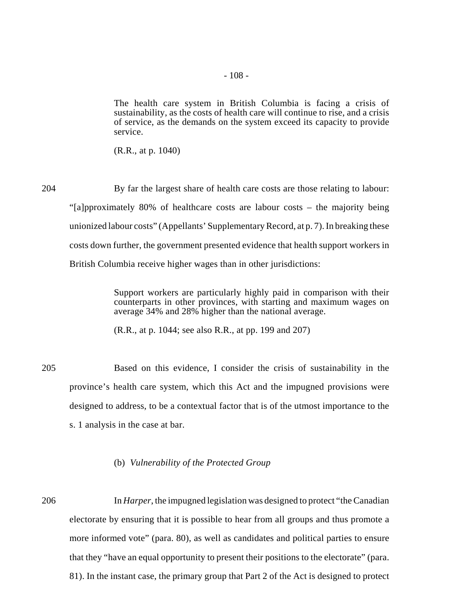The health care system in British Columbia is facing a crisis of sustainability, as the costs of health care will continue to rise, and a crisis of service, as the demands on the system exceed its capacity to provide service.

(R.R., at p. 1040)

204 By far the largest share of health care costs are those relating to labour: "[a]pproximately 80% of healthcare costs are labour costs – the majority being unionized labour costs" (Appellants' Supplementary Record, at p. 7). In breaking these costs down further, the government presented evidence that health support workers in British Columbia receive higher wages than in other jurisdictions:

> Support workers are particularly highly paid in comparison with their counterparts in other provinces, with starting and maximum wages on average 34% and 28% higher than the national average.

(R.R., at p. 1044; see also R.R., at pp. 199 and 207)

205 Based on this evidence, I consider the crisis of sustainability in the province's health care system, which this Act and the impugned provisions were designed to address, to be a contextual factor that is of the utmost importance to the s. 1 analysis in the case at bar.

(b) *Vulnerability of the Protected Group* 

206 In *Harper*, the impugned legislation was designed to protect "the Canadian electorate by ensuring that it is possible to hear from all groups and thus promote a more informed vote" (para. 80), as well as candidates and political parties to ensure that they "have an equal opportunity to present their positions to the electorate" (para. 81). In the instant case, the primary group that Part 2 of the Act is designed to protect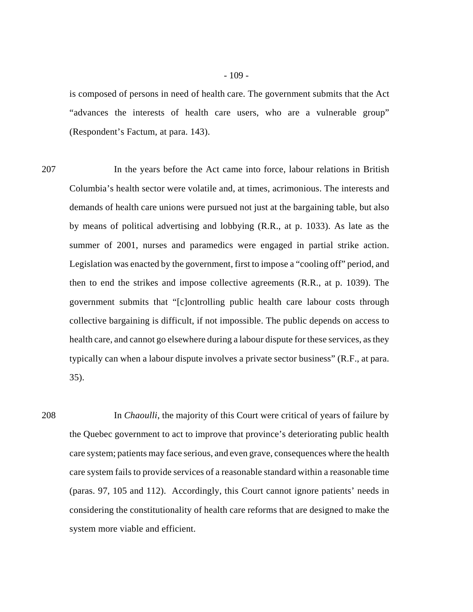is composed of persons in need of health care. The government submits that the Act "advances the interests of health care users, who are a vulnerable group" (Respondent's Factum, at para. 143).

207 In the years before the Act came into force, labour relations in British Columbia's health sector were volatile and, at times, acrimonious. The interests and demands of health care unions were pursued not just at the bargaining table, but also by means of political advertising and lobbying (R.R., at p. 1033). As late as the summer of 2001, nurses and paramedics were engaged in partial strike action. Legislation was enacted by the government, first to impose a "cooling off" period, and then to end the strikes and impose collective agreements (R.R., at p. 1039). The government submits that "[c]ontrolling public health care labour costs through collective bargaining is difficult, if not impossible. The public depends on access to health care, and cannot go elsewhere during a labour dispute for these services, as they typically can when a labour dispute involves a private sector business" (R.F., at para. 35).

208 In *Chaoulli*, the majority of this Court were critical of years of failure by the Quebec government to act to improve that province's deteriorating public health care system; patients may face serious, and even grave, consequences where the health care system fails to provide services of a reasonable standard within a reasonable time (paras. 97, 105 and 112). Accordingly, this Court cannot ignore patients' needs in considering the constitutionality of health care reforms that are designed to make the system more viable and efficient.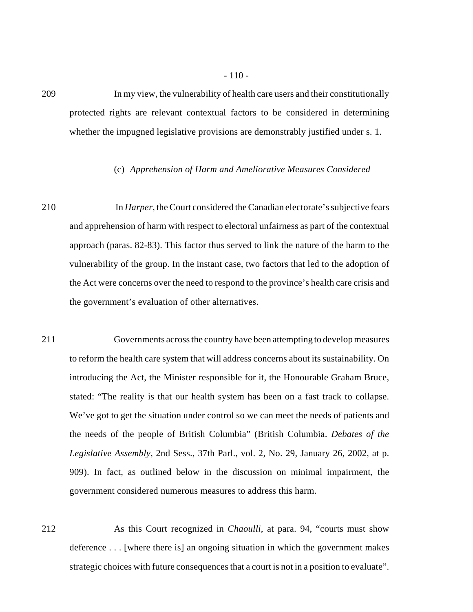209 In my view, the vulnerability of health care users and their constitutionally protected rights are relevant contextual factors to be considered in determining whether the impugned legislative provisions are demonstrably justified under s. 1.

#### (c) *Apprehension of Harm and Ameliorative Measures Considered*

- 210 In *Harper*, the Court considered the Canadian electorate's subjective fears and apprehension of harm with respect to electoral unfairness as part of the contextual approach (paras. 82-83). This factor thus served to link the nature of the harm to the vulnerability of the group. In the instant case, two factors that led to the adoption of the Act were concerns over the need to respond to the province's health care crisis and the government's evaluation of other alternatives.
- 211 Governments across the country have been attempting to develop measures to reform the health care system that will address concerns about its sustainability. On introducing the Act, the Minister responsible for it, the Honourable Graham Bruce, stated: "The reality is that our health system has been on a fast track to collapse. We've got to get the situation under control so we can meet the needs of patients and the needs of the people of British Columbia" (British Columbia. *Debates of the Legislative Assembly*, 2nd Sess., 37th Parl., vol. 2, No. 29, January 26, 2002, at p. 909). In fact, as outlined below in the discussion on minimal impairment, the government considered numerous measures to address this harm.
- 212 As this Court recognized in *Chaoulli*, at para. 94, "courts must show deference . . . [where there is] an ongoing situation in which the government makes strategic choices with future consequences that a court is not in a position to evaluate".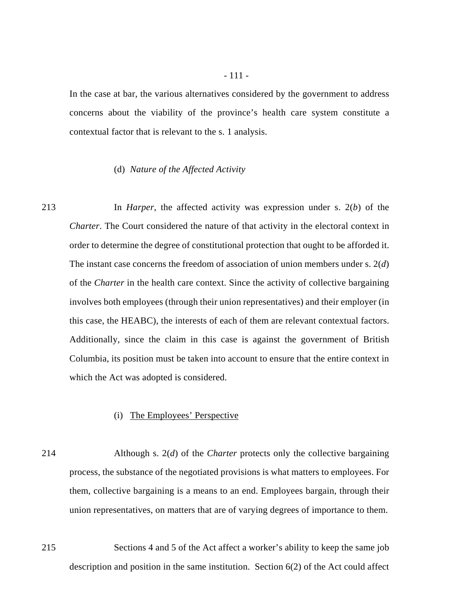In the case at bar, the various alternatives considered by the government to address concerns about the viability of the province's health care system constitute a contextual factor that is relevant to the s. 1 analysis.

#### (d) *Nature of the Affected Activity*

213 In *Harper*, the affected activity was expression under s. 2(*b*) of the *Charter*. The Court considered the nature of that activity in the electoral context in order to determine the degree of constitutional protection that ought to be afforded it. The instant case concerns the freedom of association of union members under s. 2(*d*) of the *Charter* in the health care context. Since the activity of collective bargaining involves both employees (through their union representatives) and their employer (in this case, the HEABC), the interests of each of them are relevant contextual factors. Additionally, since the claim in this case is against the government of British Columbia, its position must be taken into account to ensure that the entire context in which the Act was adopted is considered.

#### (i) The Employees' Perspective

- 214 Although s. 2(*d*) of the *Charter* protects only the collective bargaining process, the substance of the negotiated provisions is what matters to employees. For them, collective bargaining is a means to an end. Employees bargain, through their union representatives, on matters that are of varying degrees of importance to them.
- 215 Sections 4 and 5 of the Act affect a worker's ability to keep the same job description and position in the same institution. Section 6(2) of the Act could affect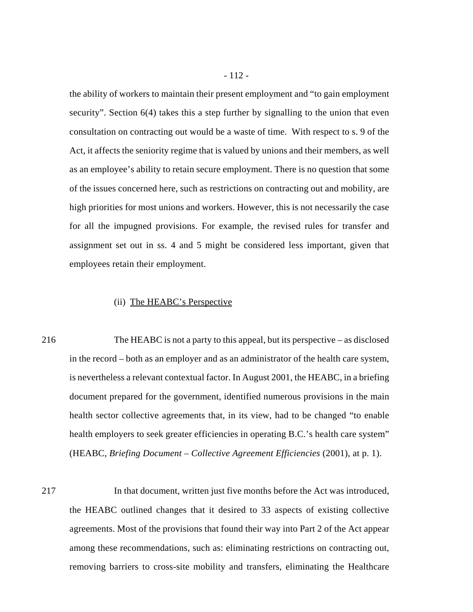the ability of workers to maintain their present employment and "to gain employment security". Section 6(4) takes this a step further by signalling to the union that even consultation on contracting out would be a waste of time. With respect to s. 9 of the Act, it affects the seniority regime that is valued by unions and their members, as well as an employee's ability to retain secure employment. There is no question that some of the issues concerned here, such as restrictions on contracting out and mobility, are high priorities for most unions and workers. However, this is not necessarily the case for all the impugned provisions. For example, the revised rules for transfer and assignment set out in ss. 4 and 5 might be considered less important, given that employees retain their employment.

#### (ii) The HEABC's Perspective

- 216 The HEABC is not a party to this appeal, but its perspective as disclosed in the record – both as an employer and as an administrator of the health care system, is nevertheless a relevant contextual factor. In August 2001, the HEABC, in a briefing document prepared for the government, identified numerous provisions in the main health sector collective agreements that, in its view, had to be changed "to enable health employers to seek greater efficiencies in operating B.C.'s health care system" (HEABC, *Briefing Document – Collective Agreement Efficiencies* (2001), at p. 1).
- 217 In that document, written just five months before the Act was introduced, the HEABC outlined changes that it desired to 33 aspects of existing collective agreements. Most of the provisions that found their way into Part 2 of the Act appear among these recommendations, such as: eliminating restrictions on contracting out, removing barriers to cross-site mobility and transfers, eliminating the Healthcare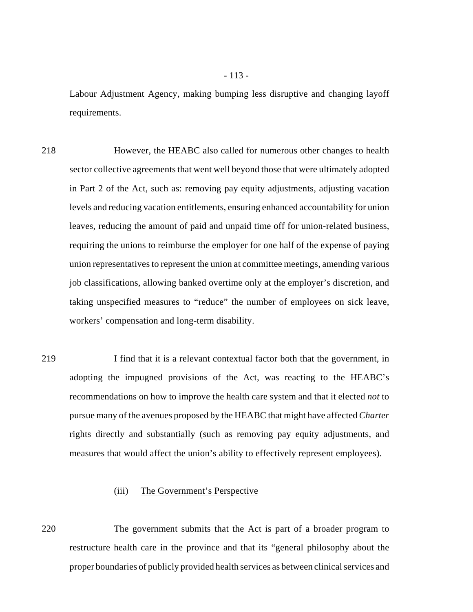Labour Adjustment Agency, making bumping less disruptive and changing layoff requirements.

- 218 However, the HEABC also called for numerous other changes to health sector collective agreements that went well beyond those that were ultimately adopted in Part 2 of the Act, such as: removing pay equity adjustments, adjusting vacation levels and reducing vacation entitlements, ensuring enhanced accountability for union leaves, reducing the amount of paid and unpaid time off for union-related business, requiring the unions to reimburse the employer for one half of the expense of paying union representatives to represent the union at committee meetings, amending various job classifications, allowing banked overtime only at the employer's discretion, and taking unspecified measures to "reduce" the number of employees on sick leave, workers' compensation and long-term disability.
- 219 I find that it is a relevant contextual factor both that the government, in adopting the impugned provisions of the Act, was reacting to the HEABC's recommendations on how to improve the health care system and that it elected *not* to pursue many of the avenues proposed by the HEABC that might have affected *Charter* rights directly and substantially (such as removing pay equity adjustments, and measures that would affect the union's ability to effectively represent employees).

#### (iii) The Government's Perspective

220 The government submits that the Act is part of a broader program to restructure health care in the province and that its "general philosophy about the proper boundaries of publicly provided health services as between clinical services and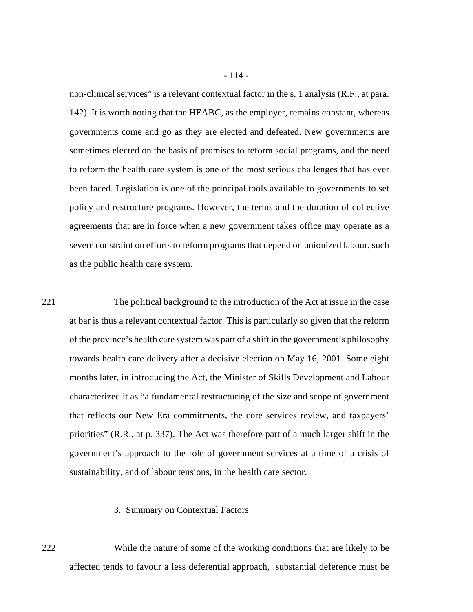non-clinical services" is a relevant contextual factor in the s. 1 analysis (R.F., at para. 142). It is worth noting that the HEABC, as the employer, remains constant, whereas governments come and go as they are elected and defeated. New governments are sometimes elected on the basis of promises to reform social programs, and the need to reform the health care system is one of the most serious challenges that has ever been faced. Legislation is one of the principal tools available to governments to set policy and restructure programs. However, the terms and the duration of collective agreements that are in force when a new government takes office may operate as a severe constraint on efforts to reform programs that depend on unionized labour, such as the public health care system.

221 The political background to the introduction of the Act at issue in the case at bar is thus a relevant contextual factor. This is particularly so given that the reform of the province's health care system was part of a shift in the government's philosophy towards health care delivery after a decisive election on May 16, 2001. Some eight months later, in introducing the Act, the Minister of Skills Development and Labour characterized it as "a fundamental restructuring of the size and scope of government that reflects our New Era commitments, the core services review, and taxpayers' priorities" (R.R., at p. 337). The Act was therefore part of a much larger shift in the government's approach to the role of government services at a time of a crisis of sustainability, and of labour tensions, in the health care sector.

## 3. Summary on Contextual Factors

222 While the nature of some of the working conditions that are likely to be affected tends to favour a less deferential approach, substantial deference must be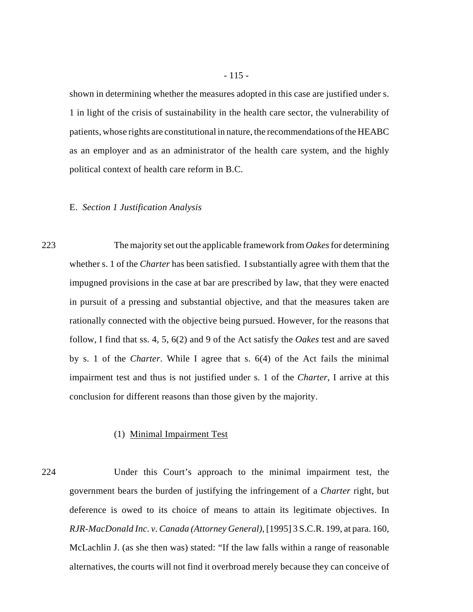shown in determining whether the measures adopted in this case are justified under s. 1 in light of the crisis of sustainability in the health care sector, the vulnerability of patients, whose rights are constitutional in nature, the recommendations of the HEABC as an employer and as an administrator of the health care system, and the highly political context of health care reform in B.C.

#### E. *Section 1 Justification Analysis*

223 The majority set out the applicable framework from *Oakes* for determining whether s. 1 of the *Charter* has been satisfied. I substantially agree with them that the impugned provisions in the case at bar are prescribed by law, that they were enacted in pursuit of a pressing and substantial objective, and that the measures taken are rationally connected with the objective being pursued. However, for the reasons that follow, I find that ss. 4, 5, 6(2) and 9 of the Act satisfy the *Oakes* test and are saved by s. 1 of the *Charter*. While I agree that s. 6(4) of the Act fails the minimal impairment test and thus is not justified under s. 1 of the *Charter*, I arrive at this conclusion for different reasons than those given by the majority.

#### (1) Minimal Impairment Test

224 Under this Court's approach to the minimal impairment test, the government bears the burden of justifying the infringement of a *Charter* right, but deference is owed to its choice of means to attain its legitimate objectives. In *RJR-MacDonald Inc. v. Canada (Attorney General)*, [1995] 3 S.C.R. 199, at para. 160, McLachlin J. (as she then was) stated: "If the law falls within a range of reasonable alternatives, the courts will not find it overbroad merely because they can conceive of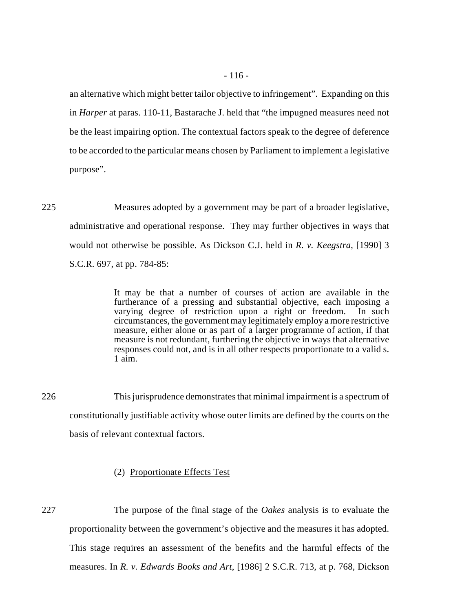an alternative which might better tailor objective to infringement". Expanding on this in *Harper* at paras. 110-11, Bastarache J. held that "the impugned measures need not be the least impairing option. The contextual factors speak to the degree of deference to be accorded to the particular means chosen by Parliament to implement a legislative purpose".

225 Measures adopted by a government may be part of a broader legislative, administrative and operational response. They may further objectives in ways that would not otherwise be possible. As Dickson C.J. held in *R. v. Keegstra*, [1990] 3 S.C.R. 697, at pp. 784-85:

> It may be that a number of courses of action are available in the furtherance of a pressing and substantial objective, each imposing a varying degree of restriction upon a right or freedom. In such varying degree of restriction upon a right or freedom. circumstances, the government may legitimately employ a more restrictive measure, either alone or as part of a larger programme of action, if that measure is not redundant, furthering the objective in ways that alternative responses could not, and is in all other respects proportionate to a valid s. 1 aim.

226 This jurisprudence demonstrates that minimal impairment is a spectrum of constitutionally justifiable activity whose outer limits are defined by the courts on the basis of relevant contextual factors.

(2) Proportionate Effects Test

227 The purpose of the final stage of the *Oakes* analysis is to evaluate the proportionality between the government's objective and the measures it has adopted. This stage requires an assessment of the benefits and the harmful effects of the measures. In *R. v. Edwards Books and Art*, [1986] 2 S.C.R. 713, at p. 768, Dickson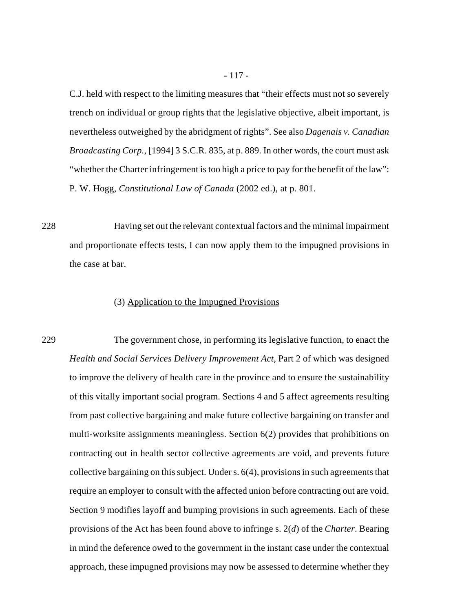C.J. held with respect to the limiting measures that "their effects must not so severely trench on individual or group rights that the legislative objective, albeit important, is nevertheless outweighed by the abridgment of rights". See also *Dagenais v. Canadian Broadcasting Corp.*, [1994] 3 S.C.R. 835, at p. 889. In other words, the court must ask "whether the Charter infringement is too high a price to pay for the benefit of the law": P. W. Hogg, *Constitutional Law of Canada* (2002 ed.), at p. 801.

228 Having set out the relevant contextual factors and the minimal impairment and proportionate effects tests, I can now apply them to the impugned provisions in the case at bar.

## (3) Application to the Impugned Provisions

229 The government chose, in performing its legislative function, to enact the *Health and Social Services Delivery Improvement Act*, Part 2 of which was designed to improve the delivery of health care in the province and to ensure the sustainability of this vitally important social program. Sections 4 and 5 affect agreements resulting from past collective bargaining and make future collective bargaining on transfer and multi-worksite assignments meaningless. Section 6(2) provides that prohibitions on contracting out in health sector collective agreements are void, and prevents future collective bargaining on this subject. Under s. 6(4), provisions in such agreements that require an employer to consult with the affected union before contracting out are void. Section 9 modifies layoff and bumping provisions in such agreements. Each of these provisions of the Act has been found above to infringe s. 2(*d*) of the *Charter*. Bearing in mind the deference owed to the government in the instant case under the contextual approach, these impugned provisions may now be assessed to determine whether they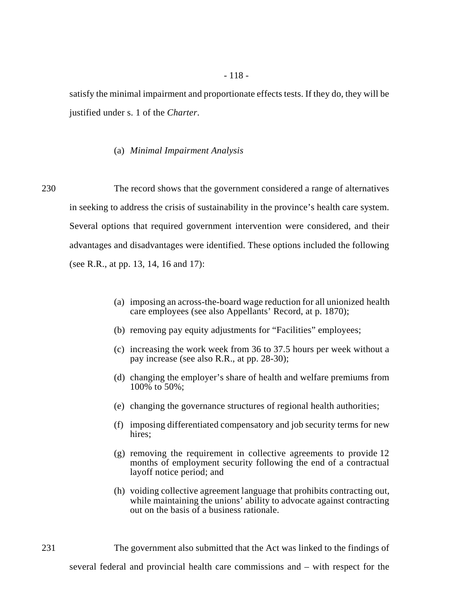satisfy the minimal impairment and proportionate effects tests. If they do, they will be justified under s. 1 of the *Charter*.

#### (a) *Minimal Impairment Analysis*

230 The record shows that the government considered a range of alternatives in seeking to address the crisis of sustainability in the province's health care system. Several options that required government intervention were considered, and their advantages and disadvantages were identified. These options included the following (see R.R., at pp. 13, 14, 16 and 17):

- (a) imposing an across-the-board wage reduction for all unionized health care employees (see also Appellants' Record, at p. 1870);
- (b) removing pay equity adjustments for "Facilities" employees;
- (c) increasing the work week from 36 to 37.5 hours per week without a pay increase (see also R.R., at pp. 28-30);
- (d) changing the employer's share of health and welfare premiums from 100% to 50%;
- (e) changing the governance structures of regional health authorities;
- (f) imposing differentiated compensatory and job security terms for new hires;
- (g) removing the requirement in collective agreements to provide 12 months of employment security following the end of a contractual layoff notice period; and
- (h) voiding collective agreement language that prohibits contracting out, while maintaining the unions' ability to advocate against contracting out on the basis of a business rationale.

231 The government also submitted that the Act was linked to the findings of several federal and provincial health care commissions and – with respect for the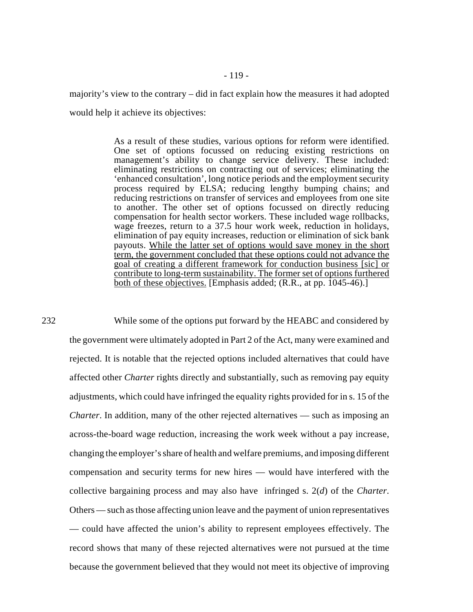majority's view to the contrary – did in fact explain how the measures it had adopted would help it achieve its objectives:

> As a result of these studies, various options for reform were identified. One set of options focussed on reducing existing restrictions on management's ability to change service delivery. These included: eliminating restrictions on contracting out of services; eliminating the 'enhanced consultation', long notice periods and the employment security process required by ELSA; reducing lengthy bumping chains; and reducing restrictions on transfer of services and employees from one site to another. The other set of options focussed on directly reducing compensation for health sector workers. These included wage rollbacks, wage freezes, return to a 37.5 hour work week, reduction in holidays, elimination of pay equity increases, reduction or elimination of sick bank payouts. While the latter set of options would save money in the short term, the government concluded that these options could not advance the goal of creating a different framework for conduction business [sic] or contribute to long-term sustainability. The former set of options furthered both of these objectives. [Emphasis added; (R.R., at pp. 1045-46).]

232 While some of the options put forward by the HEABC and considered by the government were ultimately adopted in Part 2 of the Act, many were examined and rejected. It is notable that the rejected options included alternatives that could have affected other *Charter* rights directly and substantially, such as removing pay equity adjustments, which could have infringed the equality rights provided for in s. 15 of the *Charter*. In addition, many of the other rejected alternatives — such as imposing an across-the-board wage reduction, increasing the work week without a pay increase, changing the employer's share of health and welfare premiums, and imposing different compensation and security terms for new hires — would have interfered with the collective bargaining process and may also have infringed s. 2(*d*) of the *Charter*. Others — such as those affecting union leave and the payment of union representatives — could have affected the union's ability to represent employees effectively. The record shows that many of these rejected alternatives were not pursued at the time because the government believed that they would not meet its objective of improving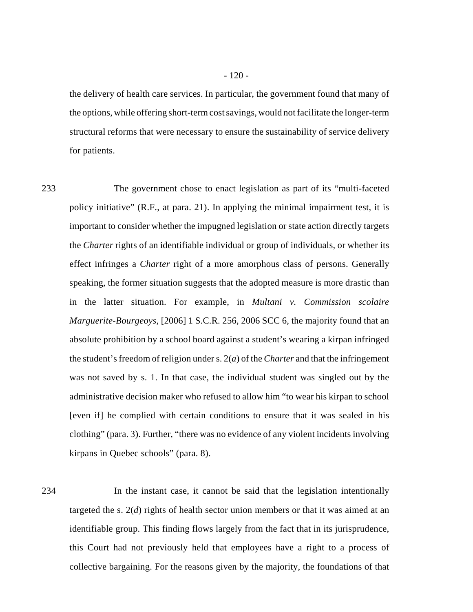the delivery of health care services. In particular, the government found that many of the options, while offering short-term cost savings, would not facilitate the longer-term structural reforms that were necessary to ensure the sustainability of service delivery for patients.

233 The government chose to enact legislation as part of its "multi-faceted policy initiative" (R.F., at para. 21). In applying the minimal impairment test, it is important to consider whether the impugned legislation or state action directly targets the *Charter* rights of an identifiable individual or group of individuals, or whether its effect infringes a *Charter* right of a more amorphous class of persons. Generally speaking, the former situation suggests that the adopted measure is more drastic than in the latter situation. For example, in *Multani v. Commission scolaire Marguerite-Bourgeoys*, [2006] 1 S.C.R. 256, 2006 SCC 6, the majority found that an absolute prohibition by a school board against a student's wearing a kirpan infringed the student's freedom of religion under s. 2(*a*) of the *Charter* and that the infringement was not saved by s. 1. In that case, the individual student was singled out by the administrative decision maker who refused to allow him "to wear his kirpan to school [even if] he complied with certain conditions to ensure that it was sealed in his clothing" (para. 3). Further, "there was no evidence of any violent incidents involving kirpans in Quebec schools" (para. 8).

234 In the instant case, it cannot be said that the legislation intentionally targeted the s. 2(*d*) rights of health sector union members or that it was aimed at an identifiable group. This finding flows largely from the fact that in its jurisprudence, this Court had not previously held that employees have a right to a process of collective bargaining. For the reasons given by the majority, the foundations of that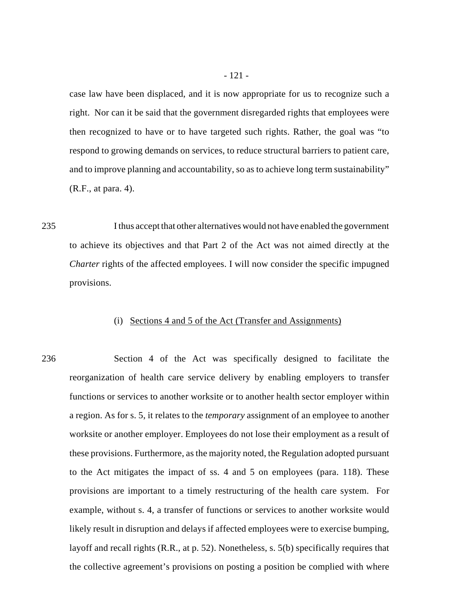case law have been displaced, and it is now appropriate for us to recognize such a right. Nor can it be said that the government disregarded rights that employees were then recognized to have or to have targeted such rights. Rather, the goal was "to respond to growing demands on services, to reduce structural barriers to patient care, and to improve planning and accountability, so as to achieve long term sustainability" (R.F., at para. 4).

235 I thus accept that other alternatives would not have enabled the government to achieve its objectives and that Part 2 of the Act was not aimed directly at the *Charter* rights of the affected employees. I will now consider the specific impugned provisions.

#### (i) Sections 4 and 5 of the Act (Transfer and Assignments)

236 Section 4 of the Act was specifically designed to facilitate the reorganization of health care service delivery by enabling employers to transfer functions or services to another worksite or to another health sector employer within a region. As for s. 5, it relates to the *temporary* assignment of an employee to another worksite or another employer. Employees do not lose their employment as a result of these provisions. Furthermore, as the majority noted, the Regulation adopted pursuant to the Act mitigates the impact of ss. 4 and 5 on employees (para. 118). These provisions are important to a timely restructuring of the health care system. For example, without s. 4, a transfer of functions or services to another worksite would likely result in disruption and delays if affected employees were to exercise bumping, layoff and recall rights (R.R., at p. 52). Nonetheless, s. 5(b) specifically requires that the collective agreement's provisions on posting a position be complied with where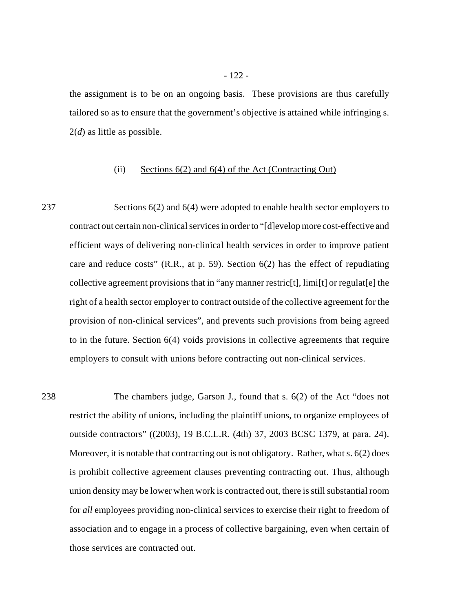the assignment is to be on an ongoing basis. These provisions are thus carefully tailored so as to ensure that the government's objective is attained while infringing s. 2(*d*) as little as possible.

#### (ii) Sections  $6(2)$  and  $6(4)$  of the Act (Contracting Out)

- 237 Sections 6(2) and 6(4) were adopted to enable health sector employers to contract out certain non-clinical services in order to "[d]evelop more cost-effective and efficient ways of delivering non-clinical health services in order to improve patient care and reduce costs" (R.R., at p. 59). Section 6(2) has the effect of repudiating collective agreement provisions that in "any manner restric[t], limi[t] or regulat[e] the right of a health sector employer to contract outside of the collective agreement for the provision of non-clinical services", and prevents such provisions from being agreed to in the future. Section 6(4) voids provisions in collective agreements that require employers to consult with unions before contracting out non-clinical services.
- 238 The chambers judge, Garson J., found that s. 6(2) of the Act "does not restrict the ability of unions, including the plaintiff unions, to organize employees of outside contractors" ((2003), 19 B.C.L.R. (4th) 37, 2003 BCSC 1379, at para. 24). Moreover, it is notable that contracting out is not obligatory. Rather, what s. 6(2) does is prohibit collective agreement clauses preventing contracting out. Thus, although union density may be lower when work is contracted out, there is still substantial room for *all* employees providing non-clinical services to exercise their right to freedom of association and to engage in a process of collective bargaining, even when certain of those services are contracted out.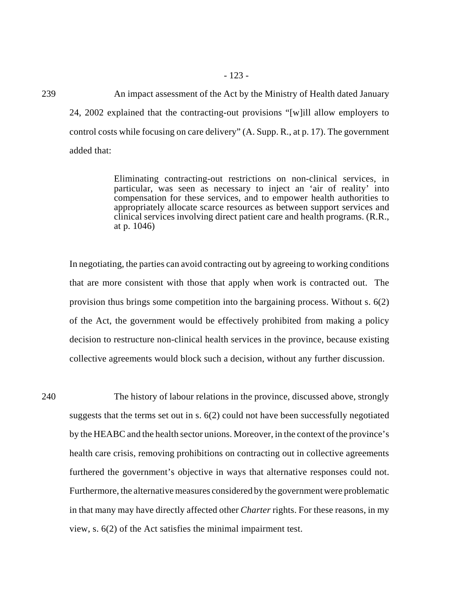239 An impact assessment of the Act by the Ministry of Health dated January 24, 2002 explained that the contracting-out provisions "[w]ill allow employers to control costs while focusing on care delivery" (A. Supp. R., at p. 17). The government added that:

> Eliminating contracting-out restrictions on non-clinical services, in particular, was seen as necessary to inject an 'air of reality' into compensation for these services, and to empower health authorities to appropriately allocate scarce resources as between support services and clinical services involving direct patient care and health programs. (R.R., at p. 1046)

In negotiating, the parties can avoid contracting out by agreeing to working conditions that are more consistent with those that apply when work is contracted out. The provision thus brings some competition into the bargaining process. Without s. 6(2) of the Act, the government would be effectively prohibited from making a policy decision to restructure non-clinical health services in the province, because existing collective agreements would block such a decision, without any further discussion.

240 The history of labour relations in the province, discussed above, strongly suggests that the terms set out in s. 6(2) could not have been successfully negotiated by the HEABC and the health sector unions. Moreover, in the context of the province's health care crisis, removing prohibitions on contracting out in collective agreements furthered the government's objective in ways that alternative responses could not. Furthermore, the alternative measures considered by the government were problematic in that many may have directly affected other *Charter* rights. For these reasons, in my view, s. 6(2) of the Act satisfies the minimal impairment test.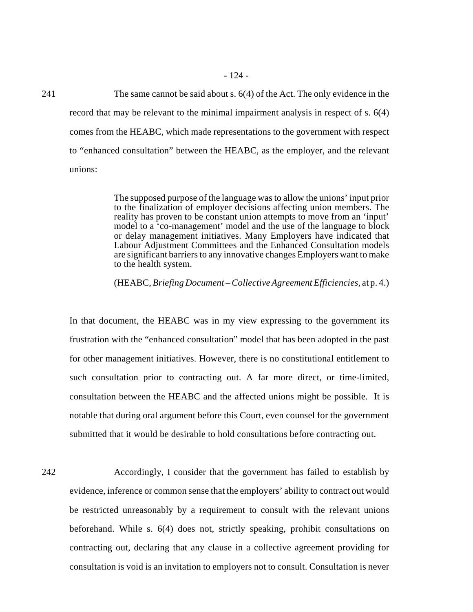241 The same cannot be said about s. 6(4) of the Act. The only evidence in the record that may be relevant to the minimal impairment analysis in respect of s. 6(4) comes from the HEABC, which made representations to the government with respect to "enhanced consultation" between the HEABC, as the employer, and the relevant unions:

> The supposed purpose of the language was to allow the unions' input prior to the finalization of employer decisions affecting union members. The reality has proven to be constant union attempts to move from an 'input' model to a 'co-management' model and the use of the language to block or delay management initiatives. Many Employers have indicated that Labour Adjustment Committees and the Enhanced Consultation models are significant barriers to any innovative changes Employers want to make to the health system.

> (HEABC, *Briefing Document – Collective Agreement Efficiencies*, at p. 4.)

In that document, the HEABC was in my view expressing to the government its frustration with the "enhanced consultation" model that has been adopted in the past for other management initiatives. However, there is no constitutional entitlement to such consultation prior to contracting out. A far more direct, or time-limited, consultation between the HEABC and the affected unions might be possible. It is notable that during oral argument before this Court, even counsel for the government submitted that it would be desirable to hold consultations before contracting out.

242 Accordingly, I consider that the government has failed to establish by evidence, inference or common sense that the employers' ability to contract out would be restricted unreasonably by a requirement to consult with the relevant unions beforehand. While s. 6(4) does not, strictly speaking, prohibit consultations on contracting out, declaring that any clause in a collective agreement providing for consultation is void is an invitation to employers not to consult. Consultation is never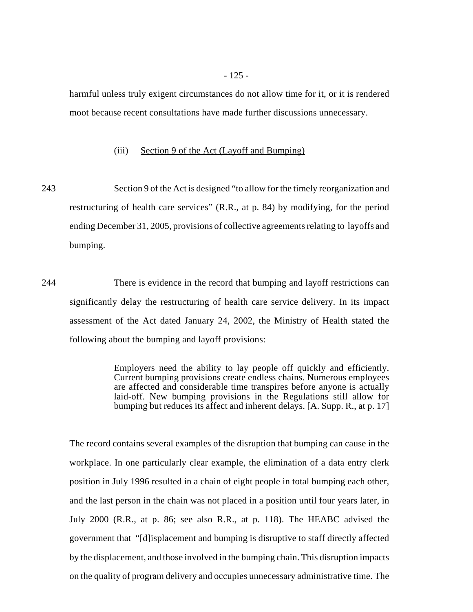harmful unless truly exigent circumstances do not allow time for it, or it is rendered moot because recent consultations have made further discussions unnecessary.

#### (iii) Section 9 of the Act (Layoff and Bumping)

243 Section 9 of the Act is designed "to allow for the timely reorganization and restructuring of health care services" (R.R., at p. 84) by modifying, for the period ending December 31, 2005, provisions of collective agreements relating to layoffs and bumping.

244 There is evidence in the record that bumping and layoff restrictions can significantly delay the restructuring of health care service delivery. In its impact assessment of the Act dated January 24, 2002, the Ministry of Health stated the following about the bumping and layoff provisions:

> Employers need the ability to lay people off quickly and efficiently. Current bumping provisions create endless chains. Numerous employees are affected and considerable time transpires before anyone is actually laid-off. New bumping provisions in the Regulations still allow for bumping but reduces its affect and inherent delays. [A. Supp. R., at p. 17]

The record contains several examples of the disruption that bumping can cause in the workplace. In one particularly clear example, the elimination of a data entry clerk position in July 1996 resulted in a chain of eight people in total bumping each other, and the last person in the chain was not placed in a position until four years later, in July 2000 (R.R., at p. 86; see also R.R., at p. 118). The HEABC advised the government that "[d]isplacement and bumping is disruptive to staff directly affected by the displacement, and those involved in the bumping chain. This disruption impacts on the quality of program delivery and occupies unnecessary administrative time. The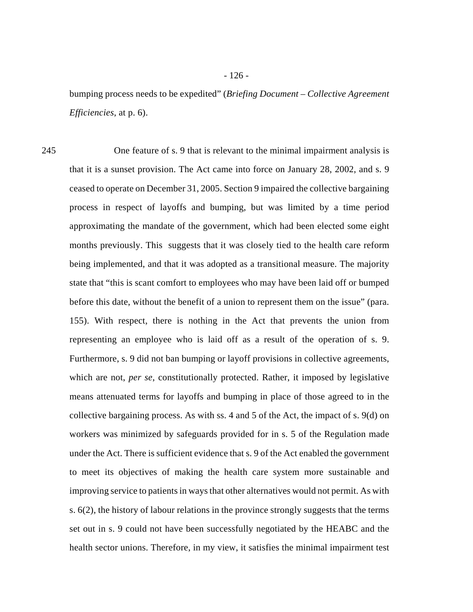bumping process needs to be expedited" (*Briefing Document – Collective Agreement Efficiencies*, at p. 6).

245 One feature of s. 9 that is relevant to the minimal impairment analysis is that it is a sunset provision. The Act came into force on January 28, 2002, and s. 9 ceased to operate on December 31, 2005. Section 9 impaired the collective bargaining process in respect of layoffs and bumping, but was limited by a time period approximating the mandate of the government, which had been elected some eight months previously. This suggests that it was closely tied to the health care reform being implemented, and that it was adopted as a transitional measure. The majority state that "this is scant comfort to employees who may have been laid off or bumped before this date, without the benefit of a union to represent them on the issue" (para. 155). With respect, there is nothing in the Act that prevents the union from representing an employee who is laid off as a result of the operation of s. 9. Furthermore, s. 9 did not ban bumping or layoff provisions in collective agreements, which are not, *per se*, constitutionally protected. Rather, it imposed by legislative means attenuated terms for layoffs and bumping in place of those agreed to in the collective bargaining process. As with ss. 4 and 5 of the Act, the impact of s. 9(d) on workers was minimized by safeguards provided for in s. 5 of the Regulation made under the Act. There is sufficient evidence that s. 9 of the Act enabled the government to meet its objectives of making the health care system more sustainable and improving service to patients in ways that other alternatives would not permit. As with s. 6(2), the history of labour relations in the province strongly suggests that the terms set out in s. 9 could not have been successfully negotiated by the HEABC and the health sector unions. Therefore, in my view, it satisfies the minimal impairment test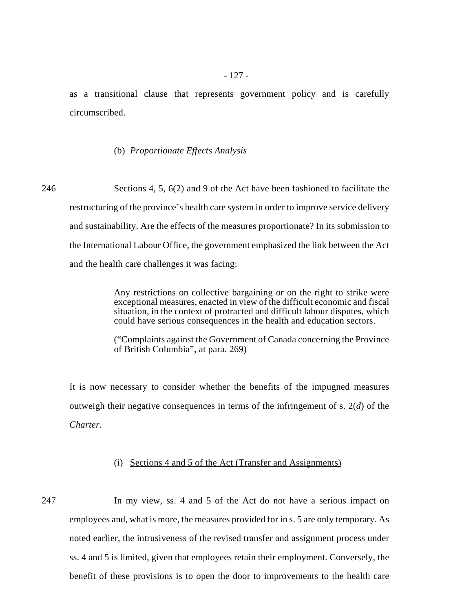as a transitional clause that represents government policy and is carefully circumscribed.

(b) *Proportionate Effects Analysis*

246 Sections 4, 5, 6(2) and 9 of the Act have been fashioned to facilitate the restructuring of the province's health care system in order to improve service delivery and sustainability. Are the effects of the measures proportionate? In its submission to the International Labour Office, the government emphasized the link between the Act and the health care challenges it was facing:

> Any restrictions on collective bargaining or on the right to strike were exceptional measures, enacted in view of the difficult economic and fiscal situation, in the context of protracted and difficult labour disputes, which could have serious consequences in the health and education sectors.

> ("Complaints against the Government of Canada concerning the Province of British Columbia", at para. 269)

It is now necessary to consider whether the benefits of the impugned measures outweigh their negative consequences in terms of the infringement of s. 2(*d*) of the *Charter*.

(i) Sections 4 and 5 of the Act (Transfer and Assignments)

247 In my view, ss. 4 and 5 of the Act do not have a serious impact on employees and, what is more, the measures provided for in s. 5 are only temporary. As noted earlier, the intrusiveness of the revised transfer and assignment process under ss. 4 and 5 is limited, given that employees retain their employment. Conversely, the benefit of these provisions is to open the door to improvements to the health care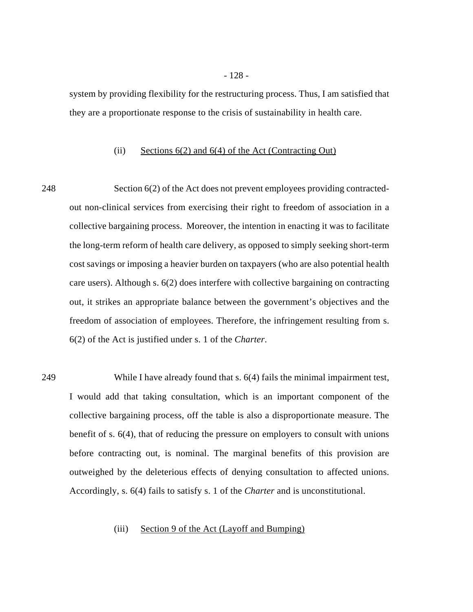system by providing flexibility for the restructuring process. Thus, I am satisfied that they are a proportionate response to the crisis of sustainability in health care.

#### (ii) Sections  $6(2)$  and  $6(4)$  of the Act (Contracting Out)

248 Section 6(2) of the Act does not prevent employees providing contractedout non-clinical services from exercising their right to freedom of association in a collective bargaining process. Moreover, the intention in enacting it was to facilitate the long-term reform of health care delivery, as opposed to simply seeking short-term cost savings or imposing a heavier burden on taxpayers (who are also potential health care users). Although s. 6(2) does interfere with collective bargaining on contracting out, it strikes an appropriate balance between the government's objectives and the freedom of association of employees. Therefore, the infringement resulting from s. 6(2) of the Act is justified under s. 1 of the *Charter*.

249 While I have already found that s. 6(4) fails the minimal impairment test, I would add that taking consultation, which is an important component of the collective bargaining process, off the table is also a disproportionate measure. The benefit of s. 6(4), that of reducing the pressure on employers to consult with unions before contracting out, is nominal. The marginal benefits of this provision are outweighed by the deleterious effects of denying consultation to affected unions. Accordingly, s. 6(4) fails to satisfy s. 1 of the *Charter* and is unconstitutional.

(iii) Section 9 of the Act (Layoff and Bumping)

- 128 -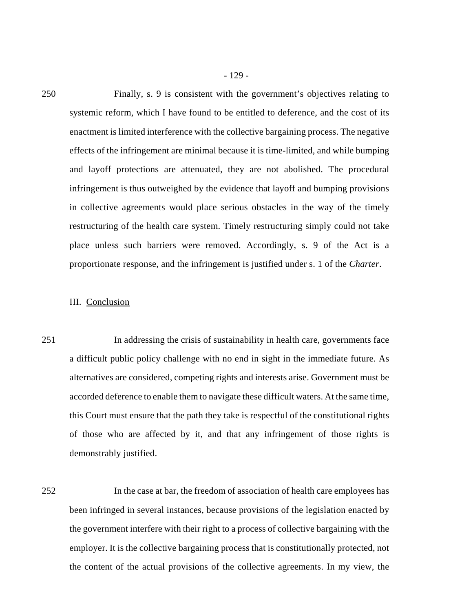250 Finally, s. 9 is consistent with the government's objectives relating to systemic reform, which I have found to be entitled to deference, and the cost of its enactment is limited interference with the collective bargaining process. The negative effects of the infringement are minimal because it is time-limited, and while bumping and layoff protections are attenuated, they are not abolished. The procedural infringement is thus outweighed by the evidence that layoff and bumping provisions in collective agreements would place serious obstacles in the way of the timely restructuring of the health care system. Timely restructuring simply could not take place unless such barriers were removed. Accordingly, s. 9 of the Act is a proportionate response, and the infringement is justified under s. 1 of the *Charter*.

#### III. Conclusion

251 In addressing the crisis of sustainability in health care, governments face a difficult public policy challenge with no end in sight in the immediate future. As alternatives are considered, competing rights and interests arise. Government must be accorded deference to enable them to navigate these difficult waters. At the same time, this Court must ensure that the path they take is respectful of the constitutional rights of those who are affected by it, and that any infringement of those rights is demonstrably justified.

252 In the case at bar, the freedom of association of health care employees has been infringed in several instances, because provisions of the legislation enacted by the government interfere with their right to a process of collective bargaining with the employer. It is the collective bargaining process that is constitutionally protected, not the content of the actual provisions of the collective agreements. In my view, the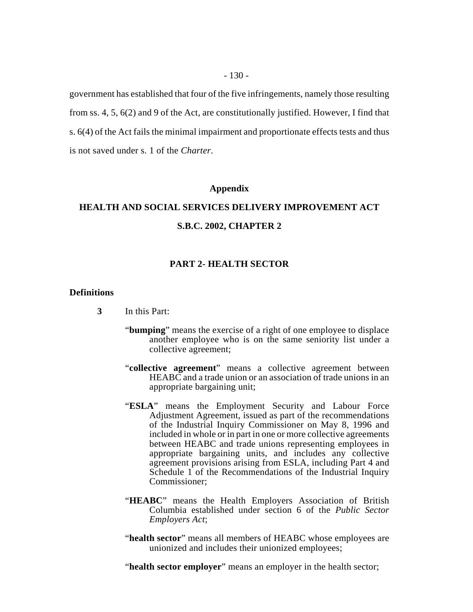government has established that four of the five infringements, namely those resulting from ss. 4, 5, 6(2) and 9 of the Act, are constitutionally justified. However, I find that s. 6(4) of the Act fails the minimal impairment and proportionate effects tests and thus is not saved under s. 1 of the *Charter*.

#### **Appendix**

# **HEALTH AND SOCIAL SERVICES DELIVERY IMPROVEMENT ACT S.B.C. 2002, CHAPTER 2**

### **PART 2- HEALTH SECTOR**

#### **Definitions**

- **3** In this Part:
	- "**bumping**" means the exercise of a right of one employee to displace another employee who is on the same seniority list under a collective agreement;
	- "**collective agreement**" means a collective agreement between HEABC and a trade union or an association of trade unions in an appropriate bargaining unit;
	- "**ESLA**" means the Employment Security and Labour Force Adjustment Agreement, issued as part of the recommendations of the Industrial Inquiry Commissioner on May 8, 1996 and included in whole or in part in one or more collective agreements between HEABC and trade unions representing employees in appropriate bargaining units, and includes any collective agreement provisions arising from ESLA, including Part 4 and Schedule 1 of the Recommendations of the Industrial Inquiry Commissioner;
	- "**HEABC**" means the Health Employers Association of British Columbia established under section 6 of the *Public Sector Employers Act*;
	- "**health sector**" means all members of HEABC whose employees are unionized and includes their unionized employees;
	- "**health sector employer**" means an employer in the health sector;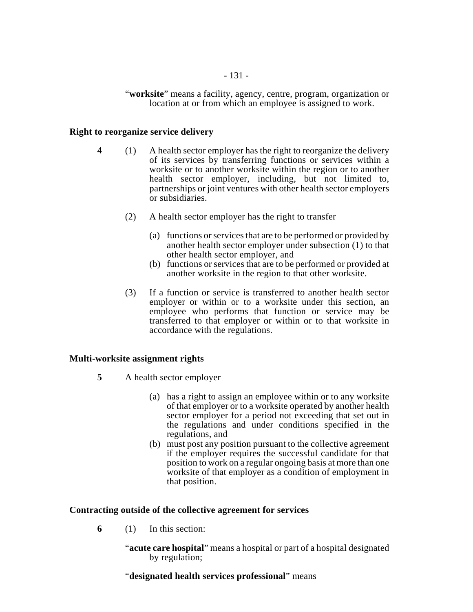## "**worksite**" means a facility, agency, centre, program, organization or location at or from which an employee is assigned to work.

## **Right to reorganize service delivery**

- **4** (1) A health sector employer has the right to reorganize the delivery of its services by transferring functions or services within a worksite or to another worksite within the region or to another health sector employer, including, but not limited to, partnerships or joint ventures with other health sector employers or subsidiaries.
	- (2) A health sector employer has the right to transfer
		- (a) functions or services that are to be performed or provided by another health sector employer under subsection (1) to that other health sector employer, and
		- (b) functions or services that are to be performed or provided at another worksite in the region to that other worksite.
	- (3) If a function or service is transferred to another health sector employer or within or to a worksite under this section, an employee who performs that function or service may be transferred to that employer or within or to that worksite in accordance with the regulations.

## **Multi-worksite assignment rights**

- **5** A health sector employer
	- (a) has a right to assign an employee within or to any worksite of that employer or to a worksite operated by another health sector employer for a period not exceeding that set out in the regulations and under conditions specified in the regulations, and
	- (b) must post any position pursuant to the collective agreement if the employer requires the successful candidate for that position to work on a regular ongoing basis at more than one worksite of that employer as a condition of employment in that position.

## **Contracting outside of the collective agreement for services**

- **6** (1) In this section:
	- "**acute care hospital**" means a hospital or part of a hospital designated by regulation;
	- "**designated health services professional**" means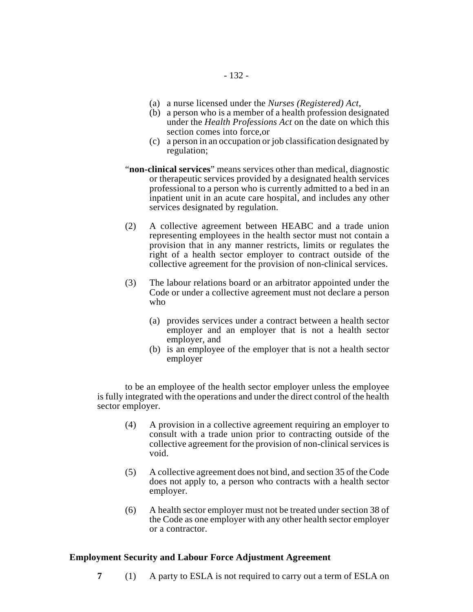- (a) a nurse licensed under the *Nurses (Registered) Act*,
- (b) a person who is a member of a health profession designated under the *Health Professions Act* on the date on which this section comes into force,or
- (c) a person in an occupation or job classification designated by regulation;
- "**non-clinical services**" means services other than medical, diagnostic or therapeutic services provided by a designated health services professional to a person who is currently admitted to a bed in an inpatient unit in an acute care hospital, and includes any other services designated by regulation.
- (2) A collective agreement between HEABC and a trade union representing employees in the health sector must not contain a provision that in any manner restricts, limits or regulates the right of a health sector employer to contract outside of the collective agreement for the provision of non-clinical services.
- (3) The labour relations board or an arbitrator appointed under the Code or under a collective agreement must not declare a person who
	- (a) provides services under a contract between a health sector employer and an employer that is not a health sector employer, and
	- (b) is an employee of the employer that is not a health sector employer

to be an employee of the health sector employer unless the employee is fully integrated with the operations and under the direct control of the health sector employer.

- (4) A provision in a collective agreement requiring an employer to consult with a trade union prior to contracting outside of the collective agreement for the provision of non-clinical services is void.
- (5) A collective agreement does not bind, and section 35 of the Code does not apply to, a person who contracts with a health sector employer.
- (6) A health sector employer must not be treated under section 38 of the Code as one employer with any other health sector employer or a contractor.

#### **Employment Security and Labour Force Adjustment Agreement**

**7** (1) A party to ESLA is not required to carry out a term of ESLA on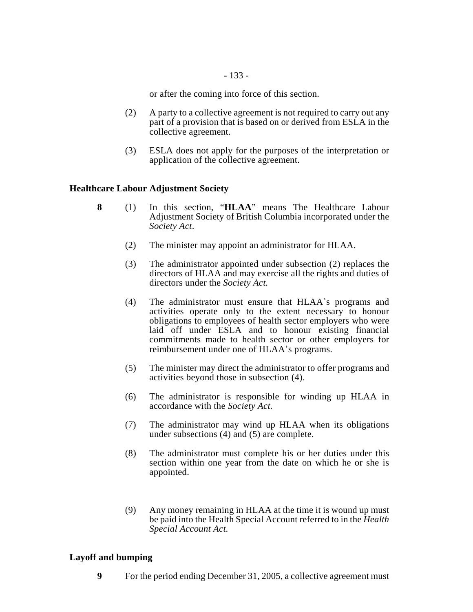or after the coming into force of this section.

- (2) A party to a collective agreement is not required to carry out any part of a provision that is based on or derived from ESLA in the collective agreement.
- (3) ESLA does not apply for the purposes of the interpretation or application of the collective agreement.

## **Healthcare Labour Adjustment Society**

- **8** (1) In this section, "**HLAA**" means The Healthcare Labour Adjustment Society of British Columbia incorporated under the *Society Act*.
	- (2) The minister may appoint an administrator for HLAA.
	- (3) The administrator appointed under subsection (2) replaces the directors of HLAA and may exercise all the rights and duties of directors under the *Society Act.*
	- (4) The administrator must ensure that HLAA\*s programs and activities operate only to the extent necessary to honour obligations to employees of health sector employers who were laid off under ESLA and to honour existing financial commitments made to health sector or other employers for reimbursement under one of HLAA's programs.
	- (5) The minister may direct the administrator to offer programs and activities beyond those in subsection (4).
	- (6) The administrator is responsible for winding up HLAA in accordance with the *Society Act.*
	- (7) The administrator may wind up HLAA when its obligations under subsections (4) and (5) are complete.
	- (8) The administrator must complete his or her duties under this section within one year from the date on which he or she is appointed.
	- (9) Any money remaining in HLAA at the time it is wound up must be paid into the Health Special Account referred to in the *Health Special Account Act.*

## **Layoff and bumping**

**9** For the period ending December 31, 2005, a collective agreement must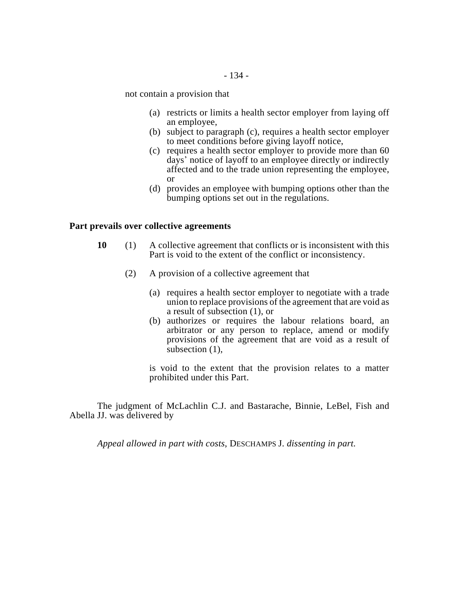not contain a provision that

- (a) restricts or limits a health sector employer from laying off an employee,
- (b) subject to paragraph (c), requires a health sector employer to meet conditions before giving layoff notice,
- (c) requires a health sector employer to provide more than 60 days' notice of layoff to an employee directly or indirectly affected and to the trade union representing the employee, or
- (d) provides an employee with bumping options other than the bumping options set out in the regulations.

#### **Part prevails over collective agreements**

- **10** (1) A collective agreement that conflicts or is inconsistent with this Part is void to the extent of the conflict or inconsistency.
	- (2) A provision of a collective agreement that
		- (a) requires a health sector employer to negotiate with a trade union to replace provisions of the agreement that are void as a result of subsection (1), or
		- (b) authorizes or requires the labour relations board, an arbitrator or any person to replace, amend or modify provisions of the agreement that are void as a result of subsection (1),

is void to the extent that the provision relates to a matter prohibited under this Part.

The judgment of McLachlin C.J. and Bastarache, Binnie, LeBel, Fish and Abella JJ. was delivered by

*Appeal allowed in part with costs*, DESCHAMPS J. *dissenting in part.*